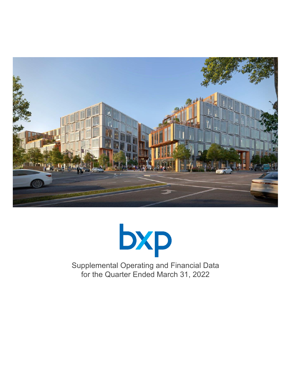



Supplemental Operating and Financial Data for the Quarter Ended March 31, 2022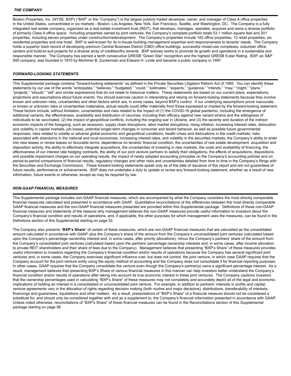Boston Properties, Inc. (NYSE: BXP) ("BXP" or the "Company") is the largest publicly traded developer, owner, and manager of Class A office properties in the United States, concentrated in six markets - Boston, Los Angeles, New York, San Francisco, Seattle, and Washington, DC. The Company is a fully integrated real estate company, organized as a real estate investment trust (REIT), that develops, manages, operates, acquires and owns a diverse portfolio of primarily Class A office space. Including properties owned by joint ventures, the Company's complete portfolio totals 53.1 million square feet and 201 properties, including eleven properties under construction/redevelopment. The Company's properties include 182 office properties, 12 retail properties, six residential properties and one hotel. BXP is well-known for its in-house building management expertise and responsiveness to tenants' needs. The Company holds a superior track record of developing premium Central Business District (CBD) office buildings, successful mixed-use complexes, suburban office centers and build-to-suit projects for a diverse array of creditworthy tenants. BXP actively works to promote its growth and operations in a sustainable and responsible manner. The Company has earned a tenth consecutive GRESB "Green Star" recognition and the highest GRESB 5-star Rating. BXP, an S&P 500 company, was founded in 1970 by Mortimer B. Zuckerman and Edward H. Linde and became a public company in 1997.

### *FORWARD-LOOKING STATEMENTS*

This Supplemental package contains "forward-looking statements" as defined in the Private Securities Litigation Reform Act of 1995. You can identify these statements by our use of the words "anticipates," "believes," "budgeted," "could," "estimates," "expects," "guidance," "intends," "may," "might," "plans," "projects," "should," "will" and similar expressions that do not relate to historical matters. These statements are based on our current plans, expectations, projections and assumptions about future events. You should exercise caution in interpreting and relying on forward-looking statements because they involve known and unknown risks, uncertainties and other factors which are, in some cases, beyond BXP's control. If our underlying assumptions prove inaccurate, or known or unknown risks or uncertainties materialize, actual results could differ materially from those expressed or implied by the forward-looking statement. These factors include, without limitation, uncertainties and risks related to the impact of (1) the COVID-19 global pandemic, including the emergence of additional variants, the effectiveness, availability and distribution of vaccines, including their efficacy against new variant strains and the willingness of individuals to be vaccinated, (2) the impact of geopolitical conflicts, including the ongoing war in Ukraine, and (3) the severity and duration of the indirect economic impacts of the foregoing, such as recession, supply chain disruptions, labor market disruptions, rising inflation, increasing interest rates, dislocation and volatility in capital markets, job losses, potential longer-term changes in consumer and tenant behavior, as well as possible future governmental responses; risks related to volatile or adverse global economic and geopolitical conditions, health crises and dislocations in the credit markets; risks associated with downturns in the national and local economies, increasing interest rates, and volatility in the securities markets; the Company's ability to enter into new leases or renew leases on favorable terms, dependence on tenants' financial condition, the uncertainties of real estate development, acquisition and disposition activity, the ability to effectively integrate acquisitions, the uncertainties of investing in new markets, the costs and availability of financing, the effectiveness of our interest rate hedging contracts, the ability of our joint venture partners to satisfy their obligations, the effects of acquisitions, dispositions and possible impairment charges on our operating results, the impact of newly adopted accounting principles on the Company's accounting policies and on period-to-period comparisons of financial results, regulatory changes and other risks and uncertainties detailed from time to time in the Company's filings with the Securities and Exchange Commission. These forward-looking statements speak only as of the date of issuance of this report and are not guarantees of future results, performance or achievements. BXP does not undertake a duty to update or revise any forward-looking statement, whether as a result of new information, future events or otherwise, except as may be required by law.

### *NON-GAAP FINANCIAL MEASURES*

This Supplemental package includes non-GAAP financial measures, which are accompanied by what the Company considers the most directly comparable financial measures calculated and presented in accordance with GAAP. Quantitative reconciliations of the differences between the most directly comparable GAAP financial measures and the non-GAAP financial measures presented are provided within this Supplemental package. Definitions of these non-GAAP financial measures and statements of the reasons why management believes the non-GAAP measures provide useful information to investors about the Company's financial condition and results of operations, and, if applicable, the other purposes for which management uses the measures, can be found in the Definitions section of this Supplemental starting on page 52.

The Company also presents "**BXP's Share**" of certain of these measures, which are non-GAAP financial measures that are calculated as the consolidated amount calculated in accordance with GAAP, plus the Company's share of the amount from the Company's unconsolidated joint ventures (calculated based upon the Company's percentage ownership interest and, in some cases, after priority allocations), minus the Company's partners' share of the amount from the Company's consolidated joint ventures (calculated based upon the partners' percentage ownership interests and, in some cases, after income allocation to private REIT shareholders and their share of fees due to the Company). Management believes that presenting "BXP's Share" of these measures provides useful information to investors regarding the Company's financial condition and/or results of operations because the Company has several significant joint ventures and, in some cases, the Company exercises significant influence over, but does not control, the joint venture, in which case GAAP requires that the Company account for the joint venture entity using the equity method of accounting and the Company does not consolidate it for financial reporting purposes. In other cases, GAAP requires that the Company consolidate the venture even though the Company's partner(s) owns a significant percentage interest. As a result, management believes that presenting BXP's Share of various financial measures in this manner can help investors better understand the Company's financial condition and/or results of operations after taking into account its true economic interest in these joint ventures. The Company cautions investors that the ownership percentages used in calculating "BXP's Share" of these measures may not completely and accurately depict all of the legal and economic implications of holding an interest in a consolidated or unconsolidated joint venture. For example, in addition to partners' interests in profits and capital, venture agreements vary in the allocation of rights regarding decision making (both routine and major decisions), distributions, transferability of interests, financings and guarantees, liquidations and other matters. As a result, presentations of "BXP's Share" of a financial measure should not be considered a substitute for, and should only be considered together with and as a supplement to, the Company's financial information presented in accordance with GAAP. Unless noted otherwise, reconciliations of "BXP's Share" of these financial measures can be found in the Reconciliations section of this Supplemental package starting on page 56.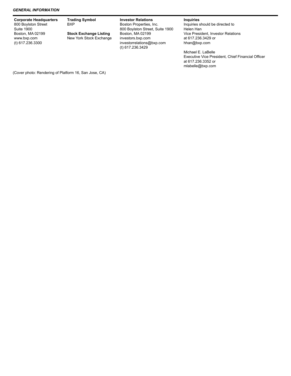#### *GENERAL INFORMATION*

| <b>Corporate Headquarters</b><br>800 Boylston Street<br><b>Suite 1900</b> | <b>Trading Symbol</b><br><b>BXP</b>                      | <b>Investor Relations</b><br>Boston Properties, Inc.<br>800 Boylston Street, Suite 1900 | <b>Inquiries</b><br>Inquiries should be directed to<br>Helen Han         |
|---------------------------------------------------------------------------|----------------------------------------------------------|-----------------------------------------------------------------------------------------|--------------------------------------------------------------------------|
| Boston, MA 02199<br>www.bxp.com<br>(t) 617.236.3300                       | <b>Stock Exchange Listing</b><br>New York Stock Exchange | Boston, MA 02199<br>investors.bxp.com<br>investorrelations@bxp.com<br>(t) 617.236.3429  | Vice President, Investor Relations<br>at 617.236.3429 or<br>hhan@bxp.com |
|                                                                           |                                                          |                                                                                         | Michael E. LaBelle<br>Executive Vice President, Chief Financial Officer  |

at 617.236.3352 or mlabelle@bxp.com

(Cover photo: Rendering of Platform 16, San Jose, CA)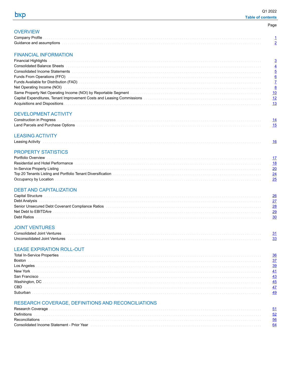**OVERVIEW** Company Profile

 $\overline{2}$ 

| Page |  |
|------|--|
|      |  |

# **FINANCIAL INFORMATION**

Guidance and assumptions

| Consolidated Income Statements with a construction of the construction of the consolidated Income Statements with a consequent of the consequent of the consequent of the consequent of the consequent of the consequent of th |  |
|--------------------------------------------------------------------------------------------------------------------------------------------------------------------------------------------------------------------------------|--|
|                                                                                                                                                                                                                                |  |
|                                                                                                                                                                                                                                |  |
| Net Operating Income (NOI) with an account of the contract of the contract of the contract of the contract of the contract of the contract of the contract of the contract of the contract of the contract of the contract of  |  |
| Same Property Net Operating Income (NOI) by Reportable Segment (1) and the contract of the contract of the contract of the contract of the contract of the contract of the contract of the contract of the contract of the con |  |
| Capital Expenditures, Tenant Improvement Costs and Leasing Commissions [11] Capital Expenditures, Tenant Improvement Costs and Leasing Commissions [11] Commissions [11] Capital Expenditures, Tenant Improvement Costs and Le |  |
|                                                                                                                                                                                                                                |  |
|                                                                                                                                                                                                                                |  |

# **DEVELOPMENT ACTIVITY**

| Land Parcels and Purchase Options |  |
|-----------------------------------|--|

# **LEASING ACTIVITY**

| Leasing Activity |  |  |
|------------------|--|--|
|------------------|--|--|

# PROPERTY STATISTICS

|                                                                                                                                                                                                                                | $\frac{17}{2}$              |
|--------------------------------------------------------------------------------------------------------------------------------------------------------------------------------------------------------------------------------|-----------------------------|
| Residential and Hotel Performance entrance and the control of the control of the control of the control of the control of the control of the control of the control of the control of the control of the control of the contro | - 18                        |
| In-Service Property Listing with an account of the control of the control of the control of the control of the control of the control of the control of the control of the control of the control of the control of the contro | 20                          |
| Top 20 Tenants Listing and Portfolio Tenant Diversification                                                                                                                                                                    | 24                          |
|                                                                                                                                                                                                                                | $\overline{\phantom{0}}$ 25 |

# **DEBT AND CAPITALIZATION**

|               | -26  |
|---------------|------|
| Debt Analysis | 27   |
|               | -28  |
|               | 29   |
|               | - 30 |
|               |      |

# **JOINT VENTURES**

| Consolidated Joint Ventures   |  |
|-------------------------------|--|
| Unconsolidated Joint Ventures |  |

# **LEASE EXPIRATION ROLL-OUT**

| <b>Total In-Service Properties</b> |  |
|------------------------------------|--|
| Boston                             |  |
|                                    |  |
| Los Angeles<br>New York            |  |
| San Francisco                      |  |
| Washington, DC                     |  |
| CBD                                |  |
|                                    |  |

# RESEARCH COVERAGE, DEFINITIONS AND RECONCILIATIONS

| Definitions with a construction of the construction of the construction of the construction of the construction of the construction of the construction of the construction of the construction of the construction of the con     | - 52 |
|------------------------------------------------------------------------------------------------------------------------------------------------------------------------------------------------------------------------------------|------|
|                                                                                                                                                                                                                                    | - 56 |
| Consolidated Income Statement - Prior Year<br>1940 - The Manager Manager (1994) - The Manager Statement - Prior Year<br>1940 - The Manager Manager (1994) - The Manager Statement - Prior Version - The Manager Statement - Statem |      |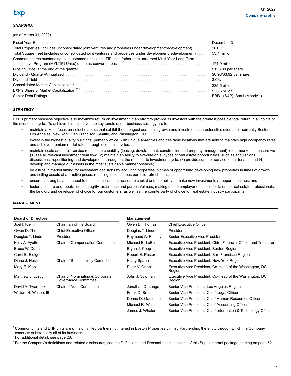## <span id="page-4-0"></span>*SNAPSHOT*

 $(1, 1, 1, 1, 2, 3, 2, 0, 0, 0, 0)$ 

| $(as \text{ or } \text{Water})$                                                                                           |                            |
|---------------------------------------------------------------------------------------------------------------------------|----------------------------|
| Fiscal Year-End                                                                                                           | December 31                |
| Total Properties (includes unconsolidated joint ventures and properties under development/redevelopment)                  | 201                        |
| Total Square Feet (includes unconsolidated joint ventures and properties under development/redevelopment)                 | 53.1 million               |
| Common shares outstanding, plus common units and LTIP units (other than unearned Multi-Year Long-Term                     | 174.9 million              |
| Closing Price, at the end of the quarter entering contained and the contained price, at the end of the quarter            | \$128.80 per share         |
|                                                                                                                           | \$0.98/\$3.92 per share    |
| Dividend Yield <b>Election Construction Construction</b> Construction Construction Construction Construction Construction | 3.0%                       |
|                                                                                                                           | \$35.5 billion             |
|                                                                                                                           | \$35.6 billion             |
| <b>Senior Debt Ratings</b>                                                                                                | BBB+ (S&P); Baa1 (Moody's) |

# *STRATEGY*

BXP's primary business objective is to maximize return on investment in an effort to provide its investors with the greatest possible total return in all points of the economic cycle. To achieve this objective, the key tenets of our business strategy are to:

- maintain a keen focus on select markets that exhibit the strongest economic growth and investment characteristics over time currently Boston, Los Angeles, New York, San Francisco, Seattle, and Washington, DC;
- invest in the highest quality buildings (primarily office) with unique amenities and desirable locations that are able to maintain high occupancy rates and achieve premium rental rates through economic cycles;
- maintain scale and a full-service real estate capability (leasing, development, construction and property management) in our markets to ensure we (1) see all relevant investment deal flow, (2) maintain an ability to execute on all types of real estate opportunities, such as acquisitions, dispositions, repositioning and development, throughout the real estate investment cycle, (3) provide superior service to our tenants and (4) develop and manage our assets in the most sustainable manner possible;
- be astute in market timing for investment decisions by acquiring properties in times of opportunity, developing new properties in times of growth and selling assets at attractive prices, resulting in continuous portfolio refreshment;
- ensure a strong balance sheet to maintain consistent access to capital and the ability to make new investments at opportune times; and
- foster a culture and reputation of integrity, excellence and purposefulness, making us the employer of choice for talented real estate professionals, the landlord and developer of choice for our customers, as well as the counterparty of choice for real estate industry participants.

#### *MANAGEMENT*

| <b>Board of Directors</b> |                                                         | <b>Management</b>  |                                                                   |  |
|---------------------------|---------------------------------------------------------|--------------------|-------------------------------------------------------------------|--|
| Joel I. Klein             | Chairman of the Board                                   | Owen D. Thomas     | <b>Chief Executive Officer</b>                                    |  |
| Owen D. Thomas            | <b>Chief Executive Officer</b>                          | Douglas T. Linde   | President                                                         |  |
| Douglas T. Linde          | President                                               | Raymond A. Ritchey | Senior Executive Vice President                                   |  |
| Kelly A. Ayotte           | <b>Chair of Compensation Committee</b>                  | Michael E. LaBelle | Executive Vice President, Chief Financial Officer and Treasurer   |  |
| Bruce W. Duncan           |                                                         | Bryan J. Koop      | Executive Vice President, Boston Region                           |  |
| Carol B. Einiger          |                                                         | Robert E. Pester   | Executive Vice President, San Francisco Region                    |  |
| Diane J. Hoskins          | <b>Chair of Sustainability Committee</b>                | Hilary Spann       | Executive Vice President, New York Region                         |  |
| Mary E. Kipp              |                                                         | Peter V. Otteni    | Executive Vice President, Co-Head of the Washington, DC<br>Region |  |
| Matthew J. Lustig         | Chair of Nominating & Corporate<br>Governance Committee | John J. Stroman    | Executive Vice President, Co-Head of the Washington, DC<br>Region |  |
| David A. Twardock         | <b>Chair of Audit Committee</b>                         | Jonathan D. Lange  | Senior Vice President, Los Angeles Region                         |  |
| William H. Walton, III    |                                                         | Frank D. Burt      | Senior Vice President, Chief Legal Officer                        |  |
|                           |                                                         | Donna D. Garesche  | Senior Vice President, Chief Human Resources Officer              |  |
|                           |                                                         | Michael R. Walsh   | Senior Vice President, Chief Accounting Officer                   |  |
|                           |                                                         | James J. Whalen    | Senior Vice President, Chief Information & Technology Officer     |  |

 $1$  Common units and LTIP units are units of limited partnership interest in Boston Properties Limited Partnership, the entity through which the Company conducts substantially all of its business.

 $\mathcal{L}_\text{max}$  and  $\mathcal{L}_\text{max}$  and  $\mathcal{L}_\text{max}$ 

<sup>&</sup>lt;sup>2</sup> For additional detail, see page 26.

<sup>&</sup>lt;sup>3</sup> For the Company's definitions and related disclosures, see the Definitions and Reconciliations sections of this Supplemental package starting on page 52.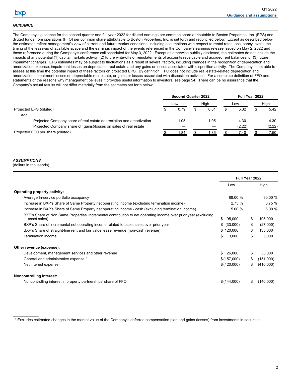<span id="page-5-0"></span>hxn

# *GUIDANCE*

The Company's guidance for the second quarter and full year 2022 for diluted earnings per common share attributable to Boston Properties, Inc. (EPS) and diluted funds from operations (FFO) per common share attributable to Boston Properties, Inc. is set forth and reconciled below. Except as described below, the estimates reflect management's view of current and future market conditions, including assumptions with respect to rental rates, occupancy levels, the timing of the lease-up of available space and the earnings impact of the events referenced in the Company's earnings release issued on May 2, 2022 and those referenced during the Company's conference call scheduled for May 3, 2022. Except as otherwise publicly disclosed, the estimates do not include the impacts of any potential (1) capital markets activity, (2) future write-offs or reinstatements of accounts receivable and accrued rent balances, or (3) future impairment charges. EPS estimates may be subject to fluctuations as a result of several factors, including changes in the recognition of depreciation and amortization expense, impairment losses on depreciable real estate and any gains or losses associated with disposition activity. The Company is not able to assess at this time the potential impact of these factors on projected EPS. By definition, FFO does not include real estate-related depreciation and amortization, impairment losses on depreciable real estate, or gains or losses associated with disposition activities. For a complete definition of FFO and statements of the reasons why management believes it provides useful information to investors, see page 54. There can be no assurance that the Company's actual results will not differ materially from the estimates set forth below.

|      |     |       |                                    |        |     | High           |
|------|-----|-------|------------------------------------|--------|-----|----------------|
| 0.79 |     | 0.81  | S.                                 | 5.32   |     | 5.42           |
|      |     |       |                                    |        |     |                |
| 1.05 |     | 1.05  |                                    | 4.30   |     | 4.30           |
|      |     |       |                                    | (2.22) |     | (2.22)         |
| 1.84 |     | 86. ا |                                    | 7.40   |     | 7.50           |
|      | Low |       | <b>Second Quarter 2022</b><br>High |        | Low | Full Year 2022 |

### *ASSUMPTIONS*

 $\mathcal{L}_\text{max}$  and  $\mathcal{L}_\text{max}$ 

(dollars in thousands)

|                                                                                                                                 | Full Year 2022 |    |           |
|---------------------------------------------------------------------------------------------------------------------------------|----------------|----|-----------|
|                                                                                                                                 | Low            |    | High      |
| <b>Operating property activity:</b>                                                                                             |                |    |           |
| Average In-service portfolio occupancy                                                                                          | 88.00 %        |    | 90.00%    |
| Increase in BXP's Share of Same Property net operating income (excluding termination income)                                    | 2.75%          |    | 3.75%     |
| Increase in BXP's Share of Same Property net operating income - cash (excluding termination income)                             | 5.00 %         |    | 6.00%     |
| BXP's Share of Non Same Properties' incremental contribution to net operating income over prior year (excluding<br>asset sales) | S<br>95,000    | \$ | 105,000   |
| BXP's Share of incremental net operating income related to asset sales over prior year                                          | \$ (33,000)    | \$ | (27,000)  |
| BXP's Share of straight-line rent and fair value lease revenue (non-cash revenue)                                               | \$120,000      | \$ | 135,000   |
| Termination income                                                                                                              | 3,000<br>\$.   | \$ | 5,000     |
| Other revenue (expense):                                                                                                        |                |    |           |
| Development, management services and other revenue                                                                              | \$26,000       | S  | 33,000    |
| General and administrative expense                                                                                              | \$(157,000)    | \$ | (151,000) |
| Net interest expense                                                                                                            | \$(420,000)    | \$ | (410,000) |
| <b>Noncontrolling interest:</b>                                                                                                 |                |    |           |
| Noncontrolling interest in property partnerships' share of FFO                                                                  | \$(144,000)    | \$ | (140,000) |

 $1$  Excludes estimated changes in the market value of the Company's deferred compensation plan and gains (losses) from investments in securities.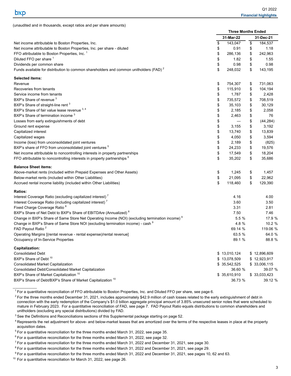$\mathcal{L}_\text{max}$  and  $\mathcal{L}_\text{max}$ 

<span id="page-6-0"></span>(unaudited and in thousands, except ratios and per share amounts)

|                                                                                                            | <b>Three Months Ended</b> |              |    |              |
|------------------------------------------------------------------------------------------------------------|---------------------------|--------------|----|--------------|
|                                                                                                            |                           | 31-Mar-22    |    | 31-Dec-21    |
| Net income attributable to Boston Properties, Inc.                                                         | \$                        | 143,047      | \$ | 184,537      |
| Net income attributable to Boston Properties, Inc. per share - diluted                                     | \$                        | 0.91         | \$ | 1.18         |
| FFO attributable to Boston Properties, Inc. 1                                                              | \$                        | 286,136      | \$ | 242,963      |
| Diluted FFO per share 1                                                                                    | \$                        | 1.82         | \$ | 1.55         |
| Dividends per common share                                                                                 | \$                        | 0.98         | \$ | 0.98         |
| Funds available for distribution to common shareholders and common unitholders (FAD) <sup>2</sup>          | \$                        | 248,032      | \$ | 143,195      |
| <b>Selected items:</b>                                                                                     |                           |              |    |              |
| Revenue                                                                                                    | \$                        | 754,307      | \$ | 731,063      |
| Recoveries from tenants                                                                                    | \$                        | 115,910      | \$ | 104,194      |
| Service income from tenants                                                                                | \$                        | 1,787        | \$ | 2,428        |
| BXP's Share of revenue <sup>3</sup>                                                                        | \$                        | 735,572      | \$ | 708,519      |
| BXP's Share of straight-line rent <sup>3</sup>                                                             | \$                        | 35,103       | \$ | 30,129       |
| BXP's Share of fair value lease revenue 3, 4                                                               | \$                        | 2,185        | \$ | 2,058        |
| BXP's Share of termination income <sup>3</sup>                                                             | \$                        | 2,463        | \$ | 76           |
| Losses from early extinguishments of debt                                                                  | \$                        |              | \$ | (44, 284)    |
| Ground rent expense                                                                                        | \$                        | 3,155        | \$ | 3,192        |
| Capitalized interest                                                                                       | \$                        | 13,740       | \$ | 13,839       |
| Capitalized wages                                                                                          | \$                        | 4,050        | \$ | 3,594        |
| Income (loss) from unconsolidated joint ventures                                                           | \$                        | 2,189        | \$ | (825)        |
| BXP's share of FFO from unconsolidated joint ventures <sup>5</sup>                                         | \$                        | 24,233       | \$ | 19,576       |
| Net income attributable to noncontrolling interests in property partnerships                               | \$                        | 17,549       | \$ | 18,204       |
| FFO attributable to noncontrolling interests in property partnerships <sup>6</sup>                         | \$                        | 35,202       | \$ | 35,686       |
| <b>Balance Sheet items:</b>                                                                                |                           |              |    |              |
| Above-market rents (included within Prepaid Expenses and Other Assets)                                     | \$                        | 1,245        | \$ | 1,457        |
| Below-market rents (included within Other Liabilities)                                                     | \$                        | 21,095       | \$ | 22,962       |
| Accrued rental income liability (included within Other Liabilities)                                        | \$                        | 118,460      | \$ | 129,390      |
| <b>Ratios:</b>                                                                                             |                           |              |    |              |
| Interest Coverage Ratio (excluding capitalized interest) <sup>7</sup>                                      |                           | 4.16         |    | 4.00         |
| Interest Coverage Ratio (including capitalized interest) <sup>7</sup>                                      |                           | 3.60         |    | 3.50         |
| Fixed Charge Coverage Ratio <sup>8</sup>                                                                   |                           | 3.31         |    | 2.81         |
| BXP's Share of Net Debt to BXP's Share of EBITDAre (Annualized) <sup>8</sup>                               |                           | 7.50         |    | 7.46         |
| Change in BXP's Share of Same Store Net Operating Income (NOI) (excluding termination income) <sup>9</sup> |                           | 5.5%         |    | 17.9 %       |
| Change in BXP's Share of Same Store NOI (excluding termination income) - cash <sup>9</sup>                 |                           | 4.8 %        |    | 10.2 %       |
| FAD Payout Ratio <sup>2</sup>                                                                              |                           | 69.14 %      |    | 119.06 %     |
| Operating Margins [(rental revenue - rental expense)/rental revenue]                                       |                           | 63.5 %       |    | 64.0 %       |
| Occupancy of In-Service Properties                                                                         |                           | 89.1 %       |    | 88.8 %       |
| <b>Capitalization:</b>                                                                                     |                           |              |    |              |
| <b>Consolidated Debt</b>                                                                                   |                           | \$13,010,124 |    | \$12,896,609 |
| BXP's Share of Debt <sup>10</sup>                                                                          |                           | \$13,078,509 |    | \$12,923,917 |
| Consolidated Market Capitalization                                                                         |                           | \$35,542,525 |    | \$33,006,115 |
| Consolidated Debt/Consolidated Market Capitalization                                                       |                           | 36.60 %      |    | 39.07 %      |
| BXP's Share of Market Capitalization <sup>10</sup>                                                         |                           | \$35,610,910 |    | \$33,033,423 |
| BXP's Share of Debt/BXP's Share of Market Capitalization <sup>10</sup>                                     |                           | 36.73 %      |    | 39.12 %      |

<sup>1</sup> For a quantitative reconciliation of FFO attributable to Boston Properties, Inc. and Diluted FFO per share, see page 6.

 $<sup>2</sup>$  For the three months ended December 31, 2021, includes approximately \$42.9 million of cash losses related to the early extinguishment of debt in</sup> connection with the early redemption of the Company's \$1.0 billion aggregate principal amount of 3.85% unsecured senior notes that were scheduled to mature in February 2023. For a quantitative reconciliation of FAD, see page 7. FAD Payout Ratio equals distributions to common shareholders and unitholders (excluding any special distributions) divided by FAD.

 $3$  See the Definitions and Reconciliations sections of this Supplemental package starting on page 52.

<sup>&</sup>lt;sup>4</sup> Represents the net adjustment for above- and below-market leases that are amortized over the terms of the respective leases in place at the property acquisition dates.

 $5$  For a quantitative reconciliation for the three months ended March 31, 2022, see page 35.

 $6$  For a quantitative reconciliation for the three months ended March 31, 2022, see page 32.

 $^7$  For a quantitative reconciliation for the three months ended March 31, 2022 and December 31, 2021, see page 30.

 $8$  For a quantitative reconciliation for the three months ended March 31, 2022 and December 31, 2021, see page 29.

<sup>&</sup>lt;sup>9</sup> For a quantitative reconciliation for the three months ended March 31, 2022 and December 31, 2021, see pages 10, 62 and 63.

<sup>&</sup>lt;sup>10</sup> For a quantitative reconciliation for March 31, 2022, see page 26.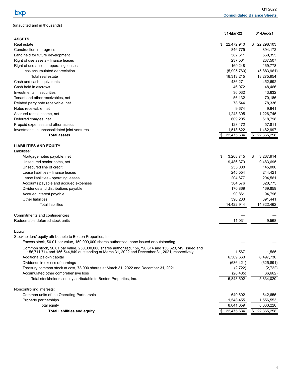<span id="page-7-0"></span>

| (unaudited and in thousands) |
|------------------------------|
|------------------------------|

|                                                                                                                                                                                                        | 31-Mar-22                 | 31-Dec-21                 |
|--------------------------------------------------------------------------------------------------------------------------------------------------------------------------------------------------------|---------------------------|---------------------------|
| <b>ASSETS</b>                                                                                                                                                                                          | \$                        | 22,298,103                |
| Real estate<br>Construction in progress                                                                                                                                                                | 22,472,940<br>846,775     | \$<br>894,172             |
| Land held for future development                                                                                                                                                                       | 582,511                   | 560,355                   |
| Right of use assets - finance leases                                                                                                                                                                   | 237,501                   | 237,507                   |
| Right of use assets - operating leases                                                                                                                                                                 | 169,248                   | 169,778                   |
| Less accumulated depreciation                                                                                                                                                                          |                           |                           |
| Total real estate                                                                                                                                                                                      | (5,995,760)<br>18,313,215 | (5,883,961)<br>18,275,954 |
| Cash and cash equivalents                                                                                                                                                                              | 436,271                   | 452,692                   |
| Cash held in escrows                                                                                                                                                                                   | 46,072                    |                           |
|                                                                                                                                                                                                        |                           | 48,466                    |
| Investments in securities                                                                                                                                                                              | 36,032                    | 43,632                    |
| Tenant and other receivables, net                                                                                                                                                                      | 56,132                    | 70,186                    |
| Related party note receivable, net                                                                                                                                                                     | 78,544                    | 78,336                    |
| Notes receivable, net                                                                                                                                                                                  | 9,674                     | 9,641                     |
| Accrued rental income, net                                                                                                                                                                             | 1,243,395                 | 1,226,745                 |
| Deferred charges, net                                                                                                                                                                                  | 609,205                   | 618,798                   |
| Prepaid expenses and other assets                                                                                                                                                                      | 128,472                   | 57,811                    |
| Investments in unconsolidated joint ventures                                                                                                                                                           | 1,518,622                 | 1,482,997                 |
| <b>Total assets</b>                                                                                                                                                                                    | 22,475,634<br>\$          | \$<br>22,365,258          |
| <b>LIABILITIES AND EQUITY</b>                                                                                                                                                                          |                           |                           |
| Liabilities:                                                                                                                                                                                           |                           |                           |
| Mortgage notes payable, net                                                                                                                                                                            | \$<br>3,268,745           | 3,267,914<br>\$           |
| Unsecured senior notes, net                                                                                                                                                                            | 9,486,379                 | 9,483,695                 |
| Unsecured line of credit                                                                                                                                                                               | 255,000                   | 145,000                   |
| Lease liabilities - finance leases                                                                                                                                                                     | 245,554                   | 244,421                   |
| Lease liabilities - operating leases                                                                                                                                                                   | 204,677                   | 204,561                   |
| Accounts payable and accrued expenses                                                                                                                                                                  | 304,576                   | 320,775                   |
| Dividends and distributions payable                                                                                                                                                                    | 170,869                   | 169,859                   |
| Accrued interest payable                                                                                                                                                                               | 90,861                    | 94,796                    |
| Other liabilities                                                                                                                                                                                      | 396,283                   | 391,441                   |
| <b>Total liabilities</b>                                                                                                                                                                               | 14,422,944                | 14,322,462                |
|                                                                                                                                                                                                        |                           |                           |
| Commitments and contingencies                                                                                                                                                                          |                           |                           |
| Redeemable deferred stock units                                                                                                                                                                        | 11,031                    | 9,568                     |
| Equity:                                                                                                                                                                                                |                           |                           |
| Stockholders' equity attributable to Boston Properties, Inc.:                                                                                                                                          |                           |                           |
| Excess stock, \$0.01 par value, 150,000,000 shares authorized, none issued or outstanding                                                                                                              |                           |                           |
| Common stock, \$0.01 par value, 250,000,000 shares authorized, 156,790,614 and 156,623,749 issued and<br>156,711,714 and 156,544,849 outstanding at March 31, 2022 and December 31, 2021, respectively | 1,567                     | 1,565                     |
| Additional paid-in capital                                                                                                                                                                             | 6,509,663                 | 6,497,730                 |
| Dividends in excess of earnings                                                                                                                                                                        | (636, 421)                | (625, 891)                |
| Treasury common stock at cost, 78,900 shares at March 31, 2022 and December 31, 2021                                                                                                                   | (2,722)                   | (2,722)                   |
| Accumulated other comprehensive loss                                                                                                                                                                   | (28, 485)                 | (36,662)                  |
| Total stockholders' equity attributable to Boston Properties, Inc.                                                                                                                                     | 5,843,602                 | 5,834,020                 |
| Noncontrolling interests:                                                                                                                                                                              |                           |                           |
| Common units of the Operating Partnership                                                                                                                                                              | 649,602                   | 642,655                   |
| Property partnerships                                                                                                                                                                                  | 1,548,455                 | 1,556,553                 |
| Total equity                                                                                                                                                                                           | 8,041,659                 | 8,033,228                 |
| <b>Total liabilities and equity</b>                                                                                                                                                                    | \$ 22,475,634             | \$ 22,365,258             |
|                                                                                                                                                                                                        |                           |                           |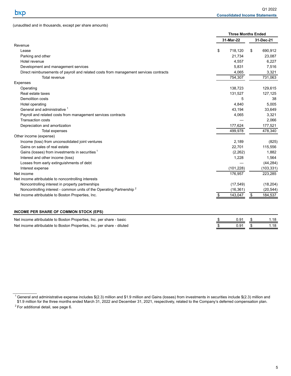$\mathcal{L}_\text{max}$  and  $\mathcal{L}_\text{max}$ 

<span id="page-8-0"></span>(unaudited and in thousands, except per share amounts)

|                                                                                       | <b>Three Months Ended</b> |               |            |
|---------------------------------------------------------------------------------------|---------------------------|---------------|------------|
|                                                                                       | 31-Mar-22                 |               | 31-Dec-21  |
| Revenue                                                                               |                           |               |            |
| Lease                                                                                 | \$<br>718,120             | \$            | 690,912    |
| Parking and other                                                                     | 21,734                    |               | 23,087     |
| Hotel revenue                                                                         | 4,557                     |               | 6,227      |
| Development and management services                                                   | 5,831                     |               | 7,516      |
| Direct reimbursements of payroll and related costs from management services contracts | 4,065                     |               | 3,321      |
| Total revenue                                                                         | 754,307                   |               | 731,063    |
| Expenses                                                                              |                           |               |            |
| Operating                                                                             | 138,723                   |               | 129,615    |
| Real estate taxes                                                                     | 131,527                   |               | 127,125    |
| <b>Demolition costs</b>                                                               | 5                         |               | 38         |
| Hotel operating                                                                       | 4,840                     |               | 5,005      |
| General and administrative <sup>1</sup>                                               | 43.194                    |               | 33,649     |
| Payroll and related costs from management services contracts                          | 4,065                     |               | 3,321      |
| <b>Transaction costs</b>                                                              |                           |               | 2,066      |
| Depreciation and amortization                                                         | 177,624                   |               | 177,521    |
| Total expenses                                                                        | 499,978                   |               | 478,340    |
| Other income (expense)                                                                |                           |               |            |
| Income (loss) from unconsolidated joint ventures                                      | 2,189                     |               | (825)      |
| Gains on sales of real estate                                                         | 22,701                    |               | 115,556    |
| Gains (losses) from investments in securities <sup>1</sup>                            | (2, 262)                  |               | 1,882      |
| Interest and other income (loss)                                                      | 1,228                     |               | 1,564      |
| Losses from early extinguishments of debt                                             |                           |               | (44, 284)  |
| Interest expense                                                                      | (101, 228)                |               | (103, 331) |
| Net income                                                                            | 176,957                   |               | 223,285    |
| Net income attributable to noncontrolling interests                                   |                           |               |            |
| Noncontrolling interest in property partnerships                                      | (17, 549)                 |               | (18, 204)  |
| Noncontrolling interest - common units of the Operating Partnership <sup>2</sup>      | (16, 361)                 |               | (20, 544)  |
| Net income attributable to Boston Properties, Inc.                                    | \$<br>143,047             | $\frac{1}{2}$ | 184,537    |
| INCOME PER SHARE OF COMMON STOCK (EPS)                                                |                           |               |            |
| Net income attributable to Boston Properties, Inc. per share - basic                  | \$<br>0.91                | \$            | 1.18       |
|                                                                                       | \$                        |               | 1.18       |
| Net income attributable to Boston Properties, Inc. per share - diluted                | 0.91                      | $\frac{1}{2}$ |            |

 $1$  General and administrative expense includes  $$(2.3)$  million and \$1.9 million and Gains (losses) from investments in securities include  $$(2.3)$  million and

<sup>\$1.9</sup> million for the three months ended March 31, 2022 and December 31, 2021, respectively, related to the Company's deferred compensation plan. <sup>2</sup> For additional detail, see page 6.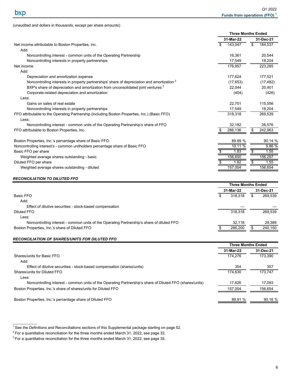|                                                                                                        | <b>Three Months Ended</b> |           |    |           |  |  |
|--------------------------------------------------------------------------------------------------------|---------------------------|-----------|----|-----------|--|--|
|                                                                                                        |                           | 31-Mar-22 |    | 31-Dec-21 |  |  |
| Net income attributable to Boston Properties, Inc.                                                     | \$                        | 143.047   | \$ | 184,537   |  |  |
| Add:                                                                                                   |                           |           |    |           |  |  |
| Noncontrolling interest - common units of the Operating Partnership                                    |                           | 16.361    |    | 20.544    |  |  |
| Noncontrolling interests in property partnerships                                                      |                           | 17.549    |    | 18,204    |  |  |
| Net income                                                                                             |                           | 176,957   |    | 223,285   |  |  |
| Add:                                                                                                   |                           |           |    |           |  |  |
| Depreciation and amortization expense                                                                  |                           | 177,624   |    | 177,521   |  |  |
| Noncontrolling interests in property partnerships' share of depreciation and amortization <sup>2</sup> |                           | (17, 653) |    | (17, 482) |  |  |
| BXP's share of depreciation and amortization from unconsolidated joint ventures <sup>3</sup>           |                           | 22,044    |    | 20,401    |  |  |
| Corporate-related depreciation and amortization                                                        |                           | (404)     |    | (426)     |  |  |
| Less:                                                                                                  |                           |           |    |           |  |  |
| Gains on sales of real estate                                                                          |                           | 22,701    |    | 115,556   |  |  |
| Noncontrolling interests in property partnerships                                                      |                           | 17,549    |    | 18,204    |  |  |
| FFO attributable to the Operating Partnership (including Boston Properties, Inc.) (Basic FFO)          |                           | 318,318   |    | 269,539   |  |  |
| Less:                                                                                                  |                           |           |    |           |  |  |
| Noncontrolling interest - common units of the Operating Partnership's share of FFO                     |                           | 32,182    |    | 26.576    |  |  |
| FFO attributable to Boston Properties, Inc.                                                            |                           | 286.136   | \$ | 242,963   |  |  |
|                                                                                                        |                           |           |    |           |  |  |
| Boston Properties, Inc.'s percentage share of Basic FFO                                                |                           | 89.89 %   |    | 90.14 %   |  |  |
| Noncontrolling interest's - common unitholders percentage share of Basic FFO                           |                           | 10.11%    |    | 9.86%     |  |  |
| Basic FFO per share                                                                                    |                           | 1.83      |    | 1.55      |  |  |
| Weighted average shares outstanding - basic                                                            |                           | 156,650   |    | 156,297   |  |  |
| Diluted FFO per share                                                                                  |                           | 1.82      |    | 1.55      |  |  |
| Weighted average shares outstanding - diluted                                                          |                           | 157.004   |    | 156,654   |  |  |
|                                                                                                        |                           |           |    |           |  |  |

### *RECONCILIATION TO DILUTED FFO*

 $\mathcal{L}_\text{max}$  and  $\mathcal{L}_\text{max}$ 

|                                                                                            | <b>Three Months Ended</b> |         |  |           |  |
|--------------------------------------------------------------------------------------------|---------------------------|---------|--|-----------|--|
|                                                                                            | 31-Mar-22                 |         |  | 31-Dec-21 |  |
| <b>Basic FFO</b>                                                                           | \$                        | 318.318 |  | 269,539   |  |
| Add:                                                                                       |                           |         |  |           |  |
| Effect of dilutive securities - stock-based compensation                                   |                           |         |  |           |  |
| Diluted FFO                                                                                |                           | 318.318 |  | 269,539   |  |
| Less:                                                                                      |                           |         |  |           |  |
| Noncontrolling interest - common units of the Operating Partnership's share of diluted FFO |                           | 32.118  |  | 29.389    |  |
| Boston Properties, Inc.'s share of Diluted FFO                                             |                           | 286.200 |  | 240,150   |  |
|                                                                                            |                           |         |  |           |  |

#### *RECONCILIATION OF SHARES/UNITS FOR DILUTED FFO*

<span id="page-9-0"></span>(unaudited and dollars in thousands, except per share amounts)

|                                                                                                           | <b>Three Months Ended</b> |           |
|-----------------------------------------------------------------------------------------------------------|---------------------------|-----------|
|                                                                                                           | 31-Mar-22                 | 31-Dec-21 |
| Shares/units for Basic FFO                                                                                | 174.276                   | 173.390   |
| Add:                                                                                                      |                           |           |
| Effect of dilutive securities - stock-based compensation (shares/units)                                   | 354                       | 357       |
| Shares/units for Diluted FFO                                                                              | 174.630                   | 173.747   |
| Less:                                                                                                     |                           |           |
| Noncontrolling interest - common units of the Operating Partnership's share of Diluted FFO (shares/units) | 17.626                    | 17,093    |
| Boston Properties, Inc.'s share of shares/units for Diluted FFO                                           | 157.004                   | 156,654   |
| Boston Properties, Inc.'s percentage share of Diluted FFO                                                 | 89.91 %                   | 90.16%    |

 $1$  See the Definitions and Reconciliations sections of this Supplemental package starting on page 52.

 $2$  For a quantitative reconciliation for the three months ended March 31, 2022, see page 32.

<sup>&</sup>lt;sup>3</sup> For a quantitative reconciliation for the three months ended March 31, 2022, see page 35.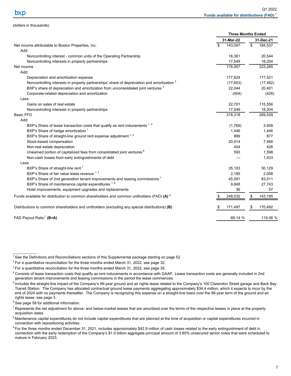<span id="page-10-0"></span>(dollars in thousands)

|                                                                                                        | <b>Three Months Ended</b> |           |    |           |  |
|--------------------------------------------------------------------------------------------------------|---------------------------|-----------|----|-----------|--|
|                                                                                                        | 31-Mar-22                 |           |    | 31-Dec-21 |  |
| Net income attributable to Boston Properties, Inc.                                                     | \$                        | 143,047   | \$ | 184,537   |  |
| Add:                                                                                                   |                           |           |    |           |  |
| Noncontrolling interest - common units of the Operating Partnership                                    |                           | 16,361    |    | 20,544    |  |
| Noncontrolling interests in property partnerships                                                      |                           | 17,549    |    | 18,204    |  |
| Net income                                                                                             |                           | 176,957   |    | 223,285   |  |
| Add:                                                                                                   |                           |           |    |           |  |
| Depreciation and amortization expense                                                                  |                           | 177,624   |    | 177,521   |  |
| Noncontrolling interests in property partnerships' share of depreciation and amortization <sup>2</sup> |                           | (17, 653) |    | (17, 482) |  |
| BXP's share of depreciation and amortization from unconsolidated joint ventures 3                      |                           | 22,044    |    | 20,401    |  |
| Corporate-related depreciation and amortization                                                        |                           | (404)     |    | (426)     |  |
| Less:                                                                                                  |                           |           |    |           |  |
| Gains on sales of real estate                                                                          |                           | 22,701    |    | 115,556   |  |
| Noncontrolling interests in property partnerships                                                      |                           | 17,549    |    | 18,204    |  |
| <b>Basic FFO</b>                                                                                       |                           | 318,318   |    | 269,539   |  |
| Add:                                                                                                   |                           |           |    |           |  |
| BXP's Share of lease transaction costs that qualify as rent inducements 1, 4                           |                           | (1,769)   |    | 3,408     |  |
| BXP's Share of hedge amortization <sup>1</sup>                                                         |                           | 1,446     |    | 1,446     |  |
| BXP's Share of straight-line ground rent expense adjustment 1, 5                                       |                           | 889       |    | 877       |  |
| Stock-based compensation                                                                               |                           | 20,914    |    | 7,466     |  |
| Non-real estate depreciation                                                                           |                           | 404       |    | 426       |  |
| Unearned portion of capitalized fees from consolidated joint ventures <sup>6</sup>                     |                           | 593       |    | 1,598     |  |
| Non-cash losses from early extinguishments of debt                                                     |                           |           |    | 1,433     |  |
| Less:                                                                                                  |                           |           |    |           |  |
| BXP's Share of straight-line rent <sup>1</sup>                                                         |                           | 35,103    |    | 30,129    |  |
| BXP's Share of fair value lease revenue 1,7                                                            |                           | 2,185     |    | 2,058     |  |
| BXP's Share of 2nd generation tenant improvements and leasing commissions <sup>1</sup>                 |                           | 45,591    |    | 83,011    |  |
| BXP's Share of maintenance capital expenditures 1, 8                                                   |                           | 9,848     |    | 27,743    |  |
| Hotel improvements, equipment upgrades and replacements                                                |                           | 36        |    | 57        |  |
| Funds available for distribution to common shareholders and common unitholders (FAD) (A) $^9$          |                           | 248,032   | \$ | 143,195   |  |
| Distributions to common shareholders and unitholders (excluding any special distributions) (B)         |                           | 171,497   |    | 170,492   |  |
| FAD Payout Ratio <sup>1</sup> (B÷A)                                                                    |                           | 69.14 %   |    | 119.06 %  |  |

 $6$  See page 58 for additional information.

 $1$  See the Definitions and Reconciliations sections of this Supplemental package starting on page 52.

 $2$  For a quantitative reconciliation for the three months ended March 31, 2022, see page 32.

<sup>&</sup>lt;sup>3</sup> For a quantitative reconciliation for the three months ended March 31, 2022, see page 35.

<sup>4</sup> Consists of lease transaction costs that qualify as rent inducements in accordance with GAAP. Lease transaction costs are generally included in 2nd generation tenant improvements and leasing commissions in the period the lease commences.

<sup>&</sup>lt;sup>5</sup> Includes the straight-line impact of the Company's 99-year ground and air rights lease related to the Company's 100 Clarendon Street garage and Back Bay Transit Station. The Company has allocated contractual ground lease payments aggregating approximately \$34.4 million, which it expects to incur by the end of 2024 with no payments thereafter. The Company is recognizing this expense on a straight-line basis over the 99-year term of the ground and air rights lease, see page 3.

 $^7$  Represents the net adjustment for above- and below-market leases that are amortized over the terms of the respective leases in place at the property acquisition dates.

<sup>&</sup>lt;sup>8</sup> Maintenance capital expenditures do not include capital expenditures that are planned at the time of acquisition or capital expenditures incurred in connection with repositioning activities.

<sup>&</sup>lt;sup>9</sup> For the three months ended December 31, 2021, includes approximately \$42.9 million of cash losses related to the early extinguishment of debt in connection with the early redemption of the Company's \$1.0 billion aggregate principal amount of 3.85% unsecured senior notes that were scheduled to mature in February 2023.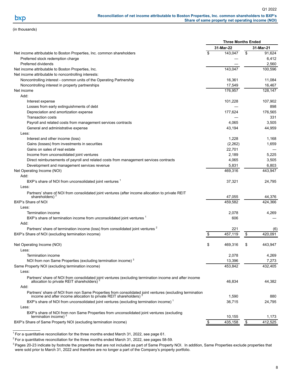<span id="page-11-0"></span>(in thousands)

|                                                                                                                               | <b>Three Months Ended</b> |                      |
|-------------------------------------------------------------------------------------------------------------------------------|---------------------------|----------------------|
|                                                                                                                               | 31-Mar-22                 | 31-Mar-21            |
| Net income attributable to Boston Properties, Inc. common shareholders                                                        | \$<br>143,047             | \$<br>91,624         |
| Preferred stock redemption charge                                                                                             |                           | 6,412                |
| Preferred dividends                                                                                                           |                           | 2,560                |
| Net income attributable to Boston Properties, Inc.                                                                            | 143,047                   | 100,596              |
| Net income attributable to noncontrolling interests:                                                                          |                           |                      |
| Noncontrolling interest - common units of the Operating Partnership                                                           | 16,361                    | 11,084               |
| Noncontrolling interest in property partnerships                                                                              | 17,549                    | 16,467               |
| Net income                                                                                                                    | 176,957                   | 128,147              |
| Add:                                                                                                                          |                           |                      |
| Interest expense                                                                                                              | 101,228                   | 107,902              |
| Losses from early extinguishments of debt                                                                                     |                           | 898                  |
| Depreciation and amortization expense                                                                                         | 177,624                   | 176,565              |
| <b>Transaction costs</b>                                                                                                      |                           | 331                  |
| Payroll and related costs from management services contracts                                                                  | 4,065                     | 3,505                |
| General and administrative expense                                                                                            | 43,194                    | 44,959               |
| Less:                                                                                                                         |                           |                      |
| Interest and other income (loss)                                                                                              | 1,228                     | 1,168                |
| Gains (losses) from investments in securities                                                                                 | (2,262)                   | 1,659                |
| Gains on sales of real estate                                                                                                 | 22,701                    |                      |
| Income from unconsolidated joint ventures                                                                                     | 2,189                     | 5,225                |
| Direct reimbursements of payroll and related costs from management services contracts                                         | 4,065                     | 3,505                |
| Development and management services revenue                                                                                   | 5,831                     | 6,803                |
| Net Operating Income (NOI)                                                                                                    | 469,316                   | 443,947              |
| Add:                                                                                                                          |                           |                      |
| BXP's share of NOI from unconsolidated joint ventures <sup>1</sup>                                                            | 37,321                    | 24,795               |
| Less:                                                                                                                         |                           |                      |
| Partners' share of NOI from consolidated joint ventures (after income allocation to private REIT                              |                           |                      |
| shareholders)                                                                                                                 | 47,055                    | 44,376               |
| BXP's Share of NOI                                                                                                            | 459,582                   | 424,366              |
| Less:                                                                                                                         |                           |                      |
| Termination income                                                                                                            | 2,078                     | 4,269                |
| BXP's share of termination income from unconsolidated joint ventures <sup>1</sup>                                             | 606                       |                      |
| Add:<br>Partners' share of termination income (loss) from consolidated joint ventures <sup>2</sup>                            |                           |                      |
|                                                                                                                               | \$<br>221<br>457,119      | \$<br>(6)<br>420,091 |
| BXP's Share of NOI (excluding termination income)                                                                             |                           |                      |
| Net Operating Income (NOI)                                                                                                    | \$<br>469,316             | \$<br>443,947        |
| Less:                                                                                                                         |                           |                      |
| Termination income                                                                                                            | 2,078                     | 4,269                |
| NOI from non Same Properties (excluding termination income) <sup>3</sup>                                                      | 13,396                    | 7,273                |
| Same Property NOI (excluding termination income)                                                                              | 453,842                   | 432,405              |
| Less:                                                                                                                         |                           |                      |
| Partners' share of NOI from consolidated joint ventures (excluding termination income and after income                        |                           |                      |
| allocation to private REIT shareholders)                                                                                      | 46,834                    | 44,382               |
| Add:                                                                                                                          |                           |                      |
| Partners' share of NOI from non Same Properties from consolidated joint ventures (excluding termination                       |                           |                      |
| income and after income allocation to private REIT shareholders)                                                              | 1,590                     | 880                  |
| BXP's share of NOI from unconsolidated joint ventures (excluding termination income) <sup>1</sup>                             | 36,715                    | 24,795               |
| Less:                                                                                                                         |                           |                      |
| BXP's share of NOI from non Same Properties from unconsolidated joint ventures (excluding<br>termination income) <sup>3</sup> |                           |                      |
| BXP's Share of Same Property NOI (excluding termination income)                                                               | 10,155<br>435,158         | 1,173<br>412,525     |
|                                                                                                                               |                           | \$                   |
|                                                                                                                               |                           |                      |

 $1$  For a quantitative reconciliation for the three months ended March 31, 2022, see page 61.

 $2$  For a quantitative reconciliation for the three months ended March 31, 2022, see pages 58-59.

<sup>3</sup> Pages 20-23 indicate by footnote the properties that are not included as part of Same Property NOI. In addition, Same Properties exclude properties that were sold prior to March 31, 2022 and therefore are no longer a part of the Company's property portfolio.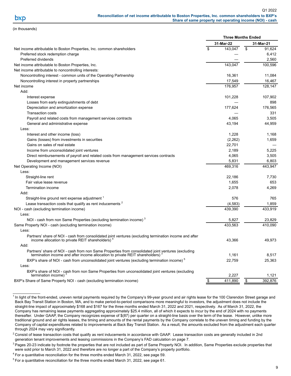Q1 2022 **Reconciliation of net income attributable to Boston Properties, Inc. common shareholders to BXP's Share of same property net operating income (NOI) - cash**

(in thousands)

 $\mathcal{L}_\text{max}$ 

|                                                                                                                                                                                      | <b>Three Months Ended</b> |               |
|--------------------------------------------------------------------------------------------------------------------------------------------------------------------------------------|---------------------------|---------------|
|                                                                                                                                                                                      | 31-Mar-22                 | 31-Mar-21     |
| Net income attributable to Boston Properties, Inc. common shareholders                                                                                                               | \$<br>143,047             | \$<br>91,624  |
| Preferred stock redemption charge                                                                                                                                                    |                           | 6,412         |
| Preferred dividends                                                                                                                                                                  |                           | 2,560         |
| Net income attributable to Boston Properties, Inc.                                                                                                                                   | 143.047                   | 100,596       |
| Net income attributable to noncontrolling interests:                                                                                                                                 |                           |               |
| Noncontrolling interest - common units of the Operating Partnership                                                                                                                  | 16,361                    | 11,084        |
| Noncontrolling interest in property partnerships                                                                                                                                     | 17,549                    | 16,467        |
| Net income                                                                                                                                                                           | 176,957                   | 128.147       |
| Add:                                                                                                                                                                                 |                           |               |
| Interest expense                                                                                                                                                                     | 101,228                   | 107,902       |
| Losses from early extinguishments of debt                                                                                                                                            |                           | 898           |
| Depreciation and amortization expense                                                                                                                                                | 177,624                   | 176,565       |
| <b>Transaction costs</b>                                                                                                                                                             |                           | 331           |
| Payroll and related costs from management services contracts                                                                                                                         | 4,065                     | 3,505         |
| General and administrative expense                                                                                                                                                   | 43,194                    | 44,959        |
| Less:                                                                                                                                                                                |                           |               |
| Interest and other income (loss)                                                                                                                                                     | 1,228                     | 1,168         |
| Gains (losses) from investments in securities                                                                                                                                        | (2,262)                   | 1,659         |
| Gains on sales of real estate                                                                                                                                                        | 22,701                    |               |
| Income from unconsolidated joint ventures                                                                                                                                            | 2,189                     | 5,225         |
| Direct reimbursements of payroll and related costs from management services contracts                                                                                                | 4,065                     | 3,505         |
| Development and management services revenue                                                                                                                                          | 5,831                     | 6,803         |
| Net Operating Income (NOI)                                                                                                                                                           | 469,316                   | 443,947       |
| Less:                                                                                                                                                                                |                           |               |
| Straight-line rent                                                                                                                                                                   | 22,186                    | 7,730         |
| Fair value lease revenue                                                                                                                                                             | 1,655                     | 653           |
| Termination income                                                                                                                                                                   | 2,078                     | 4,269         |
| Add:                                                                                                                                                                                 |                           |               |
| Straight-line ground rent expense adjustment <sup>1</sup>                                                                                                                            | 576                       | 765           |
| Lease transaction costs that qualify as rent inducements <sup>2</sup>                                                                                                                | (4, 583)                  | 1,859         |
| NOI - cash (excluding termination income)                                                                                                                                            | 439,390                   | 433,919       |
| Less:                                                                                                                                                                                |                           |               |
| NOI - cash from non Same Properties (excluding termination income) <sup>3</sup>                                                                                                      | 5,827                     | 23,829        |
| Same Property NOI - cash (excluding termination income)                                                                                                                              | 433,563                   | 410.090       |
| Less:                                                                                                                                                                                |                           |               |
| Partners' share of NOI - cash from consolidated joint ventures (excluding termination income and after<br>income allocation to private REIT shareholders)                            | 43,366                    | 49,973        |
| Add:                                                                                                                                                                                 |                           |               |
| Partners' share of NOI - cash from non Same Properties from consolidated joint ventures (excluding<br>termination income and after income allocation to private REIT shareholders) b | 1,161                     | 8,517         |
| BXP's share of NOI - cash from unconsolidated joint ventures (excluding termination income) <sup>5</sup>                                                                             | 22,759                    | 25,363        |
| Less:                                                                                                                                                                                |                           |               |
| BXP's share of NOI - cash from non Same Properties from unconsolidated joint ventures (excluding                                                                                     |                           |               |
| termination income)                                                                                                                                                                  | 2,227                     | 1,121         |
| BXP's Share of Same Property NOI - cash (excluding termination income)                                                                                                               | \$<br>411,890             | \$<br>392,876 |

<sup>&</sup>lt;sup>1</sup> In light of the front-ended, uneven rental payments required by the Company's 99-year ground and air rights lease for the 100 Clarendon Street garage and Back Bay Transit Station in Boston, MA, and to make period-to-period comparisons more meaningful to investors, the adjustment does not include the straight-line impact of approximately \$168 and \$167 for the three months ended March 31, 2022 and 2021, respectively. As of March 31, 2022, the Company has remaining lease payments aggregating approximately \$25.4 million, all of which it expects to incur by the end of 2024 with no payments thereafter. Under GAAP, the Company recognizes expense of \$(87) per quarter on a straight-line basis over the term of the lease. However, unlike more traditional ground and air rights leases, the timing and amounts of the rental payments by the Company correlate to the uneven timing and funding by the Company of capital expenditures related to improvements at Back Bay Transit Station. As a result, the amounts excluded from the adjustment each quarter through 2024 may vary significantly.

 $2$  Consist of lease transaction costs that qualify as rent inducements in accordance with GAAP. Lease transaction costs are generally included in 2nd generation tenant improvements and leasing commissions in the Company's FAD calculation on page 7.

<sup>&</sup>lt;sup>3</sup> Pages 20-23 indicate by footnote the properties that are not included as part of Same Property NOI. In addition, Same Properties exclude properties that were sold prior to March 31, 2022 and therefore are no longer a part of the Company's property portfolio.

<sup>&</sup>lt;sup>4</sup> For a quantitative reconciliation for the three months ended March 31, 2022, see page 59.

<sup>&</sup>lt;sup>5</sup> For a quantitative reconciliation for the three months ended March 31, 2022, see page 61.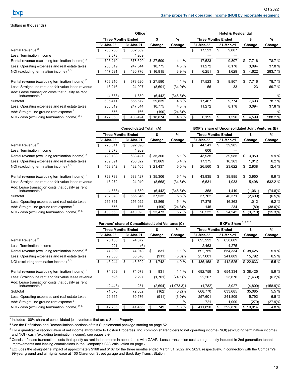#### <span id="page-13-0"></span>(dollars in thousands)

|                                                                    | Office <sup>1</sup> |                           |    |           |          | <b>Hotel &amp; Residential</b> |                           |           |     |           |    |        |               |  |
|--------------------------------------------------------------------|---------------------|---------------------------|----|-----------|----------|--------------------------------|---------------------------|-----------|-----|-----------|----|--------|---------------|--|
|                                                                    |                     | <b>Three Months Ended</b> |    |           | \$       | %                              | <b>Three Months Ended</b> |           |     |           |    | \$     | $\frac{9}{6}$ |  |
|                                                                    |                     | 31-Mar-22                 |    | 31-Mar-21 | Change   | Change                         |                           | 31-Mar-22 |     | 31-Mar-21 |    | Change | Change        |  |
| Rental Revenue <sup>2</sup>                                        | Ж.                  | 708,288                   | \$ | 682,889   |          |                                | \$                        | 17,523    | \$  | 9,807     |    |        |               |  |
| Less: Termination income                                           |                     | 2,078                     |    | 4,269     |          |                                |                           |           |     |           |    |        |               |  |
| Rental revenue (excluding termination income) <sup>2</sup>         |                     | 706,210                   |    | 678,620   | \$27,590 | 4.1 %                          |                           | 17,523    |     | 9,807     |    | 7,716  | 78.7 %        |  |
| Less: Operating expenses and real estate taxes                     |                     | 258,619                   |    | 247,844   | 10,775   | 4.3 %                          |                           | 11,272    |     | 8,178     |    | 3,094  | 37.8 %        |  |
| NOI (excluding termination income) $2,3$                           |                     | 447,591                   |    | 430,776   | \$16,815 | 3.9%                           |                           | 6,251     |     | 1,629     |    | 4,622  | 283.7 %       |  |
| Rental revenue (excluding termination income) <sup>2</sup>         | \$                  | 706,210                   | \$ | 678,620   | \$27,590 | 4.1 %                          | \$                        | 17,523    | \$. | 9,807     | \$ | 7,716  | 78.7 %        |  |
| Less: Straight-line rent and fair value lease revenue              |                     | 16,216                    |    | 24,907    | (8,691)  | $(34.9)\%$                     |                           | 56        |     | 33        |    | 23     | 69.7 %        |  |
| Add: Lease transaction costs that qualify as rent<br>inducements ' |                     | (4, 583)                  |    | 1,859     | (6, 442) | (346.5)%                       |                           |           |     |           |    |        | $-$ %         |  |
| Subtotal                                                           |                     | 685,411                   |    | 655,572   | 29,839   | 4.6 %                          |                           | 17,467    |     | 9,774     |    | 7,693  | 78.7 %        |  |
| Less: Operating expenses and real estate taxes                     |                     | 258,619                   |    | 247,844   | 10,775   | 4.3 %                          |                           | 11,272    |     | 8,178     |    | 3,094  | 37.8 %        |  |
| Add: Straight-line ground rent expense <sup>5</sup>                |                     | 576                       |    | 766       | (190)    | $(24.8)\%$                     |                           |           |     |           |    |        | $-$ %         |  |
| NOI - cash (excluding termination income) <sup>2, 3</sup>          |                     | 427,368                   |    | 408,494   | \$18,874 | 4.6 %                          |                           | 6,195     |     | 1,596     |    | 4,599  | 288.2 %       |  |

|                                                                               | Consolidated Total <sup>1</sup> (A) |                           |     |           |          |             | BXP's share of Unconsolidated Joint Ventures (B) |           |     |           |    |         |            |  |  |
|-------------------------------------------------------------------------------|-------------------------------------|---------------------------|-----|-----------|----------|-------------|--------------------------------------------------|-----------|-----|-----------|----|---------|------------|--|--|
|                                                                               |                                     | <b>Three Months Ended</b> |     |           | \$       | %           | <b>Three Months Ended</b>                        |           |     |           |    | \$      | %          |  |  |
|                                                                               |                                     | 31-Mar-22                 |     | 31-Mar-21 | Change   | Change      |                                                  | 31-Mar-22 |     | 31-Mar-21 |    | Change  | Change     |  |  |
| Rental Revenue <sup>2</sup>                                                   |                                     | 725,811                   | \$  | 692,696   |          |             |                                                  | 44,541    | \$. | 39,985    |    |         |            |  |  |
| Less: Termination income                                                      |                                     | 2,078                     |     | 4,269     |          |             |                                                  | 606       |     |           |    |         |            |  |  |
| Rental revenue (excluding termination income) <sup>2</sup>                    |                                     | 723,733                   |     | 688,427   | \$35,306 | 5.1 %       |                                                  | 43,935    |     | 39,985    | \$ | 3,950   | 9.9%       |  |  |
| Less: Operating expenses and real estate taxes                                |                                     | 269,891                   |     | 256,022   | 13,869   | 5.4 %       |                                                  | 17,375    |     | 16,363    |    | 1,012   | 6.2%       |  |  |
| NOI (excluding termination income) $2,3$                                      |                                     | 453,842                   |     | 432,405   | \$21,437 | 5.0%        |                                                  | 26,560    |     | 23,622    | S. | 2,938   | 12.4 %     |  |  |
| Rental revenue (excluding termination income) <sup>2</sup>                    | \$.                                 | 723.733                   | \$. | 688,427   | \$35,306 | 5.1%        | \$                                               | 43,935    | \$  | 39,985    | \$ | 3,950   | 9.9%       |  |  |
| Less: Straight-line rent and fair value lease revenue                         |                                     | 16,272                    |     | 24,940    | (8,668)  | $(34.8)\%$  |                                                  | 6,531     |     | 1,033     |    | 5,498   | 532.2 %    |  |  |
| Add: Lease transaction costs that qualify as rent<br>inducements <sup>4</sup> |                                     | (4, 583)                  |     | 1,859     | (6, 442) | $(346.5)\%$ |                                                  | 358       |     | 1,419     |    | (1,061) | $(74.8)\%$ |  |  |
| Subtotal                                                                      |                                     | 702,878                   |     | 665,346   | 37,532   | 5.6 %       |                                                  | 37,762    |     | 40,371    |    | (2,609) | (6.5)%     |  |  |
| Less: Operating expenses and real estate taxes                                |                                     | 269,891                   |     | 256,022   | 13,869   | 5.4%        |                                                  | 17,375    |     | 16,363    |    | 1,012   | 6.2%       |  |  |
| Add: Straight-line ground rent expense <sup>5</sup>                           |                                     | 576                       |     | 766       | (190)    | $(24.8)\%$  |                                                  | 145       |     | 234       |    | (89)    | $(38.0)\%$ |  |  |
| NOI - cash (excluding termination income) $2, 3$                              |                                     | 433,563                   |     | 410,090   | \$23,473 | 5.7%        |                                                  | 20,532    |     | 24,242    | S. | (3,710) | $(15.3)\%$ |  |  |

|                                                                               | Partners' share of Consolidated Joint Ventures (C) |                           |     |           |         | BXP's Share 3, 6, 7, 8 |               |                           |           |     |           |          |             |
|-------------------------------------------------------------------------------|----------------------------------------------------|---------------------------|-----|-----------|---------|------------------------|---------------|---------------------------|-----------|-----|-----------|----------|-------------|
|                                                                               |                                                    | <b>Three Months Ended</b> |     |           | %<br>\$ |                        |               | <b>Three Months Ended</b> |           |     | $\%$      |          |             |
|                                                                               |                                                    | 31-Mar-22                 |     | 31-Mar-21 |         | Change                 | Change        |                           | 31-Mar-22 |     | 31-Mar-21 | Change   | Change      |
| Rental Revenue <sup>2</sup>                                                   |                                                    | 75,130                    | \$  | 74,072    |         |                        |               | \$                        | 695,222   | \$. | 658,609   |          |             |
| Less: Termination income                                                      |                                                    | 221                       |     | (6)       |         |                        |               |                           | 2,463     |     | 4,275     |          |             |
| Rental revenue (excluding termination income) $2^2$                           |                                                    | 74,909                    |     | 74,078    |         | 831                    | $1.1 \%$      |                           | 692,759   |     | 654,334   | \$38,425 | 5.9 %       |
| Less: Operating expenses and real estate taxes                                |                                                    | 29,665                    |     | 30,576    |         | (911)                  | $(3.0)\%$     |                           | 257,601   |     | 241,809   | 15,792   | 6.5%        |
| NOI (excluding termination income) $2,3$                                      |                                                    | 45,244                    |     | 43,502    |         | 1,742                  | 4.0 %         | 435,158                   |           |     | 412,525   | \$22,633 | 5.5 %       |
| Rental revenue (excluding termination income) <sup>2</sup>                    | \$                                                 | 74,909                    | \$. | 74,078    | S       | 831                    | $1.1 \%$      | \$                        | 692,759   | \$. | 654,334   | \$38,425 | 5.9%        |
| Less: Straight-line rent and fair value lease revenue                         |                                                    | 596                       |     | 2,297     |         | (1,701)                | $(74.1)\%$    |                           | 22,207    |     | 23,676    | (1,469)  | (6.2)%      |
| Add: Lease transaction costs that qualify as rent<br>inducements <sup>4</sup> |                                                    | (2, 443)                  |     | 251       |         | (2,694)                | $(1,073.3)$ % |                           | (1,782)   |     | 3,027     | (4,809)  | $(158.9)\%$ |
| Subtotal                                                                      |                                                    | 71,870                    |     | 72,032    |         | (162)                  | (0.2)%        |                           | 668,770   |     | 633,685   | 35,085   | 5.5%        |
| Less: Operating expenses and real estate taxes                                |                                                    | 29,665                    |     | 30,576    |         | (911)                  | $(3.0)\%$     |                           | 257,601   |     | 241,809   | 15,792   | 6.5%        |
| Add: Straight-line ground rent expense <sup>5</sup>                           |                                                    |                           |     |           |         |                        | $-$ %         |                           | 721       |     | 1,000     | (279)    | (27.9)%     |
| NOI - cash (excluding termination income) $2, 3$                              |                                                    | 42,205                    |     | 41,456    |         | 749                    | 1.8%          |                           | 411,890   |     | 392,876   | \$19,014 | 4.8%        |

<sup>1</sup> Includes 100% share of consolidated joint ventures that are a Same Property.

 $2$  See the Definitions and Reconciliations sections of this Supplemental package starting on page 52.

<sup>3</sup> For a quantitative reconciliation of net income attributable to Boston Properties, Inc. common shareholders to net operating income (NOI) (excluding termination income) and NOI - cash (excluding termination income), see pages 8-9.

<sup>4</sup> Consist of lease transaction costs that qualify as rent inducements in accordance with GAAP. Lease transaction costs are generally included in 2nd generation tenant improvements and leasing commissions in the Company's FAD calculation on page 7.

<sup>5</sup> Excludes the straight-line impact of approximately \$168 and \$167 for the three months ended March 31, 2022 and 2021, respectively, in connection with the Company's 99-year ground and air rights lease at 100 Clarendon Street garage and Back Bay Transit Station.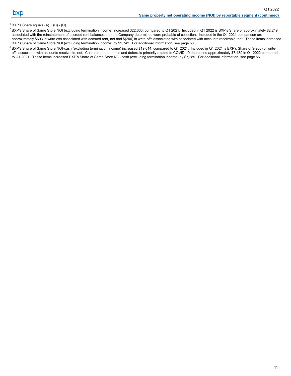### $6$  BXP's Share equals  $(A) + (B) - (C)$ .

- $^7$  BXP's Share of Same Store NOI (excluding termination income) increased \$22,633, compared to Q1 2021. Included in Q1 2022 is BXP's Share of approximately \$2,249 associated with the reinstatement of accrued rent balances that the Company determined were probable of collection. Included in the Q1 2021 comparison are approximately \$693 in write-offs associated with accrued rent, net and \$(200) in write-offs associated with associated with accounts receivable, net. These items increased BXP's Share of Same Store NOI (excluding termination income) by \$2,742. For additional information, see page [56.](#page-59-0)
- <sup>8</sup> BXP's Share of Same Store NOI-cash (excluding termination income) increased \$19,014, compared to Q1 2021. Included in Q1 2021 is BXP's Share of \$(200) of writeoffs associated with accounts receivable, net. Cash rent abatements and deferrals primarily related to COVID-19 decreased approximately \$7,489 in Q1 2022 compared to Q1 2021. These items increased BXP's Share of Same Store NOI-cash (excluding termination income) by \$7,289. For additional information, see page [56.](#page-59-0)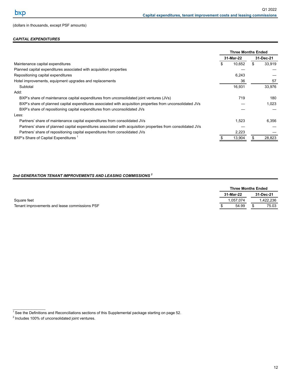### <span id="page-15-0"></span>(dollars in thousands, except PSF amounts)

## *CAPITAL EXPENDITURES*

|                                                                                                              | <b>Three Months Ended</b> |              |
|--------------------------------------------------------------------------------------------------------------|---------------------------|--------------|
|                                                                                                              | 31-Mar-22                 | 31-Dec-21    |
| Maintenance capital expenditures                                                                             | \$<br>10.652              | \$<br>33.919 |
| Planned capital expenditures associated with acquisition properties                                          |                           |              |
| Repositioning capital expenditures                                                                           | 6,243                     |              |
| Hotel improvements, equipment upgrades and replacements                                                      | 36                        | 57           |
| Subtotal                                                                                                     | 16,931                    | 33,976       |
| Add:                                                                                                         |                           |              |
| BXP's share of maintenance capital expenditures from unconsolidated joint ventures (JVs)                     | 719                       | 180          |
| BXP's share of planned capital expenditures associated with acquisition properties from unconsolidated JVs   |                           | 1.023        |
| BXP's share of repositioning capital expenditures from unconsolidated JVs                                    |                           |              |
| Less:                                                                                                        |                           |              |
| Partners' share of maintenance capital expenditures from consolidated JVs                                    | 1.523                     | 6,356        |
| Partners' share of planned capital expenditures associated with acquisition properties from consolidated JVs |                           |              |
| Partners' share of repositioning capital expenditures from consolidated JVs                                  | 2,223                     |              |
| BXP's Share of Capital Expenditures                                                                          | 13,904                    | 28,823       |

# *2nd GENERATION TENANT IMPROVEMENTS AND LEASING COMMISSIONS <sup>2</sup>*

|                                               | <b>Three Months Ended</b> |           |
|-----------------------------------------------|---------------------------|-----------|
|                                               | 31-Mar-22                 | 31-Dec-21 |
| Square feet                                   | 1.057.074                 | .422.236  |
| Tenant improvements and lease commissions PSF | 54.99                     | 75.03     |

 $1$  See the Definitions and Reconciliations sections of this Supplemental package starting on page 52.

 $\mathcal{L}_\text{max}$  and  $\mathcal{L}_\text{max}$  and  $\mathcal{L}_\text{max}$ 

 $2$  Includes 100% of unconsolidated joint ventures.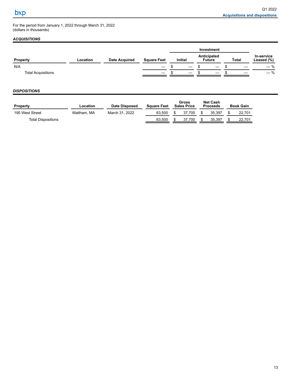<span id="page-16-0"></span>For the period from January 1, 2022 through March 31, 2022 (dollars in thousands)

# *ACQUISITIONS*

|                           |          |                      |                               |                                                |  | Investment                      |              |                          |
|---------------------------|----------|----------------------|-------------------------------|------------------------------------------------|--|---------------------------------|--------------|--------------------------|
| <b>Property</b>           | Location | <b>Date Acquired</b> | <b>Square Feet</b>            | Anticipated<br><b>Initial</b><br><b>Future</b> |  |                                 | <b>Total</b> | In-service<br>Leased (%) |
| N/A                       |          |                      | $\overbrace{\phantom{13333}}$ |                                                |  |                                 |              | $-$ %                    |
| <b>Total Acquisitions</b> |          |                      |                               |                                                |  | $\hspace{0.1mm}-\hspace{0.1mm}$ |              | $-$ %                    |

## *DISPOSITIONS*

| <b>Property</b>           | Location    | Date Disposed  | <b>Square Feet</b> |                | Gross<br><b>Sales Price</b> |   | <b>Net Cash</b><br><b>Proceeds</b> | Book Gain |
|---------------------------|-------------|----------------|--------------------|----------------|-----------------------------|---|------------------------------------|-----------|
| 195 West Street           | Waltham, MA | March 31, 2022 | 63.500             | 37.700<br>- \$ |                             | S | 35.397                             | 22.701    |
| <b>Total Dispositions</b> |             |                | 63.500             |                | 37.700                      |   | 35.397                             | 22.701    |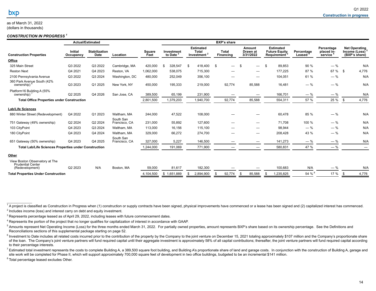#### <span id="page-17-0"></span>as of March 31, 2022 (dollars in thousands)

#### *CONSTRUCTION IN PROGRESS <sup>1</sup>*

|                                                                               |                             | <b>Actual/Estimated</b>             |                            |                       |                       |                                                             |           | <b>BXP's share</b>        |                                 |                                                         |                      |                                     |      |                                                        |
|-------------------------------------------------------------------------------|-----------------------------|-------------------------------------|----------------------------|-----------------------|-----------------------|-------------------------------------------------------------|-----------|---------------------------|---------------------------------|---------------------------------------------------------|----------------------|-------------------------------------|------|--------------------------------------------------------|
| <b>Construction Properties</b>                                                | <b>Initial</b><br>Occupancy | <b>Stabilization</b><br><b>Date</b> | Location                   | <b>Square</b><br>Feet | Investment<br>to Date | <b>Estimated</b><br><b>Total</b><br>Investment <sup>2</sup> |           | <b>Total</b><br>Financing | Amount<br>Drawn at<br>3/31/2022 | <b>Estimated</b><br><b>Future Equity</b><br>Requirement | Percentage<br>Leased | Percentage<br>placed in-<br>service |      | <b>Net Operating</b><br>Income (Loss)<br>(BXP's share) |
| Office                                                                        |                             |                                     |                            |                       |                       |                                                             |           |                           |                                 |                                                         |                      |                                     |      |                                                        |
| 325 Main Street                                                               | Q3 2022                     | Q3 2022                             | Cambridge, MA              | 420,000               | 328,547               | S.                                                          | 418,400   | \$                        | \$<br>$\overline{\phantom{0}}$  | \$<br>89,853                                            | 90 %                 | $-$ %                               |      | N/A                                                    |
| <b>Reston Next</b>                                                            | Q4 2021                     | Q4 2023                             | Reston, VA                 | 1,062,000             | 538,075               |                                                             | 715,300   |                           |                                 | 177,225                                                 | 87 %                 | 67 % \$                             |      | 4,776                                                  |
| 2100 Pennsylvania Avenue                                                      | Q3 2022                     | Q3 2024                             | Washington, DC             | 480,000               | 252,049               |                                                             | 356,100   |                           |                                 | 104,051                                                 | 61 %                 | $-$ %                               |      | N/A                                                    |
| 360 Park Avenue South (42%<br>ownership)                                      | Q3 2023                     | Q1 2025                             | New York, NY               | 450,000               | 195,333               |                                                             | 219,000   | 92,774                    | 85,588                          | 16,481                                                  | $-$ %                | $-$ %                               |      | N/A                                                    |
| Platform16 Building A (55%<br>ownership)                                      | Q2 2025                     | Q4 2026                             | San Jose, CA               | 389,500               | 65,199                |                                                             | 231,900   |                           | $\overline{\phantom{m}}$        | 166,701                                                 | $-$ %                | $-$ %                               |      | N/A                                                    |
| <b>Total Office Properties under Construction</b>                             |                             |                                     |                            | 2,801,500             | 1,379,203             |                                                             | 1,940,700 | 92,774                    | 85,588                          | 554,311                                                 | 57 %                 | 25 %                                | - \$ | 4,776                                                  |
| <b>Lab/Life Sciences</b>                                                      |                             |                                     |                            |                       |                       |                                                             |           |                           |                                 |                                                         |                      |                                     |      |                                                        |
| 880 Winter Street (Redevelopment)                                             | Q4 2022                     | Q1 2023                             | Waltham, MA                | 244,000               | 47,522                |                                                             | 108,000   |                           |                                 | 60,478                                                  | 85 %                 | $-$ %                               |      | N/A                                                    |
| 751 Gateway (49% ownership)                                                   | Q2 2024                     | Q2 2024                             | South San<br>Francisco, CA | 231,000               | 55,892                |                                                             | 127,600   |                           | $\overline{\phantom{0}}$        | 71,708                                                  | 100 %                | $-$ %                               |      | N/A                                                    |
| 103 CityPoint                                                                 | Q4 2023                     | Q3 2024                             | Waltham, MA                | 113,000               | 16,156                |                                                             | 115,100   |                           |                                 | 98,944                                                  | $-$ %                | $-$ %                               |      | N/A                                                    |
| 180 CityPoint                                                                 | Q4 2023                     | Q4 2024                             | Waltham, MA                | 329,000               | 66,272                |                                                             | 274,700   |                           | $\overline{\phantom{0}}$        | 208,428                                                 | 43 %                 | $-$ %                               |      | N/A                                                    |
| 651 Gateway (50% ownership)                                                   | Q4 2023                     | Q4 2025                             | South San<br>Francisco, CA | 327,000               | 5,227                 |                                                             | 146,500   |                           | $\overline{\phantom{0}}$        | 141,273                                                 | $-$ %                | $-$ %                               |      | N/A                                                    |
| <b>Total Lab/Life Sciences Properties under Construction</b>                  |                             |                                     |                            | 1,244,000             | 191,069               |                                                             | 771,900   |                           |                                 | 580,831                                                 | 47 %                 | $-$ %                               |      | $\overline{\phantom{m}}$                               |
| Other                                                                         |                             |                                     |                            |                       |                       |                                                             |           |                           |                                 |                                                         |                      |                                     |      |                                                        |
| View Boston Observatory at The<br><b>Prudential Center</b><br>(Redevelopment) | Q2 2023                     | N/A                                 | Boston, MA                 | 59,000                | 81,617                |                                                             | 182,300   |                           |                                 | 100,683                                                 | N/A                  | $-$ %                               |      | N/A                                                    |
| <b>Total Properties Under Construction</b>                                    |                             |                                     |                            | 4,104,500             | \$1,651,889           |                                                             | 2,894,900 | 92,774                    | \$<br>85,588                    | \$<br>1,235,825                                         | 54 % $54$            | 17 %                                |      | 4,776                                                  |

<sup>1</sup> A project is classified as Construction in Progress when (1) construction or supply contracts have been signed, physical improvements have commenced or a lease has been signed and (2) capitalized interest has commenced  $2$  Includes income (loss) and interest carry on debt and equity investment.

 $3$  Represents percentage leased as of April 29, 2022, including leases with future commencement dates.

<sup>4</sup> Represents the portion of the project that no longer qualifies for capitalization of interest in accordance with GAAP.

<sup>5</sup> Amounts represent Net Operating Income (Loss) for the three months ended March 31, 2022. For partially owned properties, amount represents BXP's share based on its ownership percentage. See the Definitions and Reconciliations sections of this supplemental package starting on page [52](#page-55-0).

<sup>6</sup> Investment to Date includes all related costs incurred prior to the contribution of the property by the Company to the joint venture on December 15, 2021 totaling approximately \$107 million and the Company's proportion of the loan. The Company's joint venture partners will fund required capital until their aggregate investment is approximately 58% of all capital contributions; thereafter, the joint venture partners will fund required cap to their percentage interests.

7 Estimated total investment represents the costs to complete Building A, a 389,500 square foot building, and Building A's proportionate share of land and garage costs. In conjunction with the construction of Building A, g site work will be completed for Phase II, which will support approximately 700,000 square feet of development in two office buildings, budgeted to be an incremental \$141 million.

<sup>8</sup> Total percentage leased excludes Other.

 $\mathcal{L}=\mathcal{L}^{\mathcal{L}}$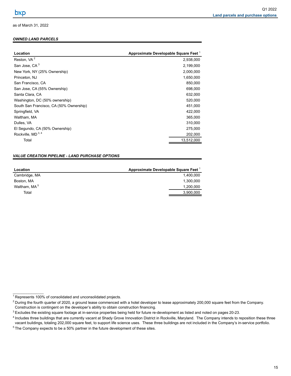## <span id="page-18-0"></span>*OWNED LAND PARCELS*

| Location                                | Approximate Developable Square Feet <sup>1</sup> |
|-----------------------------------------|--------------------------------------------------|
| Reston, VA <sup>2</sup>                 | 2,938,000                                        |
| San Jose, CA <sup>3</sup>               | 2,199,000                                        |
| New York, NY (25% Ownership)            | 2,000,000                                        |
| Princeton, NJ                           | 1,650,000                                        |
| San Francisco, CA                       | 850,000                                          |
| San Jose, CA (55% Ownership)            | 698,000                                          |
| Santa Clara, CA                         | 632,000                                          |
| Washington, DC (50% ownership)          | 520,000                                          |
| South San Francisco, CA (50% Ownership) | 451,000                                          |
| Springfield, VA                         | 422,000                                          |
| Waltham, MA                             | 365,000                                          |
| Dulles, VA                              | 310,000                                          |
| El Segundo, CA (50% Ownership)          | 275,000                                          |
| Rockville, $MD3, 4$                     | 202,000                                          |
| Total                                   | 13,512,000                                       |
|                                         |                                                  |

### *VALUE CREATION PIPELINE - LAND PURCHASE OPTIONS*

| Location                 | Approximate Developable Square Feet <sup>1</sup> |
|--------------------------|--------------------------------------------------|
| Cambridge, MA            | 1.400.000                                        |
| Boston, MA               | 1.300.000                                        |
| Waltham, MA <sup>5</sup> | 1.200.000                                        |
| Total                    | 3,900,000                                        |

<sup>&</sup>lt;sup>1</sup> Represents 100% of consolidated and unconsolidated projects.

 $2$  During the fourth quarter of 2020, a ground lease commenced with a hotel developer to lease approximately 200,000 square feet from the Company. Construction is contingent on the developer's ability to obtain construction financing.

<sup>&</sup>lt;sup>3</sup> Excludes the existing square footage at in-service properties being held for future re-development as listed and noted on pages 20-23.

<sup>&</sup>lt;sup>4</sup> Includes three buildings that are currently vacant at Shady Grove Innovation District in Rockville, Maryland. The Company intends to reposition these three vacant buildings, totaling 202,000 square feet, to support life science uses. These three buildings are not included in the Company's in-service portfolio.

 $5$  The Company expects to be a 50% partner in the future development of these sites.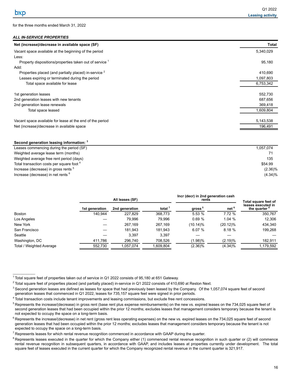<span id="page-19-0"></span>for the three months ended March 31, 2022

## *ALL IN-SERVICE PROPERTIES*

| Net (increase)/decrease in available space (SF)                    | Total     |
|--------------------------------------------------------------------|-----------|
| Vacant space available at the beginning of the period              | 5,340,029 |
| Less:                                                              |           |
| Property dispositions/properties taken out of service <sup>1</sup> | 95,180    |
| Add:                                                               |           |
| Properties placed (and partially placed) in-service <sup>2</sup>   | 410,690   |
| Leases expiring or terminated during the period                    | 1,097,803 |
| Total space available for lease                                    | 6,753,342 |
| 1st generation leases                                              | 552,730   |
| 2nd generation leases with new tenants                             | 687,656   |
| 2nd generation lease renewals                                      | 369,418   |
| Total space leased                                                 | 1,609,804 |
| Vacant space available for lease at the end of the period          | 5,143,538 |
| Net (increase)/decrease in available space                         | 196,491   |
|                                                                    |           |

#### **Second generation leasing information: <sup>3</sup>**

 $\mathcal{L}_\text{max}$  and  $\mathcal{L}_\text{max}$ 

| Leases commencing during the period (SF)        | 1.057.074  |
|-------------------------------------------------|------------|
| Weighted average lease term (months)            |            |
| Weighted average free rent period (days)        | 135        |
| Total transaction costs per square foot 4       | \$54.99    |
| Increase (decrease) in gross rents <sup>5</sup> | $(2.36)\%$ |
| Increase (decrease) in net rents <sup>6</sup>   | $(4.34)\%$ |

|                                 |                | All leases (SF) |           | Incr (decr) in 2nd generation cash<br>rents | Total square feet of |                                                |
|---------------------------------|----------------|-----------------|-----------|---------------------------------------------|----------------------|------------------------------------------------|
|                                 | 1st generation | 2nd generation  | total $'$ | gross <sup>5</sup>                          | net <sup>6</sup>     | leases executed in<br>the quarter <sup>8</sup> |
| Boston                          | 140.944        | 227.829         | 368,773   | 5.53 %                                      | 7.72 %               | 350,767                                        |
| Los Angeles                     |                | 79.996          | 79.996    | 0.69%                                       | 1.04 %               | 12,306                                         |
| New York                        |                | 267,169         | 267,169   | (10.14)%                                    | $(20.12)\%$          | 434,340                                        |
| San Francisco                   |                | 181.943         | 181.943   | 6.07%                                       | 8.18%                | 199.268                                        |
| Seattle                         |                | 3.397           | 3.397     |                                             |                      |                                                |
| Washington, DC                  | 411,786        | 296.740         | 708,526   | $(1.98)\%$                                  | (2.19)%              | 182.911                                        |
| <b>Total / Weighted Average</b> | 552,730        | 1,057,074       | 1,609,804 | $(2.36)\%$                                  | $(4.34)\%$           | 1,179,592                                      |

 $1$  Total square feet of properties taken out of service in Q1 2022 consists of 95,180 at 651 Gateway.

 $2$  Total square feet of properties placed (and partially placed) in-service in Q1 2022 consists of 410,690 at Reston Next.

 $3$  Second generation leases are defined as leases for space that had previously been leased by the Company. Of the 1,057,074 square feet of second generation leases that commenced in Q1 2022, leases for 735,157 square feet were signed in prior periods.

 $4$  Total transaction costs include tenant improvements and leasing commissions, but exclude free rent concessions.

<sup>&</sup>lt;sup>5</sup> Represents the increase/(decrease) in gross rent (base rent plus expense reimbursements) on the new vs. expired leases on the 734,025 square feet of second generation leases that had been occupied within the prior 12 months; excludes leases that management considers temporary because the tenant is not expected to occupy the space on a long-term basis.

 $6$  Represents the increase/(decrease) in net rent (gross rent less operating expenses) on the new vs. expired leases on the 734,025 square feet of second generation leases that had been occupied within the prior 12 months; excludes leases that management considers temporary because the tenant is not expected to occupy the space on a long-term basis.

 $7$  Represents leases for which rental revenue recognition commenced in accordance with GAAP during the quarter.

<sup>&</sup>lt;sup>8</sup> Represents leases executed in the quarter for which the Company either (1) commenced rental revenue recognition in such quarter or (2) will commence rental revenue recognition in subsequent quarters, in accordance with GAAP, and includes leases at properties currently under development. The total square feet of leases executed in the current quarter for which the Company recognized rental revenue in the current quarter is 321,917.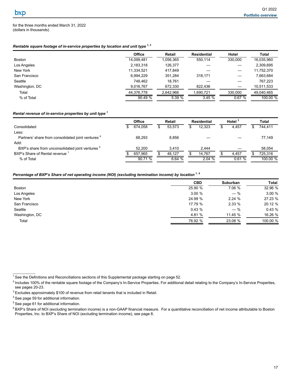<span id="page-20-0"></span>for the three months ended March 31, 2022 (dollars in thousands)

### *Rentable square footage of in-service properties by location and unit type 1, 2*

|                | <b>Office</b> | Retail    | <b>Residential</b> | Hotel   | Total      |
|----------------|---------------|-----------|--------------------|---------|------------|
| Boston         | 14,099,481    | 1,056,365 | 550.114            | 330,000 | 16,035,960 |
| Los Angeles    | 2,183,318     | 126,377   |                    |         | 2,309,695  |
| New York       | 11,334,521    | 417.849   |                    |         | 11,752,370 |
| San Francisco  | 6,994,229     | 351.284   | 318.171            |         | 7,663,684  |
| Seattle        | 748.462       | 18.761    |                    |         | 767,223    |
| Washington, DC | 9,016,767     | 672,330   | 822.436            |         | 10,511,533 |
| Total          | 44.376.778    | 2.642.966 | .690,721           | 330.000 | 49.040.465 |
| % of Total     | 90.49%        | 5.39%     | 3.45%              | 0.67%   | 100.00 %   |

#### *Rental revenue of in-service properties by unit type <sup>1</sup>*

|                                                               | <b>Office</b> | Retail |   | <b>Residential</b> | Hotel $3$ | <b>Total</b> |
|---------------------------------------------------------------|---------------|--------|---|--------------------|-----------|--------------|
| Consolidated                                                  | 674.058       | 53.573 | S | 12.323             | 4.457     | 744.411      |
| Less:                                                         |               |        |   |                    |           |              |
| Partners' share from consolidated joint ventures <sup>4</sup> | 68.293        | 8.856  |   |                    |           | 77.149       |
| Add:                                                          |               |        |   |                    |           |              |
| BXP's share from unconsolidated joint ventures <sup>5</sup>   | 52.200        | 3.410  |   | 2.444              |           | 58.054       |
| BXP's Share of Rental revenue <sup>1</sup>                    | 657.965       | 48,127 |   | 14,767             | 4.457     | 725.316      |
| % of Total                                                    | 90.71 %       | 6.64%  |   | 2.04%              | 0.61%     | 100.00 %     |

# *Percentage of BXP's Share of net operating income (NOI) (excluding termination income) by location 1, <sup>6</sup>*

|                | <b>CBD</b> | Suburban | Total    |
|----------------|------------|----------|----------|
| Boston         | 25.90 %    | 7.06 %   | 32.96 %  |
| Los Angeles    | 3.00%      | $-$ %    | 3.00 %   |
| New York       | 24.99 %    | 2.24%    | 27.23 %  |
| San Francisco  | 17.79 %    | 2.33%    | 20.12 %  |
| Seattle        | 0.43%      | $-$ %    | 0.43%    |
| Washington, DC | 4.81 %     | 11.45 %  | 16.26 %  |
| Total          | 76.92 %    | 23.08 %  | 100.00 % |

 $1$  See the Definitions and Reconciliations sections of this Supplemental package starting on page 52.

<sup>&</sup>lt;sup>2</sup> Includes 100% of the rentable square footage of the Company's In-Service Properties. For additional detail relating to the Company's In-Service Properties, see pages 20-23.

<sup>&</sup>lt;sup>3</sup> Excludes approximately \$100 of revenue from retail tenants that is included in Retail.

<sup>4</sup> See page 59 for additional information.

<sup>5</sup> See page 61 for additional information.

<sup>&</sup>lt;sup>6</sup> BXP's Share of NOI (excluding termination income) is a non-GAAP financial measure. For a quantitative reconciliation of net income attributable to Boston Properties, Inc. to BXP's Share of NOI (excluding termination income), see page 8.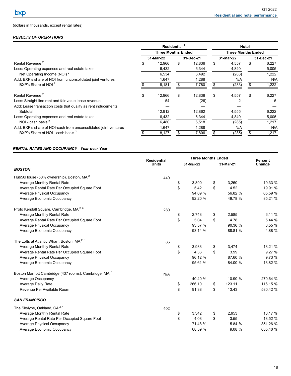# <span id="page-21-0"></span>(dollars in thousands, except rental rates)

# *RESULTS OF OPERATIONS*

|                                                                 | Residential <sup>1</sup><br><b>Three Months Ended</b> |           |    | Hotel<br><b>Three Months Ended</b> |    |           |    |           |
|-----------------------------------------------------------------|-------------------------------------------------------|-----------|----|------------------------------------|----|-----------|----|-----------|
|                                                                 |                                                       |           |    |                                    |    |           |    |           |
|                                                                 |                                                       | 31-Mar-22 |    | 31-Dec-21                          |    | 31-Mar-22 |    | 31-Dec-21 |
| Rental Revenue <sup>2</sup>                                     |                                                       | 12.966    | \$ | 12,836                             | \$ | 4,557     | \$ | 6,227     |
| Less: Operating expenses and real estate taxes                  |                                                       | 6,432     |    | 6,344                              |    | 4,840     |    | 5,005     |
| Net Operating Income (NOI) <sup>2</sup>                         |                                                       | 6,534     |    | 6,492                              |    | (283)     |    | 1,222     |
| Add: BXP's share of NOI from unconsolidated joint ventures      |                                                       | 1,647     |    | 1,288                              |    | N/A       |    | N/A       |
| BXP's Share of NOI <sup>2</sup>                                 |                                                       | 8,181     |    | 7,780                              |    | (283)     |    | 1,222     |
| Rental Revenue <sup>2</sup>                                     | \$                                                    | 12.966    | \$ | 12,836                             | \$ | 4,557     | S  | 6,227     |
| Less: Straight line rent and fair value lease revenue           |                                                       | 54        |    | (26)                               |    |           |    | 5         |
| Add: Lease transaction costs that qualify as rent inducements   |                                                       |           |    |                                    |    |           |    |           |
| Subtotal                                                        |                                                       | 12,912    |    | 12,862                             |    | 4,555     |    | 6,222     |
| Less: Operating expenses and real estate taxes                  |                                                       | 6,432     |    | 6,344                              |    | 4,840     |    | 5,005     |
| NOI - cash basis $2$                                            |                                                       | 6,480     |    | 6,518                              |    | (285)     |    | 1,217     |
| Add: BXP's share of NOI-cash from unconsolidated joint ventures |                                                       | 1,647     |    | 1,288                              |    | N/A       |    | N/A       |
| BXP's Share of NOI - cash basis <sup>2</sup>                    |                                                       | 8,127     |    | 7,806                              |    | (285)     |    | 1,217     |

## *RENTAL RATES AND OCCUPANCY - Year-over-Year*

|                                                         | <b>Residential</b> | <b>Three Months Ended</b> |           |           |         | Percent  |  |
|---------------------------------------------------------|--------------------|---------------------------|-----------|-----------|---------|----------|--|
|                                                         | <b>Units</b>       |                           | 31-Mar-22 | 31-Mar-21 |         | Change   |  |
| <b>BOSTON</b>                                           |                    |                           |           |           |         |          |  |
| Hub50House (50% ownership), Boston, MA <sup>2</sup>     | 440                |                           |           |           |         |          |  |
| <b>Average Monthly Rental Rate</b>                      |                    | \$                        | 3,890     | \$        | 3,260   | 19.33 %  |  |
| Average Rental Rate Per Occupied Square Foot            |                    | \$                        | 5.42      | \$        | 4.52    | 19.91 %  |  |
| <b>Average Physical Occupancy</b>                       |                    |                           | 94.09 %   |           | 56.82 % | 65.59 %  |  |
| Average Economic Occupancy                              |                    |                           | 92.20 %   |           | 49.78 % | 85.21 %  |  |
| Proto Kendall Square, Cambridge, MA <sup>2, 3</sup>     | 280                |                           |           |           |         |          |  |
| <b>Average Monthly Rental Rate</b>                      |                    | \$                        | 2,743     | \$        | 2,585   | 6.11 %   |  |
| Average Rental Rate Per Occupied Square Foot            |                    | \$                        | 5.04      | \$        | 4.78    | 5.44 %   |  |
| <b>Average Physical Occupancy</b>                       |                    |                           | 93.57 %   |           | 90.36 % | 3.55 %   |  |
| Average Economic Occupancy                              |                    |                           | 93.14 %   |           | 88.81 % | 4.88 %   |  |
| The Lofts at Atlantic Wharf, Boston, MA <sup>2, 3</sup> | 86                 |                           |           |           |         |          |  |
| <b>Average Monthly Rental Rate</b>                      |                    | \$                        | 3,933     | \$        | 3,474   | 13.21 %  |  |
| Average Rental Rate Per Occupied Square Foot            |                    | \$                        | 4.36      | \$        | 3.99    | 9.27 %   |  |
| <b>Average Physical Occupancy</b>                       |                    |                           | 96.12 %   |           | 87.60 % | 9.73 %   |  |
| Average Economic Occupancy                              |                    |                           | 95.61 %   |           | 84.00 % | 13.82 %  |  |
| Boston Marriott Cambridge (437 rooms), Cambridge, MA 3  | N/A                |                           |           |           |         |          |  |
| Average Occupancy                                       |                    |                           | 40.40 %   |           | 10.90 % | 270.64 % |  |
| <b>Average Daily Rate</b>                               |                    | \$                        | 266.10    | \$        | 123.11  | 116.15 % |  |
| Revenue Per Available Room                              |                    | \$                        | 91.38     | \$        | 13.43   | 580.42 % |  |
| <b>SAN FRANCISCO</b>                                    |                    |                           |           |           |         |          |  |
| The Skylyne, Oakland, CA <sup>2, 4</sup>                | 402                |                           |           |           |         |          |  |
| <b>Average Monthly Rental Rate</b>                      |                    | \$                        | 3,342     | \$        | 2,953   | 13.17 %  |  |
| Average Rental Rate Per Occupied Square Foot            |                    | \$                        | 4.03      | \$        | 3.55    | 13.52 %  |  |
| <b>Average Physical Occupancy</b>                       |                    |                           | 71.48 %   |           | 15.84 % | 351.26 % |  |
| Average Economic Occupancy                              |                    |                           | 68.59 %   |           | 9.08%   | 655.40 % |  |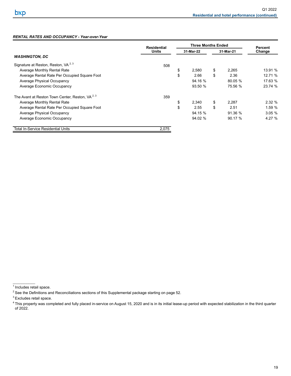# *RENTAL RATES AND OCCUPANCY - Year-over-Year*

|                                                             | <b>Residential</b> | <b>Three Months Ended</b> |    | <b>Percent</b><br>Change |         |
|-------------------------------------------------------------|--------------------|---------------------------|----|--------------------------|---------|
|                                                             | <b>Units</b>       | 31-Mar-22                 |    |                          |         |
| <b>WASHINGTON, DC</b>                                       |                    |                           |    |                          |         |
| Signature at Reston, Reston, VA <sup>2, 3</sup>             | 508                |                           |    |                          |         |
| Average Monthly Rental Rate                                 |                    | \$<br>2.580               | \$ | 2,265                    | 13.91 % |
| Average Rental Rate Per Occupied Square Foot                |                    | \$<br>2.66                | \$ | 2.36                     | 12.71 % |
| Average Physical Occupancy                                  |                    | 94.16 %                   |    | 80.05 %                  | 17.63 % |
| Average Economic Occupancy                                  |                    | 93.50 %                   |    | 75.56 %                  | 23.74 % |
| The Avant at Reston Town Center, Reston, VA <sup>2, 3</sup> | 359                |                           |    |                          |         |
| Average Monthly Rental Rate                                 |                    | \$<br>2.340               | \$ | 2,287                    | 2.32%   |
| Average Rental Rate Per Occupied Square Foot                |                    | \$<br>2.55                | \$ | 2.51                     | 1.59 %  |
| Average Physical Occupancy                                  |                    | 94.15 %                   |    | 91.36 %                  | 3.05%   |
| Average Economic Occupancy                                  |                    | 94.02 %                   |    | 90.17 %                  | 4.27 %  |
| <b>Total In-Service Residential Units</b>                   | 2,075              |                           |    |                          |         |

\_\_\_\_\_\_\_\_\_\_\_\_\_ 1 Includes retail space.

<sup>2</sup> See the Definitions and Reconciliations sections of this Supplemental package starting on page 52.

<sup>&</sup>lt;sup>3</sup> Excludes retail space.

<sup>&</sup>lt;sup>4</sup> This property was completed and fully placed in-service on August 15, 2020 and is in its initial lease-up period with expected stabilization in the third quarter of 2022.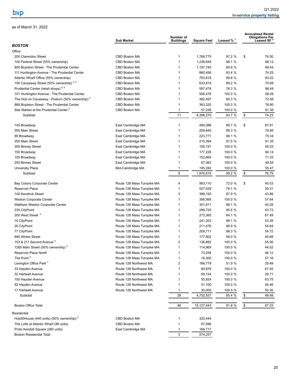<span id="page-23-0"></span>

|                                                           | <b>Sub Market</b>          | Number of<br><b>Buildings</b> | <b>Square Feet</b> | Leased % <sup>1</sup> | <b>Annualized Rental</b><br><b>Obligations Per</b><br>Leased SF $^{\rm 2}$ |
|-----------------------------------------------------------|----------------------------|-------------------------------|--------------------|-----------------------|----------------------------------------------------------------------------|
| <b>BOSTON</b>                                             |                            |                               |                    |                       |                                                                            |
| Office                                                    |                            |                               |                    |                       |                                                                            |
| 200 Clarendon Street                                      | <b>CBD Boston MA</b>       | 1                             | 1,768,775          | 97.2 %                | \$<br>76.50                                                                |
| 100 Federal Street (55% ownership)                        | CBD Boston MA              | 1                             | 1,236,649          | 98.1 %                | 68.12                                                                      |
| 800 Boylston Street - The Prudential Center               | CBD Boston MA              | 1                             | 1,197,745          | 90.9 %                | 69.44                                                                      |
| 111 Huntington Avenue - The Prudential Center             | CBD Boston MA              | $\mathbf{1}$                  | 860,456            | 93.4 %                | 74.25                                                                      |
| Atlantic Wharf Office (55% ownership)                     | CBD Boston MA              | 1                             | 793,819            | 99.8 %                | 83.02                                                                      |
| 100 Causeway Street (50% ownership) 3, 4                  | <b>CBD Boston MA</b>       | 1                             | 633,819            | 89.2 %                | 70.69                                                                      |
| Prudential Center (retail shops) <sup>5,6</sup>           | CBD Boston MA              | 1                             | 597,478            | 76.3 %                | 98.49                                                                      |
| 101 Huntington Avenue - The Prudential Center             | CBD Boston MA              | $\mathbf{1}$                  | 506,476            | 100.0 %               | 58.09                                                                      |
| The Hub on Causeway - Podium (50% ownership) <sup>3</sup> | CBD Boston MA              | $\mathbf{1}$                  | 382,497            | 80.3 %                | 72.56                                                                      |
| 888 Boylston Street - The Prudential Center               | CBD Boston MA              | $\mathbf{1}$                  | 363,320            | 100.0 %               | 78.90                                                                      |
| Star Market at the Prudential Center <sup>5</sup>         | CBD Boston MA              | 1                             | 57,236             | 100.0 %               | 61.36                                                                      |
| Subtotal                                                  |                            | 11                            | 8,398,270          | 93.7 %                | \$<br>74.23                                                                |
|                                                           |                            |                               |                    |                       |                                                                            |
| 145 Broadway                                              | East Cambridge MA          | 1                             | 490,086            | 99.1 %                | \$<br>87.81                                                                |
| 355 Main Street                                           | East Cambridge MA          | 1                             | 259,640            | 99.3 %                | 79.85                                                                      |
| 90 Broadway                                               | East Cambridge MA          | $\mathbf{1}$                  | 223,771            | 98.1 %                | 75.34                                                                      |
| 255 Main Street                                           | East Cambridge MA          | 1                             | 215,394            | 97.5 %                | 91.35                                                                      |
| 300 Binney Street                                         | East Cambridge MA          | $\mathbf{1}$                  | 195,191            | 100.0 %               | 60.03                                                                      |
| 150 Broadway                                              | East Cambridge MA          | 1                             | 177,226            | 100.0 %               | 84.14                                                                      |
| 105 Broadway                                              | East Cambridge MA          | 1                             | 152,664            | 100.0 %               | 71.33                                                                      |
| 250 Binney Street                                         | East Cambridge MA          | 1                             | 67,362             | 100.0 %               | 48.55                                                                      |
| <b>University Place</b>                                   | Mid-Cambridge MA           | 1                             | 195,282            | 100.0 %               | 55.47                                                                      |
| Subtotal                                                  |                            | 9                             | 1,976,616          | 99.2 %                | \$<br>76.79                                                                |
|                                                           |                            |                               |                    |                       |                                                                            |
| Bay Colony Corporate Center                               | Route 128 Mass Turnpike MA | 4                             | 993,110            | 72.0 %                | \$<br>45.53                                                                |
| Reservoir Place                                           | Route 128 Mass Turnpike MA | 1                             | 527,029            | 79.1 %                | 39.31                                                                      |
| 140 Kendrick Street                                       | Route 128 Mass Turnpike MA | 3                             | 388,193            | 87.9 %                | 43.89                                                                      |
| <b>Weston Corporate Center</b>                            | Route 128 Mass Turnpike MA | $\mathbf{1}$                  | 356,995            | 100.0 %               | 57.64                                                                      |
| Waltham Weston Corporate Center                           | Route 128 Mass Turnpike MA | $\mathbf{1}$                  | 301,611            | 88.1 %                | 40.28                                                                      |
| 230 CityPoint                                             | Route 128 Mass Turnpike MA | 1                             | 296,720            | 95.6 %                | 43.73                                                                      |
| 200 West Street <sup>4</sup>                              | Route 128 Mass Turnpike MA | 1                             | 273,365            | 84.1 %                | 67.49                                                                      |
| 10 CityPoint                                              | Route 128 Mass Turnpike MA | 1                             | 241,203            | 98.1 %                | 53.39                                                                      |
| 20 CityPoint                                              | Route 128 Mass Turnpike MA | 1                             | 211,476            | 98.9 %                | 54.64                                                                      |
| 77 CityPoint                                              | Route 128 Mass Turnpike MA | 1                             | 209,711            | 98.3 %                | 54.72                                                                      |
| 890 Winter Street                                         | Route 128 Mass Turnpike MA | 1                             | 177,902            | 58.0 %                | 45.68                                                                      |
| 153 & 211 Second Avenue <sup>4</sup>                      | Route 128 Mass Turnpike MA | $\overline{2}$                | 136,882            | 100.0 %               | 55.56                                                                      |
| 1265 Main Street (50% ownership) <sup>3</sup>             | Route 128 Mass Turnpike MA | 1                             | 114,969            | 100.0 %               | 44.52                                                                      |
| Reservoir Place North                                     | Route 128 Mass Turnpike MA | 1                             | 73,258             | 100.0 %               | 46.12                                                                      |
| The Point <sup>5</sup>                                    | Route 128 Mass Turnpike MA | 1                             | 16,300             | 100.0 %               | 57.18                                                                      |
| Lexington Office Park <sup>7</sup>                        | Route 128 Northwest MA     | 2                             | 166,779            | 51.9 %                | 29.49                                                                      |
| 33 Hayden Avenue                                          | Route 128 Northwest MA     | $\mathbf{1}$                  | 80,876             | 100.0 %               | 67.45                                                                      |
| 32 Hartwell Avenue                                        | Route 128 Northwest MA     | $\mathbf{1}$                  | 69,154             | 100.0 %               | 28.71                                                                      |
| 100 Hayden Avenue                                         | Route 128 Northwest MA     | 1                             | 55,924             | 100.0 %               | 63.75                                                                      |
| 92 Hayden Avenue                                          | Route 128 Northwest MA     | 1                             | 31,100             | 100.0 %               | 46.46                                                                      |
| 17 Hartwell Avenue                                        | Route 128 Northwest MA     | 1                             | 30,000             | 100.0 %               | 50.30                                                                      |
| Subtotal                                                  |                            | 28                            | 4,752,557          | 85.4 %                | \$<br>48.48                                                                |
|                                                           |                            |                               |                    |                       |                                                                            |
| Boston Office Total:                                      |                            | 48                            | 15, 127, 443       | 91.8 %                | \$<br>67.03                                                                |
| Residential                                               |                            |                               |                    |                       |                                                                            |
| Hub50House (440 units) (50% ownership) 3                  | CBD Boston MA              | 1                             | 320,444            |                       |                                                                            |
| The Lofts at Atlantic Wharf (86 units)                    | CBD Boston MA              | 1                             | 87,096             |                       |                                                                            |
| Proto Kendall Square (280 units)                          | East Cambridge MA          | 1                             | 166,717            |                       |                                                                            |
| <b>Boston Residential Total:</b>                          |                            | 3                             | 574,257            |                       |                                                                            |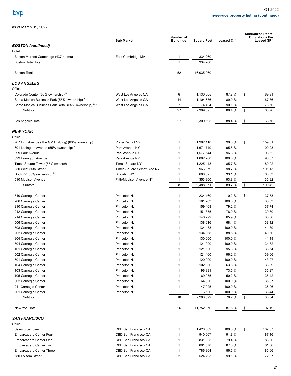|                                                        |                             | Number of        |                    |                         |                                                   | <b>Annualized Rental</b><br><b>Obligations Per</b> |
|--------------------------------------------------------|-----------------------------|------------------|--------------------|-------------------------|---------------------------------------------------|----------------------------------------------------|
| <b>BOSTON</b> (continued)                              | <b>Sub Market</b>           | <b>Buildings</b> | <b>Square Feet</b> | Leased $%$ <sup>1</sup> |                                                   | Leased SF $^2$                                     |
| Hotel                                                  |                             |                  |                    |                         |                                                   |                                                    |
| Boston Marriott Cambridge (437 rooms)                  | East Cambridge MA           | 1                | 334,260            |                         |                                                   |                                                    |
| Boston Hotel Total:                                    |                             | $\mathbf{1}$     | 334,260            |                         |                                                   |                                                    |
| <b>Boston Total:</b>                                   |                             | 52               | 16,035,960         |                         |                                                   |                                                    |
| LOS ANGELES                                            |                             |                  |                    |                         |                                                   |                                                    |
| Office                                                 |                             |                  |                    |                         |                                                   |                                                    |
| Colorado Center (50% ownership) <sup>3</sup>           | West Los Angeles CA         | 6                | 1,130,605          | 87.8 %                  | \$                                                | 69.81                                              |
| Santa Monica Business Park (55% ownership) 3           | West Los Angeles CA         | 14               | 1,104,686          | 89.0 %                  |                                                   | 67.36                                              |
| Santa Monica Business Park Retail (55% ownership) 3, 5 | West Los Angeles CA         | $\overline{7}$   | 74,404             | 90.1 %                  |                                                   | 73.56                                              |
| Subtotal                                               |                             | 27               | 2,309,695          | 88.4 %                  | \$                                                | 68.76                                              |
| Los Angeles Total:                                     |                             | 27               | 2,309,695          | 88.4 %                  | \$                                                | 68.76                                              |
|                                                        |                             |                  |                    |                         |                                                   |                                                    |
| NEW YORK                                               |                             |                  |                    |                         |                                                   |                                                    |
| Office                                                 |                             |                  |                    |                         |                                                   |                                                    |
| 767 Fifth Avenue (The GM Building) (60% ownership)     | <b>Plaza District NY</b>    | 1                | 1,962,118          | 90.0 %                  | \$                                                | 159.81                                             |
| 601 Lexington Avenue (55% ownership) <sup>4</sup>      | Park Avenue NY              | 1                | 1,671,749          | 95.8 %                  |                                                   | 100.23                                             |
| 399 Park Avenue                                        | Park Avenue NY              | 1                | 1,577,544          | 96.8 %                  |                                                   | 98.62                                              |
| 599 Lexington Avenue                                   | Park Avenue NY              | 1                | 1,062,708          | 100.0 %                 |                                                   | 93.37                                              |
| Times Square Tower (55% ownership)                     | <b>Times Square NY</b>      | 1                | 1,225,448          | 85.7 %                  |                                                   | 80.02                                              |
| 250 West 55th Street                                   | Times Square / West Side NY | 1                | 966,979            | 98.7 %                  |                                                   | 101.13                                             |
| Dock 72 (50% ownership) 3                              | Brooklyn NY                 | 1                | 668,625            | 33.1 %                  |                                                   | 60.83                                              |
| 510 Madison Avenue                                     | Fifth/Madison Avenue NY     | 1                | 353,800            | 93.8 %                  |                                                   | 135.92                                             |
| Subtotal                                               |                             | 8                | 9,488,971          | 89.7 %                  | \$                                                | 109.42                                             |
| 510 Carnegie Center                                    | Princeton NJ                | 1                | 234,160            | 10.2 %                  | \$                                                | 37.53                                              |
| 206 Carnegie Center                                    | Princeton NJ                | 1                | 161,763            | 100.0 %                 |                                                   | 35.33                                              |
| 210 Carnegie Center                                    | Princeton NJ                | 1                | 159,468            | 79.2 %                  |                                                   | 37.74                                              |
| 212 Carnegie Center                                    | Princeton NJ                | 1                | 151,355            | 78.0 %                  |                                                   | 39.30                                              |
| 214 Carnegie Center                                    | Princeton NJ                | 1                | 146,799            | 65.9 %                  |                                                   | 36.36                                              |
| 506 Carnegie Center                                    | Princeton NJ                | 1                | 138,616            | 68.4 %                  |                                                   | 38.12                                              |
| 508 Carnegie Center                                    | Princeton NJ                | 1                | 134,433            | 100.0 %                 |                                                   | 41.39                                              |
| 202 Carnegie Center                                    | Princeton NJ                | 1                | 134,068            | 88.5 %                  |                                                   | 40.66                                              |
| 804 Carnegie Center                                    | Princeton NJ                | 1                | 130,000            | 100.0 %                 |                                                   | 41.19                                              |
| 504 Carnegie Center                                    | Princeton NJ                |                  | 121,990            | 100.0 %                 |                                                   | 34.32                                              |
| 101 Carnegie Center                                    | Princeton NJ                | 1                | 121,620            | 95.3 %                  |                                                   | 38.54                                              |
| 502 Carnegie Center                                    | Princeton NJ                | 1                | 121,460            | 96.2 %                  |                                                   | 39.06                                              |
| 701 Carnegie Center                                    | Princeton NJ                | 1                | 120,000            | 100.0 %                 |                                                   | 43.27                                              |
| 104 Carnegie Center                                    | Princeton NJ                | $\mathbf{1}$     | 102,930            | 63.6 %                  |                                                   | 38.89                                              |
| 103 Carnegie Center                                    | Princeton NJ                | 1                | 96,331             | 73.5 %                  |                                                   | 35.27                                              |
|                                                        | Princeton NJ                | 1                | 69,955             | 50.2 %                  |                                                   |                                                    |
| 105 Carnegie Center                                    | Princeton NJ                |                  |                    |                         |                                                   | 35.42                                              |
| 302 Carnegie Center                                    |                             | 1                | 64,926             | 100.0 %                 |                                                   | 35.37                                              |
| 211 Carnegie Center                                    | Princeton NJ                | 1                | 47,025             | 100.0 %                 |                                                   | 36.96                                              |
| 201 Carnegie Center<br>Subtotal                        | Princeton NJ                | 18               | 6,500<br>2,263,399 | 100.0 %<br>78.2 %       | $\, \, \raisebox{-1.5pt}{\text{\circle*{1.5}}}\,$ | 33.44<br>38.34                                     |
|                                                        |                             |                  |                    |                         |                                                   |                                                    |
| New York Total:                                        |                             | <u>26</u>        | 11,752,370         | 87.5 %                  | \$                                                | 97.19                                              |
| <b>SAN FRANCISCO</b>                                   |                             |                  |                    |                         |                                                   |                                                    |
| Office                                                 |                             |                  |                    |                         |                                                   |                                                    |
| Salesforce Tower                                       | CBD San Francisco CA        | $\mathbf{1}$     | 1,420,682          | 100.0 %                 | \$                                                | 107.67                                             |
| Embarcadero Center Four                                | CBD San Francisco CA        | 1                | 940,667            | 91.8 %                  |                                                   | 87.16                                              |
| Embarcadero Center One                                 | CBD San Francisco CA        | 1                | 831,925            | 79.4 %                  |                                                   | 83.30                                              |
| Embarcadero Center Two                                 | CBD San Francisco CA        | 1                | 801,378            | 87.0 %                  |                                                   | 81.86                                              |
| <b>Embarcadero Center Three</b>                        | CBD San Francisco CA        | 1                | 786,864            | 86.6 %                  |                                                   | 85.66                                              |
| 680 Folsom Street                                      | CBD San Francisco CA        | $\sqrt{2}$       | 524,793            | 99.1 %                  |                                                   | 72.97                                              |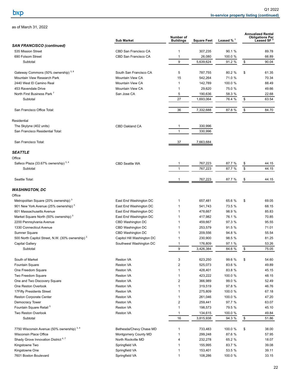|                                                  | <b>Sub Market</b>          | Number of<br><b>Buildings</b> | <b>Square Feet</b> | Leased $%$ <sup>1</sup> |                                                   | <b>Annualized Rental</b><br><b>Obligations Per</b><br>Leased SF |
|--------------------------------------------------|----------------------------|-------------------------------|--------------------|-------------------------|---------------------------------------------------|-----------------------------------------------------------------|
| <b>SAN FRANCISCO (continued)</b>                 |                            |                               |                    |                         |                                                   |                                                                 |
| 535 Mission Street                               | CBD San Francisco CA       | 1                             | 307,235            | 90.1 %                  |                                                   | 89.78                                                           |
| 690 Folsom Street                                | CBD San Francisco CA       | 1                             | 26,080             | 100.0 %                 |                                                   | 66.89                                                           |
| Subtotal                                         |                            | 9                             | 5,639,624          | 91.2 %                  | \$                                                | 90.04                                                           |
| Gateway Commons (50% ownership) 3, 8             | South San Francisco CA     | 5                             | 787,755            | 80.2 %                  | \$                                                | 61.35                                                           |
| Mountain View Research Park                      | Mountain View CA           | 15                            | 542,264            | 71.0 %                  |                                                   | 70.34                                                           |
| 2440 West El Camino Real                         | Mountain View CA           | $\mathbf{1}$                  | 142,789            | 100.0 %                 |                                                   | 88.49                                                           |
| 453 Ravendale Drive                              | Mountain View CA           | $\mathbf{1}$                  | 29,620             | 75.0 %                  |                                                   | 49.66                                                           |
| North First Business Park <sup>7</sup>           | San Jose CA                | 5                             | 190,636            | 58.3 %                  |                                                   | 22.68                                                           |
| Subtotal                                         |                            | 27                            | 1,693,064          | 76.4 %                  | \$                                                | 63.54                                                           |
| San Francisco Office Total:                      |                            | 36                            | 7,332,688          | 87.8 %                  | \$                                                | 84.70                                                           |
| Residential                                      |                            |                               |                    |                         |                                                   |                                                                 |
| The Skylyne (402 units)                          | CBD Oakland CA             | 1                             | 330,996            |                         |                                                   |                                                                 |
| San Francisco Residential Total:                 |                            | $\mathbf{1}$                  | 330,996            |                         |                                                   |                                                                 |
| San Francisco Total:                             |                            | 37                            | 7,663,684          |                         |                                                   |                                                                 |
| <b>SEATTLE</b>                                   |                            |                               |                    |                         |                                                   |                                                                 |
| Office                                           |                            |                               |                    |                         |                                                   |                                                                 |
| Safeco Plaza (33.67% ownership) 3, 4             | <b>CBD Seattle WA</b>      | 1                             | 767,223            | 87.7 %                  | \$                                                | 44.15                                                           |
| Subtotal                                         |                            | $\mathbf{1}$                  | 767,223            | 87.7 %                  | \$                                                | 44.15                                                           |
| Seattle Total:                                   |                            |                               | 767,223            | 87.7 %                  | \$                                                | 44.15                                                           |
|                                                  |                            |                               |                    |                         |                                                   |                                                                 |
| <b>WASHINGTON, DC</b><br>Office                  |                            |                               |                    |                         |                                                   |                                                                 |
| Metropolitan Square (20% ownership) <sup>3</sup> | East End Washington DC     | 1                             | 657,481            | 65.6 %                  | \$                                                | 69.05                                                           |
| 901 New York Avenue (25% ownership) 3            | East End Washington DC     | 1                             | 541,743            | 73.5 %                  |                                                   | 68.15                                                           |
| 601 Massachusetts Avenue                         | East End Washington DC     | 1                             | 478,667            | 98.9 %                  |                                                   | 85.83                                                           |
| Market Square North (50% ownership) <sup>3</sup> | East End Washington DC     | 1                             | 417,982            | 76.1 %                  |                                                   | 70.85                                                           |
| 2200 Pennsylvania Avenue                         | CBD Washington DC          |                               | 459,667            | 97.3 %                  |                                                   | 95.55                                                           |
| 1330 Connecticut Avenue                          | CBD Washington DC          | 1                             | 253,579            | 91.5 %                  |                                                   | 71.01                                                           |
| Sumner Square                                    | CBD Washington DC          |                               | 209,556            | 94.8 %                  |                                                   | 55.54                                                           |
| 500 North Capitol Street, N.W. (30% ownership) 3 | Capitol Hill Washington DC |                               | 230,900            | 98.5 %                  |                                                   | 81.25                                                           |
| Capital Gallery                                  | Southwest Washington DC    |                               | 176,809            | 97.1 %                  |                                                   | 53.26                                                           |
| Subtotal                                         |                            | 9                             | 3,426,384          | 84.6 %                  | \$                                                | 75.05                                                           |
| South of Market                                  | Reston VA                  | 3                             | 623,250            | 99.6 %                  | \$                                                | 54.60                                                           |
| Fountain Square                                  | Reston VA                  | $\overline{c}$                | 525,073            | 83.6 %                  |                                                   | 49.89                                                           |
| One Freedom Square                               | <b>Reston VA</b>           | 1                             | 428,401            | 83.8 %                  |                                                   | 45.15                                                           |
| Two Freedom Square                               | Reston VA                  | $\mathbf{1}$                  | 423,222            | 100.0 %                 |                                                   | 48.15                                                           |
| One and Two Discovery Square                     | Reston VA                  | $\overline{2}$                | 366,989            | 99.0 %                  |                                                   | 52.49                                                           |
| One Reston Overlook                              | Reston VA                  | 1                             | 319,519            | 97.8 %                  |                                                   | 46.76                                                           |
| 17Fifty Presidents Street                        | <b>Reston VA</b>           | 1                             | 275,809            | 100.0 %                 |                                                   | 67.18                                                           |
| Reston Corporate Center                          | Reston VA                  | 1                             | 261,046            | 100.0 %                 |                                                   | 47.20                                                           |
| Democracy Tower                                  | Reston VA                  | $\sqrt{2}$                    | 259,441            | 97.7 %                  |                                                   | 63.07                                                           |
| Fountain Square Retail <sup>5</sup>              | Reston VA                  | 1                             | 198,573            | 79.5 %                  |                                                   | 45.10                                                           |
| Two Reston Overlook                              | Reston VA                  | $\mathbf{1}$                  | 134,615            | 100.0 %                 |                                                   | 49.84                                                           |
| Subtotal                                         |                            | 16                            | 3,815,938          | 94.3 %                  | $\, \, \raisebox{-1.5pt}{\text{\circle*{1.5}}}\,$ | 51.86                                                           |
| 7750 Wisconsin Avenue (50% ownership) 3, 4       | Bethesda/Chevy Chase MD    | 1                             | 733,483            | 100.0 %                 | \$                                                | 38.00                                                           |
| Wisconsin Place Office                           | Montgomery County MD       | 1                             | 299,248            | 87.6 %                  |                                                   | 57.95                                                           |
| Shady Grove Innovation District <sup>4,7</sup>   | North Rockville MD         | 4                             | 232,278            | 65.2 %                  |                                                   | 18.07                                                           |
| Kingstowne Two                                   | Springfield VA             | 1                             | 155,995            | 83.7 %                  |                                                   | 39.08                                                           |
| Kingstowne One                                   | Springfield VA             | 1                             | 153,401            | 53.5 %                  |                                                   | 39.11                                                           |
| 7601 Boston Boulevard                            | Springfield VA             | 1                             | 108,286            | 100.0 %                 |                                                   | 33.15                                                           |
|                                                  |                            |                               |                    |                         |                                                   |                                                                 |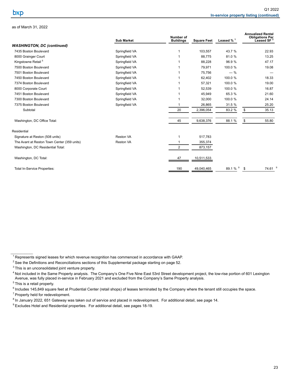|                                             | <b>Sub Market</b> | Number of<br><b>Buildings</b> | <b>Square Feet</b> | Leased $%$ <sup>1</sup> | <b>Annualized Rental</b><br><b>Obligations Per</b><br>Leased SF $^2$ |                    |
|---------------------------------------------|-------------------|-------------------------------|--------------------|-------------------------|----------------------------------------------------------------------|--------------------|
| <b>WASHINGTON, DC (continued)</b>           |                   |                               |                    |                         |                                                                      |                    |
| 7435 Boston Boulevard                       | Springfield VA    |                               | 103,557            | 43.7 %                  | 22.93                                                                |                    |
| 8000 Grainger Court                         | Springfield VA    |                               | 88,775             | 81.0%                   | 13.25                                                                |                    |
| Kingstowne Retail <sup>5</sup>              | Springfield VA    |                               | 88,228             | 96.9%                   | 47.17                                                                |                    |
| 7500 Boston Boulevard                       | Springfield VA    |                               | 79,971             | 100.0 %                 | 19.08                                                                |                    |
| 7501 Boston Boulevard                       | Springfield VA    |                               | 75,756             | $-$ %                   |                                                                      |                    |
| 7450 Boston Boulevard                       | Springfield VA    |                               | 62,402             | 100.0 %                 | 18.33                                                                |                    |
| 7374 Boston Boulevard                       | Springfield VA    |                               | 57,321             | 100.0 %                 | 19.00                                                                |                    |
| 8000 Corporate Court                        | Springfield VA    |                               | 52,539             | 100.0 %                 | 16.87                                                                |                    |
| 7451 Boston Boulevard                       | Springfield VA    |                               | 45,949             | 65.3 %                  | 21.60                                                                |                    |
| 7300 Boston Boulevard                       | Springfield VA    |                               | 32,000             | 100.0 %                 | 24.14                                                                |                    |
| 7375 Boston Boulevard                       | Springfield VA    |                               | 26,865             | 31.5 %                  | 25.20                                                                |                    |
| Subtotal                                    |                   | 20                            | 2,396,054          | 83.2 %                  | 35.13<br>\$                                                          |                    |
| Washington, DC Office Total:                |                   | 45                            | 9,638,376          | 88.1 %                  | \$<br>55.80                                                          |                    |
| Residential                                 |                   |                               |                    |                         |                                                                      |                    |
| Signature at Reston (508 units)             | Reston VA         |                               | 517,783            |                         |                                                                      |                    |
| The Avant at Reston Town Center (359 units) | Reston VA         |                               | 355,374            |                         |                                                                      |                    |
| Washington, DC Residential Total:           |                   | $\overline{2}$                | 873,157            |                         |                                                                      |                    |
| Washington, DC Total:                       |                   | 47                            | 10,511,533         |                         |                                                                      |                    |
| <b>Total In-Service Properties:</b>         |                   | 190                           | 49,040,465         | 89.1 % 9                | \$                                                                   | 74.61 <sup>9</sup> |

<sup>4</sup> Not included in the Same Property analysis. The Company's One Five Nine East 53rd Street development project, the low-rise portion of 601 Lexington Avenue, was fully placed in-service in February 2021 and excluded from the Company's Same Property analysis.

<sup>7</sup> Property held for redevelopment.

 $1$  Represents signed leases for which revenue recognition has commenced in accordance with GAAP.

<sup>&</sup>lt;sup>2</sup> See the Definitions and Reconciliations sections of this Supplemental package starting on page 52.

<sup>&</sup>lt;sup>3</sup> This is an unconsolidated joint venture property.

 $<sup>5</sup>$  This is a retail property.</sup>

<sup>&</sup>lt;sup>6</sup> Includes 145,849 square feet at Prudential Center (retail shops) of leases terminated by the Company where the tenant still occupies the space.

<sup>&</sup>lt;sup>8</sup> In January 2022, 651 Gateway was taken out of service and placed in redevelopment. For additional detail, see page [14.](#page-17-0)

<sup>&</sup>lt;sup>9</sup> Excludes Hotel and Residential properties. For additional detail, see pages 18-19.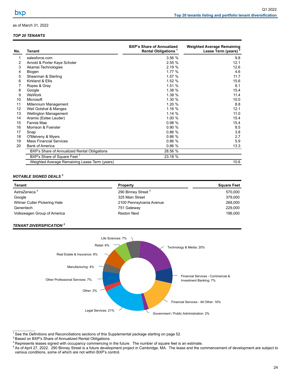## <span id="page-27-0"></span>*TOP 20 TENANTS*

| No. | <b>Tenant</b>                                 | <b>BXP's Share of Annualized</b><br><b>Rental Obligations</b> <sup>1</sup> | <b>Weighted Average Remaining</b><br>Lease Term (years) <sup>2</sup> |
|-----|-----------------------------------------------|----------------------------------------------------------------------------|----------------------------------------------------------------------|
|     | salesforce.com                                | 3.56 %                                                                     | 9.8                                                                  |
| 2   | Arnold & Porter Kaye Scholer                  | 2.55%                                                                      | 12.1                                                                 |
| 3   | Akamai Technologies                           | 2.19 %                                                                     | 12.6                                                                 |
| 4   | Biogen                                        | 1.77 %                                                                     | 4.6                                                                  |
| 5   | Shearman & Sterling                           | 1.57 %                                                                     | 11.7                                                                 |
| 6   | Kirkland & Ellis                              | 1.52 %                                                                     | 15.6                                                                 |
|     | Ropes & Gray                                  | 1.51 %                                                                     | 8.1                                                                  |
| 8   | Google                                        | 1.38 %                                                                     | 15.4                                                                 |
| 9   | WeWork                                        | 1.38 %                                                                     | 11.4                                                                 |
| 10  | Microsoft                                     | 1.30 %                                                                     | 10.0                                                                 |
| 11  | Millennium Management                         | 1.20 %                                                                     | 8.8                                                                  |
| 12  | Weil Gotshal & Manges                         | 1.16 %                                                                     | 12.1                                                                 |
| 13  | <b>Wellington Management</b>                  | 1.14%                                                                      | 11.0                                                                 |
| 14  | Aramis (Estee Lauder)                         | 1.00 %                                                                     | 15.4                                                                 |
| 15  | Fannie Mae                                    | 0.98%                                                                      | 15.4                                                                 |
| 16  | Morrison & Foerster                           | 0.90%                                                                      | 8.5                                                                  |
| 17  | Snap                                          | 0.86%                                                                      | 3.8                                                                  |
| 18  | O'Melveny & Myers                             | 0.86%                                                                      | 2.7                                                                  |
| 19  | <b>Mass Financial Services</b>                | 0.86%                                                                      | 5.9                                                                  |
| 20  | <b>Bank of America</b>                        | 0.86%                                                                      | 13.3                                                                 |
|     | BXP's Share of Annualized Rental Obligations  | 28.56 %                                                                    |                                                                      |
|     | BXP's Share of Square Feet <sup>1</sup>       | 23.18 %                                                                    |                                                                      |
|     | Weighted Average Remaining Lease Term (years) |                                                                            | 10.6                                                                 |

# *NOTABLE SIGNED DEALS <sup>3</sup>*

| Tenant                       | <b>Property</b>                | <b>Square Feet</b> |
|------------------------------|--------------------------------|--------------------|
| AstraZeneca <sup>4</sup>     | 290 Binney Street <sup>4</sup> | 570.000            |
| Google                       | 325 Main Street                | 379.000            |
| Wilmer Cutler Pickering Hale | 2100 Pennsylvania Avenue       | 268,000            |
| Genentech                    | 751 Gateway                    | 229.000            |
| Volkswagen Group of America  | <b>Reston Next</b>             | 196.000            |

#### *TENANT DIVERSIFICATION <sup>2</sup>*

 $\mathcal{L}_\text{max}$  and  $\mathcal{L}_\text{max}$ 



 $1$  See the Definitions and Reconciliations sections of this Supplemental package starting on page 52.

<sup>2</sup> Based on BXP's Share of Annualized Rental Obligations.

<sup>3</sup> Represents leases signed with occupancy commencing in the future. The number of square feet is an estimate.

<sup>4</sup> As of April 27, 2022. 290 Binney Street is a future development project in Cambridge, MA. The lease and the commencement of development are subject to various conditions, some of which are not within BXP's control.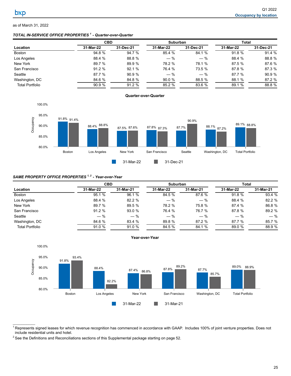# <span id="page-28-0"></span>*TOTAL IN-SERVICE OFFICE PROPERTIES <sup>1</sup>- Quarter-over-Quarter*

|                        | <b>CBD</b> |           | <b>Suburban</b> |           | Total     |           |
|------------------------|------------|-----------|-----------------|-----------|-----------|-----------|
| Location               | 31-Mar-22  | 31-Dec-21 | 31-Mar-22       | 31-Dec-21 | 31-Mar-22 | 31-Dec-21 |
| Boston                 | 94.8 %     | 94.7 %    | 85.4 %          | 84.1 %    | 91.8%     | 91.4%     |
| Los Angeles            | 88.4 %     | 88.8 %    | $-$ %           | $-$ %     | 88.4 %    | 88.8 %    |
| New York               | 89.7 %     | 89.9 %    | 78.2 %          | 78.1 %    | 87.5 %    | 87.6 %    |
| San Francisco          | 91.2%      | 92.1%     | 76.4 %          | 73.5 %    | 87.8 %    | 87.3 %    |
| Seattle                | 87.7 %     | 90.9%     | $-$ %           | $-$ %     | 87.7 %    | 90.9 %    |
| Washington, DC         | 84.6 %     | 84.8 %    | 90.0%           | 88.5 %    | 88.1 %    | 87.2 %    |
| <b>Total Portfolio</b> | 90.9%      | 91.2%     | 85.2 %          | 83.6 %    | 89.1 %    | 88.8 %    |



## *SAME PROPERTY OFFICE PROPERTIES 1, 2 - Year-over-Year*

|                        | <b>CBD</b> | <b>Suburban</b> |           |           | Total     |           |
|------------------------|------------|-----------------|-----------|-----------|-----------|-----------|
| Location               | 31-Mar-22  | 31-Mar-21       | 31-Mar-22 | 31-Mar-21 | 31-Mar-22 | 31-Mar-21 |
| Boston                 | 95.1 %     | 96.1 %          | 84.5 %    | 87.6 %    | 91.8 %    | 93.4 %    |
| Los Angeles            | 88.4 %     | 82.2 %          | $-$ %     | $-$ %     | 88.4 %    | 82.2 %    |
| New York               | 89.7 %     | 89.5 %          | 78.2 %    | 75.8 %    | 87.4 %    | 86.8 %    |
| San Francisco          | 91.2%      | 93.0 %          | 76.4 %    | 76.7 %    | 87.8 %    | 89.2 %    |
| Seattle                | $-$ %      | $-$ %           | $-$ %     | $-$ %     | $-$ %     | $-$ %     |
| Washington, DC         | 84.6 %     | 83.4 %          | 89.8 %    | 87.2 %    | 87.7 %    | 85.7 %    |
| <b>Total Portfolio</b> | 91.0 %     | 91.0 %          | 84.5 %    | 84.1 %    | 89.0 %    | 88.9 %    |

**Year-over-Year**



<sup>&</sup>lt;sup>1</sup> Represents signed leases for which revenue recognition has commenced in accordance with GAAP. Includes 100% of joint venture properties. Does not include residential units and hotel.

<sup>&</sup>lt;sup>2</sup> See the Definitions and Reconciliations sections of this Supplemental package starting on page 52.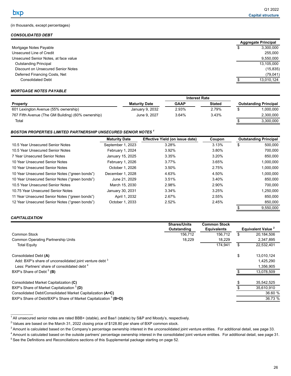### <span id="page-29-0"></span>(in thousands, except percentages)

### *CONSOLIDATED DEBT*

| <b>Aggregate Principal</b> |
|----------------------------|
| 3,300,000                  |
| 255,000                    |
| 9,550,000                  |
| 13,105,000                 |
| (15, 835)                  |
| (79, 041)                  |
| 13,010,124                 |
|                            |

### *MORTGAGE NOTES PAYABLE*

|                                                    |                      | <b>Interest Rate</b> |               |  |                              |
|----------------------------------------------------|----------------------|----------------------|---------------|--|------------------------------|
| <b>Property</b>                                    | <b>Maturity Date</b> | <b>GAAP</b>          | <b>Stated</b> |  | <b>Outstanding Principal</b> |
| 601 Lexington Avenue (55% ownership)               | January 9, 2032      | 2.93%                | 2.79%         |  | 1.000.000                    |
| 767 Fifth Avenue (The GM Building) (60% ownership) | June 9, 2027         | 3.64%                | 3.43%         |  | 2.300.000                    |
| Total                                              |                      |                      |               |  | 3.300.000                    |

#### *BOSTON PROPERTIES LIMITED PARTNERSHIP UNSECURED SENIOR NOTES <sup>1</sup>*

|                                                | <b>Maturity Date</b> | Effective Yield (on issue date) | Coupon |   | <b>Outstanding Principal</b> |
|------------------------------------------------|----------------------|---------------------------------|--------|---|------------------------------|
| 10.5 Year Unsecured Senior Notes               | September 1, 2023    | 3.28%                           | 3.13%  | S | 500,000                      |
| 10.5 Year Unsecured Senior Notes               | February 1, 2024     | $3.92\%$                        | 3.80%  |   | 700.000                      |
| 7 Year Unsecured Senior Notes                  | January 15, 2025     | 3.35%                           | 3.20%  |   | 850,000                      |
| 10 Year Unsecured Senior Notes                 | February 1, 2026     | 3.77%                           | 3.65%  |   | 1,000,000                    |
| 10 Year Unsecured Senior Notes                 | October 1, 2026      | 3.50%                           | 2.75%  |   | 1,000,000                    |
| 10 Year Unsecured Senior Notes ("green bonds") | December 1, 2028     | 4.63%                           | 4.50%  |   | 1,000,000                    |
| 10 Year Unsecured Senior Notes ("green bonds") | June 21, 2029        | 3.51%                           | 3.40%  |   | 850,000                      |
| 10.5 Year Unsecured Senior Notes               | March 15, 2030       | 2.98%                           | 2.90%  |   | 700.000                      |
| 10.75 Year Unsecured Senior Notes              | January 30, 2031     | 3.34%                           | 3.25%  |   | 1,250,000                    |
| 11 Year Unsecured Senior Notes ("green bonds") | April 1, 2032        | 2.67%                           | 2.55%  |   | 850.000                      |
| 12 Year Unsecured Senior Notes ("green bonds") | October 1, 2033      | 2.52%                           | 2.45%  |   | 850,000                      |
|                                                |                      |                                 |        |   | 9,550,000                    |

#### *CAPITALIZATION*

 $\mathcal{L}_\text{max}$  and  $\mathcal{L}_\text{max}$ 

|                                                                             | <b>Shares/Units</b> | <b>Common Stock</b> |                                      |
|-----------------------------------------------------------------------------|---------------------|---------------------|--------------------------------------|
|                                                                             | Outstanding         | <b>Equivalents</b>  | <b>Equivalent Value <sup>2</sup></b> |
| Common Stock                                                                | 156,712             | 156.712             | 20,184,506                           |
| <b>Common Operating Partnership Units</b>                                   | 18,229              | 18,229              | 2,347,895                            |
| <b>Total Equity</b>                                                         |                     | 174.941             | 22,532,401                           |
| Consolidated Debt (A)                                                       |                     |                     | \$<br>13,010,124                     |
| Add: BXP's share of unconsolidated joint venture debt <sup>3</sup>          |                     |                     | 1,425,290                            |
| Less: Partners' share of consolidated debt <sup>4</sup>                     |                     |                     | 1.356.905                            |
| BXP's Share of Debt $5$ (B)                                                 |                     |                     | 13.078.509                           |
| Consolidated Market Capitalization (C)                                      |                     |                     | 35,542,525                           |
| BXP's Share of Market Capitalization <sup>5</sup> (D)                       |                     |                     | 35.610.910                           |
| Consolidated Debt/Consolidated Market Capitalization (A÷C)                  |                     |                     | 36.60 %                              |
| BXP's Share of Debt/BXP's Share of Market Capitalization <sup>5</sup> (B÷D) |                     |                     | 36.73 %                              |

<sup>&</sup>lt;sup>1</sup> All unsecured senior notes are rated BBB+ (stable), and Baa1 (stable) by S&P and Moody's, respectively.

<sup>&</sup>lt;sup>2</sup> Values are based on the March 31, 2022 closing price of \$128.80 per share of BXP common stock.

<sup>&</sup>lt;sup>3</sup> Amount is calculated based on the Company's percentage ownership interest in the unconsolidated joint venture entities. For additional detail, see page 33.

<sup>&</sup>lt;sup>4</sup> Amount is calculated based on the outside partners' percentage ownership interest in the consolidated joint venture entities. For additional detail, see page 31. <sup>5</sup> See the Definitions and Reconciliations sections of this Supplemental package starting on page 52.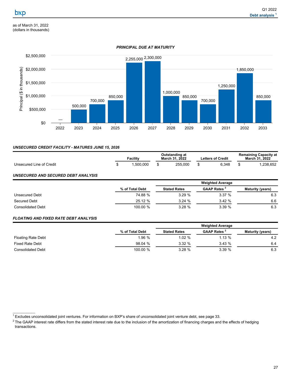<span id="page-30-0"></span>as of March 31, 2022 (dollars in thousands)

# *PRINCIPAL DUE AT MATURITY*



## *UNSECURED CREDIT FACILITY - MATURES JUNE 15, 2026*

|                          | Facilitv | Outstanding at<br>March 31, 2022 | <b>Letters of Credit</b> | <b>Remaining Capacity at</b><br><b>March 31, 2022</b> |
|--------------------------|----------|----------------------------------|--------------------------|-------------------------------------------------------|
| Unsecured Line of Credit | .500.000 | 255,000                          | 6.348                    | .238.652                                              |

### *UNSECURED AND SECURED DEBT ANALYSIS*

|                          |                 | <b>Weighted Average</b> |                                |                         |  |
|--------------------------|-----------------|-------------------------|--------------------------------|-------------------------|--|
|                          | % of Total Debt | <b>Stated Rates</b>     | <b>GAAP Rates <sup>2</sup></b> | <b>Maturity (years)</b> |  |
| Unsecured Debt           | 74.88 %         | 3.29%                   | 3.37%                          | 6.3                     |  |
| Secured Debt             | 25.12 %         | 3.24%                   | 3.42%                          | 6.6                     |  |
| <b>Consolidated Debt</b> | 100.00 %        | $3.28 \%$               | 3.39%                          | 6.3                     |  |

### *FLOATING AND FIXED RATE DEBT ANALYSIS*

 $\mathcal{L}_\text{max}$  and  $\mathcal{L}_\text{max}$ 

|                           |                 | <b>Weighted Average</b> |                                |                         |  |
|---------------------------|-----------------|-------------------------|--------------------------------|-------------------------|--|
|                           | % of Total Debt | <b>Stated Rates</b>     | <b>GAAP Rates <sup>2</sup></b> | <b>Maturity (years)</b> |  |
| <b>Floating Rate Debt</b> | 1.96%           | 1.02%                   | 1.13%                          | 4.2                     |  |
| Fixed Rate Debt           | 98.04 %         | 3.32%                   | 3.43%                          | 6.4                     |  |
| <b>Consolidated Debt</b>  | 100.00 %        | 3.28%                   | 3.39%                          | 6.3                     |  |

<sup>&</sup>lt;sup>1</sup> Excludes unconsolidated joint ventures. For information on BXP's share of unconsolidated joint venture debt, see page 33.

<sup>&</sup>lt;sup>2</sup> The GAAP interest rate differs from the stated interest rate due to the inclusion of the amortization of financing charges and the effects of hedging transactions.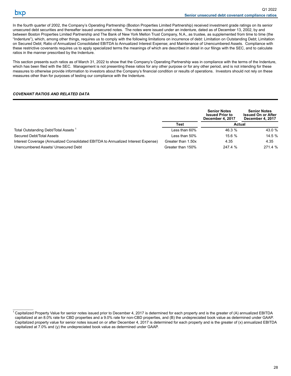$\mathcal{L}_\text{max}$  and  $\mathcal{L}_\text{max}$ 

<span id="page-31-0"></span>In the fourth quarter of 2002, the Company's Operating Partnership (Boston Properties Limited Partnership) received investment grade ratings on its senior unsecured debt securities and thereafter issued unsecured notes. The notes were issued under an indenture, dated as of December 13, 2002, by and between Boston Properties Limited Partnership and The Bank of New York Mellon Trust Company, N.A., as trustee, as supplemented from time to time (the "Indenture"), which, among other things, requires us to comply with the following limitations on incurrence of debt: Limitation on Outstanding Debt; Limitation on Secured Debt; Ratio of Annualized Consolidated EBITDA to Annualized Interest Expense; and Maintenance of Unencumbered Assets. Compliance with these restrictive covenants requires us to apply specialized terms the meanings of which are described in detail in our filings with the SEC, and to calculate ratios in the manner prescribed by the Indenture.

This section presents such ratios as of March 31, 2022 to show that the Company's Operating Partnership was in compliance with the terms of the Indenture, which has been filed with the SEC. Management is not presenting these ratios for any other purpose or for any other period, and is not intending for these measures to otherwise provide information to investors about the Company's financial condition or results of operations. Investors should not rely on these measures other than for purposes of testing our compliance with the Indenture.

### *COVENANT RATIOS AND RELATED DATA*

|                                                                                   |                    | <b>Senior Notes</b><br><b>Issued Prior to</b><br>December 4, 2017 | <b>Senior Notes</b><br><b>Issued On or After</b><br>December 4, 2017 |
|-----------------------------------------------------------------------------------|--------------------|-------------------------------------------------------------------|----------------------------------------------------------------------|
|                                                                                   | Test               | Actual                                                            |                                                                      |
| Total Outstanding Debt/Total Assets <sup>1</sup>                                  | Less than 60%      | 46.3 %                                                            | 43.0 %                                                               |
| Secured Debt/Total Assets                                                         | Less than $50\%$   | 15.6%                                                             | 14.5 %                                                               |
| Interest Coverage (Annualized Consolidated EBITDA to Annualized Interest Expense) | Greater than 1.50x | 4.35                                                              | 4.35                                                                 |
| Unencumbered Assets/ Unsecured Debt                                               | Greater than 150%  | 247.4 %                                                           | 271.4 %                                                              |

 $1$  Capitalized Property Value for senior notes issued prior to December 4, 2017 is determined for each property and is the greater of (A) annualized EBITDA capitalized at an 8.0% rate for CBD properties and a 9.0% rate for non-CBD properties, and (B) the undepreciated book value as determined under GAAP. Capitalized property value for senior notes issued on or after December 4, 2017 is determined for each property and is the greater of (x) annualized EBITDA capitalized at 7.0% and (y) the undepreciated book value as determined under GAAP.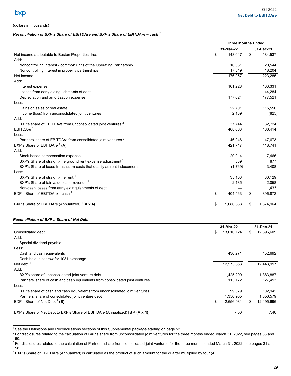## <span id="page-32-0"></span>(dollars in thousands)

### *Reconciliation of BXP's Share of EBITDAre and BXP's Share of EBITDAre* **–** *cash <sup>1</sup>*

|                                                                                      | <b>Three Months Ended</b> |                |  |
|--------------------------------------------------------------------------------------|---------------------------|----------------|--|
|                                                                                      | 31-Mar-22                 | 31-Dec-21      |  |
| Net income attributable to Boston Properties, Inc.                                   | \$<br>143,047             | \$<br>184,537  |  |
| Add:                                                                                 |                           |                |  |
| Noncontrolling interest - common units of the Operating Partnership                  | 16,361                    | 20,544         |  |
| Noncontrolling interest in property partnerships                                     | 17,549                    | 18,204         |  |
| Net income                                                                           | 176,957                   | 223,285        |  |
| Add:                                                                                 |                           |                |  |
| Interest expense                                                                     | 101,228                   | 103,331        |  |
| Losses from early extinguishments of debt                                            |                           | 44,284         |  |
| Depreciation and amortization expense                                                | 177,624                   | 177,521        |  |
| Less:                                                                                |                           |                |  |
| Gains on sales of real estate                                                        | 22,701                    | 115,556        |  |
| Income (loss) from unconsolidated joint ventures                                     | 2,189                     | (825)          |  |
| Add:                                                                                 |                           |                |  |
| BXP's share of EBITDAre from unconsolidated joint ventures <sup>2</sup>              | 37,744                    | 32,724         |  |
| EBITDAre <sup>1</sup>                                                                | 468,663                   | 466,414        |  |
| Less:                                                                                |                           |                |  |
| Partners' share of EBITDAre from consolidated joint ventures <sup>3</sup>            | 46,946                    | 47,673         |  |
| BXP's Share of EBITDAre <sup>1</sup> (A)                                             | 421.717                   | 418,741        |  |
| Add:                                                                                 |                           |                |  |
| Stock-based compensation expense                                                     | 20,914                    | 7,466          |  |
| BXP's Share of straight-line ground rent expense adjustment 1                        | 889                       | 877            |  |
| BXP's Share of lease transaction costs that qualify as rent inducements <sup>1</sup> | (1,769)                   | 3,408          |  |
| Less:                                                                                |                           |                |  |
| BXP's Share of straight-line rent <sup>1</sup>                                       | 35,103                    | 30,129         |  |
| BXP's Share of fair value lease revenue 1                                            | 2,185                     | 2,058          |  |
| Non-cash losses from early extinguishments of debt                                   |                           | 1,433          |  |
| BXP's Share of EBITDAre - cash <sup>1</sup>                                          | 404,463                   | 396,872<br>\$  |  |
| BXP's Share of EBITDAre (Annualized) <sup>4</sup> (A x 4)                            | 1,686,868<br>\$           | 1,674,964<br>S |  |

### *Reconciliation of BXP's Share of Net Debt<sup>1</sup>*

 $\mathcal{L}_\text{max}$  and  $\mathcal{L}_\text{max}$ 

|                                                                                         | 31-Mar-22  | 31-Dec-21         |
|-----------------------------------------------------------------------------------------|------------|-------------------|
| Consolidated debt                                                                       | 13,010,124 | 12,896,609<br>\$. |
| Add:                                                                                    |            |                   |
| Special dividend payable                                                                |            |                   |
| Less:                                                                                   |            |                   |
| Cash and cash equivalents                                                               | 436,271    | 452,692           |
| Cash held in escrow for 1031 exchange                                                   |            |                   |
| Net debt $1$                                                                            | 12,573,853 | 12,443,917        |
| Add:                                                                                    |            |                   |
| BXP's share of unconsolidated joint venture debt <sup>2</sup>                           | 1,425,290  | 1,383,887         |
| Partners' share of cash and cash equivalents from consolidated joint ventures           | 113.172    | 127.413           |
| Less:                                                                                   |            |                   |
| BXP's share of cash and cash equivalents from unconsolidated joint ventures             | 99,379     | 102,942           |
| Partners' share of consolidated joint venture debt <sup>3</sup>                         | 1,356,905  | 1,356,579         |
| BXP's Share of Net Debt <sup>1</sup> (B)                                                | 12,656,031 | 12,495,696        |
| BXP's Share of Net Debt to BXP's Share of EBITDAre (Annualized) $[B \div (A \times 4)]$ | 7.50       | 7.46              |

 $1$  See the Definitions and Reconciliations sections of this Supplemental package starting on page 52.

<sup>&</sup>lt;sup>2</sup> For disclosures related to the calculation of BXP's share from unconsolidated joint ventures for the three months ended March 31, 2022, see pages 33 and 60.

<sup>&</sup>lt;sup>3</sup> For disclosures related to the calculation of Partners' share from consolidated joint ventures for the three months ended March 31, 2022, see pages 31 and 58.

<sup>4</sup> BXP's Share of EBITDA*re* (Annualized) is calculated as the product of such amount for the quarter multiplied by four (4).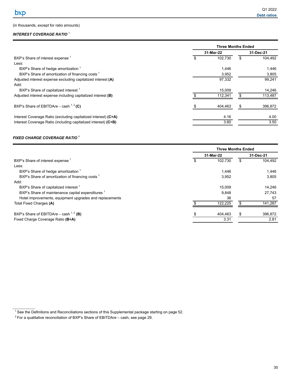### <span id="page-33-0"></span>(in thousands, except for ratio amounts)

# *INTEREST COVERAGE RATIO* <sup>1</sup>

|                                                                | <b>Three Months Ended</b> |           |    |         |  |  |  |
|----------------------------------------------------------------|---------------------------|-----------|----|---------|--|--|--|
|                                                                |                           | 31-Mar-22 |    |         |  |  |  |
| BXP's Share of interest expense <sup>1</sup>                   |                           | 102,730   |    | 104.492 |  |  |  |
| Less:                                                          |                           |           |    |         |  |  |  |
| BXP's Share of hedge amortization                              |                           | 1,446     |    | 1,446   |  |  |  |
| BXP's Share of amortization of financing costs <sup>1</sup>    |                           | 3,952     |    | 3,805   |  |  |  |
| Adjusted interest expense excluding capitalized interest (A)   |                           | 97,332    |    | 99,241  |  |  |  |
| Add:                                                           |                           |           |    |         |  |  |  |
| BXP's Share of capitalized interest <sup>1</sup>               |                           | 15,009    |    | 14.246  |  |  |  |
| Adjusted interest expense including capitalized interest (B)   |                           | 112,341   |    | 113,487 |  |  |  |
| BXP's Share of EBITDAre – cash $1, 2$ (C)                      |                           | 404.463   | \$ | 396,872 |  |  |  |
| Interest Coverage Ratio (excluding capitalized interest) (C÷A) |                           | 4.16      |    | 4.00    |  |  |  |
| Interest Coverage Ratio (including capitalized interest) (C÷B) |                           | 3.60      |    | 3.50    |  |  |  |
|                                                                |                           |           |    |         |  |  |  |

## *FIXED CHARGE COVERAGE RATIO* **<sup>1</sup>**

 $\mathcal{L}_\text{max}$  and  $\mathcal{L}_\text{max}$ 

|                                                              |           | <b>Three Months Ended</b> |    |         |
|--------------------------------------------------------------|-----------|---------------------------|----|---------|
|                                                              | 31-Mar-22 | 31-Dec-21                 |    |         |
| BXP's Share of interest expense <sup>1</sup>                 |           | 102.730                   |    | 104,492 |
| Less:                                                        |           |                           |    |         |
| BXP's Share of hedge amortization 1                          |           | 1,446                     |    | 1,446   |
| BXP's Share of amortization of financing costs <sup>1</sup>  |           | 3,952                     |    | 3,805   |
| Add:                                                         |           |                           |    |         |
| BXP's Share of capitalized interest <sup>1</sup>             |           | 15.009                    |    | 14,246  |
| BXP's Share of maintenance capital expenditures <sup>1</sup> |           | 9,848                     |    | 27,743  |
| Hotel improvements, equipment upgrades and replacements      |           | 36                        |    | 57      |
| Total Fixed Charges (A)                                      |           | 122,225                   |    | 141,287 |
| BXP's Share of EBITDAre – cash $^{1,2}$ (B)                  |           | 404,463                   | \$ | 396,872 |
| Fixed Charge Coverage Ratio (B÷A)                            |           | 3.31                      |    | 2.81    |
|                                                              |           |                           |    |         |

 $1$  See the Definitions and Reconciliations sections of this Supplemental package starting on page 52.

<sup>2</sup> For a qualitative reconciliation of BXP's Share of EBITDA*re* – cash, see page 29.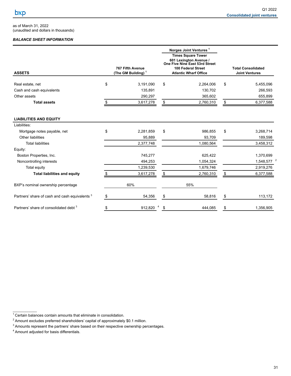<span id="page-34-0"></span>as of March 31, 2022 (unaudited and dollars in thousands)

# *BALANCE SHEET INFORMATION*

| <b>ASSETS</b>                                             | <b>767 Fifth Avenue</b><br>(The GM Building) $1$ | Norges Joint Ventures <sup>1</sup><br><b>Times Square Tower</b><br>601 Lexington Avenue /<br>One Five Nine East 53rd Street<br><b>100 Federal Street</b><br><b>Atlantic Wharf Office</b> | <b>Total Consolidated</b><br><b>Joint Ventures</b> |                        |  |
|-----------------------------------------------------------|--------------------------------------------------|------------------------------------------------------------------------------------------------------------------------------------------------------------------------------------------|----------------------------------------------------|------------------------|--|
| Real estate, net                                          | \$<br>3,191,090                                  | \$<br>2,264,006                                                                                                                                                                          | \$                                                 | 5,455,096              |  |
| Cash and cash equivalents                                 | 135,891                                          | 130,702                                                                                                                                                                                  |                                                    | 266,593                |  |
| Other assets                                              | 290,297                                          | 365,602                                                                                                                                                                                  |                                                    | 655,899                |  |
| <b>Total assets</b>                                       | \$<br>3,617,278                                  | \$<br>2,760,310                                                                                                                                                                          | $\frac{1}{2}$                                      | 6,377,588              |  |
| <b>LIABILITIES AND EQUITY</b>                             |                                                  |                                                                                                                                                                                          |                                                    |                        |  |
| Liabilities:                                              |                                                  |                                                                                                                                                                                          |                                                    |                        |  |
| Mortgage notes payable, net                               | \$<br>2,281,859                                  | \$<br>986,855                                                                                                                                                                            | \$                                                 | 3,268,714              |  |
| Other liabilities                                         | 95,889                                           | 93,709                                                                                                                                                                                   |                                                    | 189,598                |  |
| <b>Total liabilities</b>                                  | 2,377,748                                        | 1,080,564                                                                                                                                                                                |                                                    | 3,458,312              |  |
| Equity:                                                   |                                                  |                                                                                                                                                                                          |                                                    |                        |  |
| Boston Properties, Inc.                                   | 745,277                                          | 625,422                                                                                                                                                                                  |                                                    | 1,370,699              |  |
| Noncontrolling interests                                  | 494,253                                          | 1,054,324                                                                                                                                                                                |                                                    | 1,548,577 <sup>2</sup> |  |
| Total equity                                              | 1,239,530                                        | 1,679,746                                                                                                                                                                                |                                                    | 2,919,276              |  |
| <b>Total liabilities and equity</b>                       | 3,617,278                                        | \$<br>2,760,310                                                                                                                                                                          | \$                                                 | 6,377,588              |  |
| BXP's nominal ownership percentage                        | 60%                                              | 55%                                                                                                                                                                                      |                                                    |                        |  |
| Partners' share of cash and cash equivalents <sup>3</sup> | \$<br>54,356                                     | \$<br>58,816                                                                                                                                                                             | \$                                                 | 113,172                |  |
| Partners' share of consolidated debt <sup>3</sup>         | \$<br>912,820 4                                  | \$<br>444.085                                                                                                                                                                            | \$                                                 | 1,356,905              |  |

 $1$  Certain balances contain amounts that eliminate in consolidation.

<sup>&</sup>lt;sup>2</sup> Amount excludes preferred shareholders' capital of approximately \$0.1 million.

<sup>&</sup>lt;sup>3</sup> Amounts represent the partners' share based on their respective ownership percentages.

<sup>4</sup> Amount adjusted for basis differentials.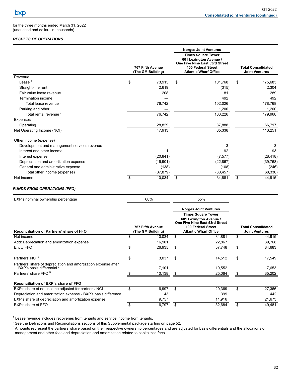for the three months ended March 31, 2022 (unaudited and dollars in thousands)

## *RESULTS OF OPERATIONS*

|                                             |                                              |           |                                                                                                                                                    | <b>Norges Joint Ventures</b> |                                                    |           |
|---------------------------------------------|----------------------------------------------|-----------|----------------------------------------------------------------------------------------------------------------------------------------------------|------------------------------|----------------------------------------------------|-----------|
|                                             | <b>767 Fifth Avenue</b><br>(The GM Building) |           | <b>Times Square Tower</b><br>601 Lexington Avenue /<br>One Five Nine East 53rd Street<br><b>100 Federal Street</b><br><b>Atlantic Wharf Office</b> |                              | <b>Total Consolidated</b><br><b>Joint Ventures</b> |           |
| Revenue                                     |                                              |           |                                                                                                                                                    |                              |                                                    |           |
| Lease $1$                                   | \$                                           | 73.915    | \$                                                                                                                                                 | 101.768                      | \$                                                 | 175,683   |
| Straight-line rent                          |                                              | 2,619     |                                                                                                                                                    | (315)                        |                                                    | 2,304     |
| Fair value lease revenue                    |                                              | 208       |                                                                                                                                                    | 81                           |                                                    | 289       |
| Termination income                          |                                              |           |                                                                                                                                                    | 492                          |                                                    | 492       |
| Total lease revenue                         |                                              | 76,742    |                                                                                                                                                    | 102,026                      |                                                    | 178,768   |
| Parking and other                           |                                              |           |                                                                                                                                                    | 1,200                        |                                                    | 1,200     |
| Total rental revenue <sup>2</sup>           |                                              | 76,742    |                                                                                                                                                    | 103,226                      |                                                    | 179,968   |
| Expenses                                    |                                              |           |                                                                                                                                                    |                              |                                                    |           |
| Operating                                   |                                              | 28,829    |                                                                                                                                                    | 37,888                       |                                                    | 66,717    |
| Net Operating Income (NOI)                  |                                              | 47,913    |                                                                                                                                                    | 65,338                       |                                                    | 113,251   |
| Other income (expense)                      |                                              |           |                                                                                                                                                    |                              |                                                    |           |
| Development and management services revenue |                                              |           |                                                                                                                                                    | 3                            |                                                    | 3         |
| Interest and other income                   |                                              |           |                                                                                                                                                    | 92                           |                                                    | 93        |
| Interest expense                            |                                              | (20, 841) |                                                                                                                                                    | (7, 577)                     |                                                    | (28, 418) |
| Depreciation and amortization expense       |                                              | (16, 901) |                                                                                                                                                    | (22, 867)                    |                                                    | (39, 768) |
| General and administrative expense          |                                              | (138)     |                                                                                                                                                    | (108)                        |                                                    | (246)     |
| Total other income (expense)                |                                              | (37, 879) |                                                                                                                                                    | (30, 457)                    |                                                    | (68, 336) |
| Net income                                  |                                              | 10,034    | \$                                                                                                                                                 | 34,881                       | \$                                                 | 44,915    |

# *FUNDS FROM OPERATIONS (FFO)*

| BXP's nominal ownership percentage                                                           |    | 60%                                   |    | 55%                                                                                                                                         |    |                                                    |
|----------------------------------------------------------------------------------------------|----|---------------------------------------|----|---------------------------------------------------------------------------------------------------------------------------------------------|----|----------------------------------------------------|
|                                                                                              |    |                                       |    | <b>Norges Joint Ventures</b>                                                                                                                |    |                                                    |
| <b>Reconciliation of Partners' share of FFO</b>                                              |    | 767 Fifth Avenue<br>(The GM Building) |    | <b>Times Square Tower</b><br>601 Lexington Avenue /<br>One Five Nine East 53rd Street<br>100 Federal Street<br><b>Atlantic Wharf Office</b> |    | <b>Total Consolidated</b><br><b>Joint Ventures</b> |
| Net income                                                                                   |    | 10,034                                | \$ | 34,881                                                                                                                                      | \$ | 44,915                                             |
| Add: Depreciation and amortization expense                                                   |    | 16,901                                |    | 22,867                                                                                                                                      |    | 39,768                                             |
| Entity FFO                                                                                   |    | 26,935                                | S  | 57,748                                                                                                                                      | S  | 84,683                                             |
| Partners' NCI <sup>3</sup>                                                                   | \$ | 3,037                                 | \$ | 14,512                                                                                                                                      | \$ | 17,549                                             |
| Partners' share of depreciation and amortization expense after<br>BXP's basis differential 3 |    | 7,101                                 |    | 10,552                                                                                                                                      |    | 17,653                                             |
| Partners' share FFO 3                                                                        |    | 10,138                                |    | 25,064                                                                                                                                      |    | 35,202                                             |
| Reconciliation of BXP's share of FFO                                                         |    |                                       |    |                                                                                                                                             |    |                                                    |
| BXP's share of net income adjusted for partners' NCI                                         | \$ | 6,997                                 | \$ | 20,369                                                                                                                                      | \$ | 27,366                                             |
| Depreciation and amortization expense - BXP's basis difference                               |    | 43                                    |    | 399                                                                                                                                         |    | 442                                                |
| BXP's share of depreciation and amortization expense                                         |    | 9,757                                 |    | 11,916                                                                                                                                      |    | 21,673                                             |
| BXP's share of FFO                                                                           |    | 16,797                                | S  | 32,684                                                                                                                                      | S  | 49,481                                             |

\_\_\_\_\_\_\_\_\_\_\_\_\_ 1 Lease revenue includes recoveries from tenants and service income from tenants.

 $2$  See the Definitions and Reconciliations sections of this Supplemental package starting on page 52.

 $3$  Amounts represent the partners' share based on their respective ownership percentages and are adjusted for basis differentials and the allocations of management and other fees and depreciation and amortization related to capitalized fees.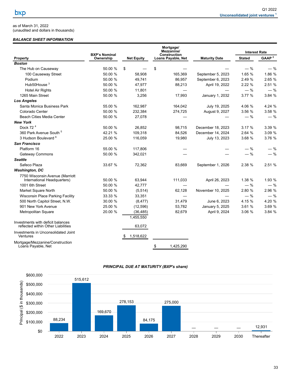<span id="page-36-0"></span>as of March 31, 2022 (unaudited and dollars in thousands)

### *BALANCE SHEET INFORMATION*

|                                                                         | <b>BXP's Nominal</b> |                   | Mortgage/<br>Mezzanine/<br>Construction |                      | <b>Interest Rate</b> |                   |  |
|-------------------------------------------------------------------------|----------------------|-------------------|-----------------------------------------|----------------------|----------------------|-------------------|--|
| Property                                                                | Ownership            | <b>Net Equity</b> | <b>Loans Payable, Net</b>               | <b>Maturity Date</b> | <b>Stated</b>        | GAAP <sup>2</sup> |  |
| <b>Boston</b>                                                           |                      |                   |                                         |                      |                      |                   |  |
| The Hub on Causeway                                                     | 50.00 %              | \$                | \$                                      |                      | $-$ %                | $-$ %             |  |
| 100 Causeway Street                                                     | 50.00 %              | 58,908            | 165,369                                 | September 5, 2023    | 1.65 %               | 1.86 %            |  |
| Podium                                                                  | 50.00 %              | 49,741            | 86,957                                  | September 6, 2023    | 2.49 %               | 2.65 %            |  |
| Hub50House <sup>3</sup>                                                 | 50.00 %              | 47,977            | 88,213                                  | April 19, 2022       | 2.22 %               | 2.51 %            |  |
| <b>Hotel Air Rights</b>                                                 | 50.00 %              | 11,801            |                                         |                      | $-$ %                | $-$ %             |  |
| 1265 Main Street                                                        | 50.00 %              | 3,256             | 17,993                                  | January 1, 2032      | 3.77%                | 3.84 %            |  |
| <b>Los Angeles</b>                                                      |                      |                   |                                         |                      |                      |                   |  |
| Santa Monica Business Park                                              | 55.00 %              | 162,987           | 164,042                                 | July 19, 2025        | 4.06 %               | 4.24 %            |  |
| Colorado Center                                                         | 50.00 %              | 232,384           | 274,725                                 | August 9, 2027       | 3.56 %               | 3.58 %            |  |
| <b>Beach Cities Media Center</b>                                        | 50.00 %              | 27,078            |                                         |                      | $-$ %                | $-$ %             |  |
| <b>New York</b>                                                         |                      |                   |                                         |                      |                      |                   |  |
| Dock $724$                                                              | 50.00 %              | 26,852            | 98,715                                  | December 18, 2023    | 3.17%                | 3.39 %            |  |
| 360 Park Avenue South <sup>5</sup>                                      | 42.21 %              | 109,318           | 84,526                                  | December 14, 2024    | 2.64 %               | 3.09 %            |  |
| 3 Hudson Boulevard <sup>6</sup>                                         | 25.00 %              | 116,059           | 19,980                                  | July 13, 2023        | 3.68 %               | 3.76 %            |  |
| <b>San Francisco</b>                                                    |                      |                   |                                         |                      |                      |                   |  |
| Platform 16                                                             | 55.00 %              | 117,806           |                                         |                      | $-$ %                | $-$ %             |  |
| <b>Gateway Commons</b>                                                  | 50.00 %              | 342,021           |                                         |                      | $-$ %                | $-$ %             |  |
| <b>Seattle</b>                                                          |                      |                   |                                         |                      |                      |                   |  |
| Safeco Plaza                                                            | 33.67 %              | 72,362            | 83,669                                  | September 1, 2026    | 2.38 %               | 2.51 %            |  |
| <b>Washington, DC</b>                                                   |                      |                   |                                         |                      |                      |                   |  |
| 7750 Wisconsin Avenue (Marriott<br>International Headquarters)          | 50.00 %              | 63,944            | 111,033                                 | April 26, 2023       | 1.38 %               | 1.93 %            |  |
| 1001 6th Street                                                         | 50.00 %              | 42,777            |                                         |                      | $-$ %                | $-$ %             |  |
| Market Square North                                                     | 50.00 %              | (5, 514)          | 62.128                                  | November 10, 2025    | 2.80 %               | 2.96 %            |  |
| Wisconsin Place Parking Facility                                        | 33.33 %              | 33,351            |                                         |                      | $-$ %                | $-$ %             |  |
| 500 North Capitol Street, N.W.                                          | 30.00 %              | (8, 477)          | 31,479                                  | June 6, 2023         | 4.15 %               | 4.20 %            |  |
| 901 New York Avenue                                                     | 25.00 %              | (12, 596)         | 53,782                                  | January 5, 2025      | 3.61%                | 3.69 %            |  |
| Metropolitan Square                                                     | 20.00 %              | (36, 485)         | 82,679                                  | April 9, 2024        | 3.06 %               | 3.84 %            |  |
|                                                                         |                      | 1,455,550         |                                         |                      |                      |                   |  |
| Investments with deficit balances<br>reflected within Other Liabilities |                      | 63,072            |                                         |                      |                      |                   |  |
| Investments in Unconsolidated Joint<br>Ventures                         |                      | 1,518,622         |                                         |                      |                      |                   |  |
| Mortgage/Mezzanine/Construction<br>Loans Payable, Net                   |                      |                   | 1,425,290<br>\$                         |                      |                      |                   |  |

#### *PRINCIPAL DUE AT MATURITY (BXP's share)*

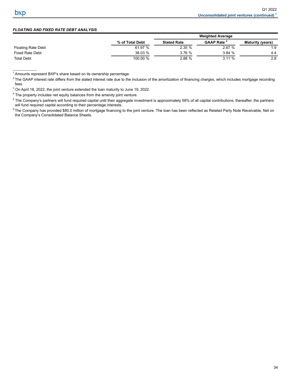$\mathcal{L}_\text{max}$  and  $\mathcal{L}_\text{max}$ 

## *FLOATING AND FIXED RATE DEBT ANALYSIS*

|                           |                 | <b>Weighted Average</b> |                               |                         |  |  |  |
|---------------------------|-----------------|-------------------------|-------------------------------|-------------------------|--|--|--|
|                           | % of Total Debt | <b>Stated Rate</b>      | <b>GAAP Rate</b> <sup>2</sup> | <b>Maturity (years)</b> |  |  |  |
| <b>Floating Rate Debt</b> | 61.97 %         | 2.35%                   | 2.67%                         | 1.9                     |  |  |  |
| <b>Fixed Rate Debt</b>    | 38.03 %         | 3.76%                   | 3.84 %                        | 4.4                     |  |  |  |
| <b>Total Debt</b>         | 100.00 %        | 2.88%                   | 3.11%                         | 2.8                     |  |  |  |

 $1$  Amounts represent BXP's share based on its ownership percentage.

<sup>&</sup>lt;sup>2</sup> The GAAP interest rate differs from the stated interest rate due to the inclusion of the amortization of financing charges, which includes mortgage recording fees.

 $3$  On April 18, 2022, the joint venture extended the loan maturity to June 19, 2022.

<sup>&</sup>lt;sup>4</sup> The property includes net equity balances from the amenity joint venture.

 $5$  The Company's partners will fund required capital until their aggregate investment is approximately 58% of all capital contributions; thereafter, the partners will fund required capital according to their percentage interests.

<sup>&</sup>lt;sup>6</sup>The Company has provided \$80.0 million of mortgage financing to the joint venture. The loan has been reflected as Related Party Note Receivable, Net on the Company's Consolidated Balance Sheets.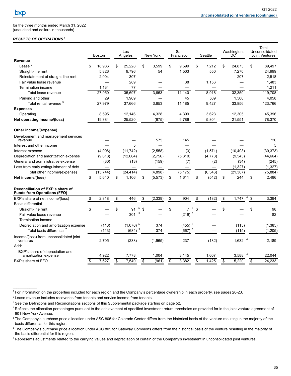$\mathcal{L}_\text{max}$  and  $\mathcal{L}_\text{max}$ 

for the three months ended March 31, 2022 (unaudited and dollars in thousands)

### *RESULTS OF OPERATIONS <sup>1</sup>*

|                                                                        | <b>Boston</b>            | Los<br>Angeles |    | New York | San<br>Francisco     |         | Seattle  | Washington,<br>DC    | Total<br>Unconsolidated<br><b>Joint Ventures</b> |
|------------------------------------------------------------------------|--------------------------|----------------|----|----------|----------------------|---------|----------|----------------------|--------------------------------------------------|
| Revenue                                                                |                          |                |    |          |                      |         |          |                      |                                                  |
| Lease $2$                                                              | \$<br>18,986             | \$<br>25,228   | \$ | 3.599    | \$<br>9.599          | \$      | 7,212    | \$<br>24,873         | \$<br>89,497                                     |
| Straight-line rent                                                     | 5,826                    | 9,796          |    | 54       | 1,503                |         | 550      | 7,270                | 24,999                                           |
| Reinstatement of straight-line rent                                    | 2,004                    | 307            |    |          |                      |         |          | 207                  | 2,518                                            |
| Fair value lease revenue                                               | $\overline{\phantom{0}}$ | 289            |    |          | 38                   |         | 1,156    |                      | 1,483                                            |
| Termination income                                                     | 1,134                    | 77             |    |          |                      |         |          |                      | 1,211                                            |
| Total lease revenue                                                    | 27,950                   | 35,697         |    | 3,653    | 11,140               |         | 8,918    | 32,350               | 119,708                                          |
| Parking and other                                                      | 29                       | 1,969          |    |          | 45                   |         | 509      | 1,506                | 4,058                                            |
| Total rental revenue <sup>3</sup>                                      | 27,979                   | 37,666         |    | 3,653    | 11,185               |         | 9.427    | 33,856               | 123,766                                          |
| <b>Expenses</b>                                                        |                          |                |    |          |                      |         |          |                      |                                                  |
| Operating                                                              | 8,595                    | 12,146         |    | 4,328    | 4,399                |         | 3,623    | 12,305               | 45,396                                           |
| Net operating income/(loss)                                            | 19.384                   | 25,520         |    | (675)    | 6,786                |         | 5.804    | 21,551               | 78,370                                           |
| Other income/(expense)                                                 |                          |                |    |          |                      |         |          |                      |                                                  |
| Development and management services<br>revenue                         |                          |                |    | 575      | 145                  |         |          |                      | 720                                              |
| Interest and other income                                              |                          | 5              |    |          |                      |         |          |                      | 5                                                |
| Interest expense                                                       | (4,096)                  | (11, 742)      |    | (2,558)  | (3)                  |         | (1,571)  | (10, 403)            | (30, 373)                                        |
| Depreciation and amortization expense                                  | (9,618)                  | (12, 664)      |    | (2,756)  | (5,310)              |         | (4, 773) | (9,543)              | (44, 664)                                        |
| General and administrative expense                                     | (30)                     | (13)           |    | (159)    | (7)                  |         | (2)      | (34)                 | (245)                                            |
| Loss from early extinguishment of debt                                 |                          |                |    |          |                      |         |          | (1, 327)             | (1, 327)                                         |
| Total other income/(expense)                                           | (13, 744)                | (24, 414)      |    | (4,898)  | (5, 175)             |         | (6, 346) | (21, 307)            | (75, 884)                                        |
| Net income/(loss)                                                      | \$<br>5.640              | \$<br>1.106    | \$ | (5, 573) | \$<br>1.611          | \$      | (542)    | \$<br>244            | \$<br>2,486                                      |
| Reconciliation of BXP's share of<br><b>Funds from Operations (FFO)</b> |                          |                |    |          |                      |         |          |                      |                                                  |
| BXP's share of net income/(loss)                                       | \$<br>2,818              | \$<br>446      | \$ | (2, 339) | \$<br>904            | \$      | (182)    | \$<br>1,747          | \$<br>3,394                                      |
| <b>Basis differential</b>                                              |                          |                |    |          |                      |         |          |                      |                                                  |
| Straight-line rent                                                     | \$                       | \$<br>5<br>91  | \$ |          | \$<br>$\overline{7}$ | 6<br>\$ |          | \$                   | \$<br>98                                         |
| Fair value lease revenue                                               |                          | 5<br>301       |    |          | (219)                | 6       |          |                      | 82                                               |
| Termination income                                                     |                          |                |    |          |                      |         |          |                      |                                                  |
| Depreciation and amortization expense                                  | (113)                    | 5<br>(1,076)   |    | 374      | (455)                | 6       |          | (115)                | (1, 385)                                         |
| Total basis differential 7                                             | (113)                    | 5<br>(684)     |    | 374      | (667)                | 6       |          | (115)                | (1,205)                                          |
| Income/(loss) from unconsolidated joint<br>ventures                    | 2,705                    | (238)          |    | (1,965)  | 237                  |         | (182)    | $1,632$ <sup>4</sup> | 2,189                                            |
| Add:                                                                   |                          |                |    |          |                      |         |          |                      |                                                  |
| BXP's share of depreciation and<br>amortization expense                | 4,922                    | 7,778          |    | 1,004    | 3,145                |         | 1,607    | 3,588                | 22,044                                           |
| BXP's share of FFO                                                     | \$<br>7,627              | \$<br>7,540    | S  | (961)    | \$<br>3,382          | \$      | 1,425    | \$<br>5,220          | \$<br>24,233                                     |
|                                                                        |                          |                |    |          |                      |         |          |                      |                                                  |

<sup>2</sup> Lease revenue includes recoveries from tenants and service income from tenants.

<sup>3</sup> See the Definitions and Reconciliations sections of this Supplemental package starting on page 52.

 $1$ For information on the properties included for each region and the Company's percentage ownership in each property, see pages 20-23.

<sup>&</sup>lt;sup>4</sup> Reflects the allocation percentages pursuant to the achievement of specified investment return thresholds as provided for in the joint venture agreement of 901 New York Avenue.

<sup>&</sup>lt;sup>5</sup>The Company's purchase price allocation under ASC 805 for Colorado Center differs from the historical basis of the venture resulting in the majority of the basis differential for this region.

 $6$ The Company's purchase price allocation under ASC 805 for Gateway Commons differs from the historical basis of the venture resulting in the majority of the basis differential for this region.

<sup>&</sup>lt;sup>7</sup> Represents adjustments related to the carrying values and depreciation of certain of the Company's investment in unconsolidated joint ventures.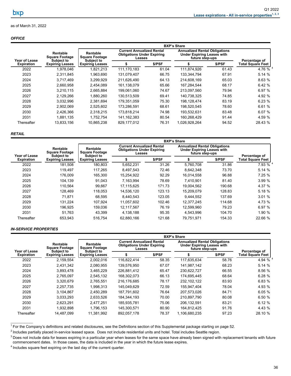#### <span id="page-39-0"></span>*OFFICE*

|                   |                                                        | <b>BXP's Share</b>                              |                                                                                 |        |                                                                                              |        |                   |  |  |  |  |
|-------------------|--------------------------------------------------------|-------------------------------------------------|---------------------------------------------------------------------------------|--------|----------------------------------------------------------------------------------------------|--------|-------------------|--|--|--|--|
| Year of Lease     | Rentable<br><b>Square Footage</b><br><b>Subject to</b> | Rentable<br><b>Square Footage</b><br>Subject to | <b>Current Annualized Rental</b><br><b>Obligations Under Expiring</b><br>Leases |        | <b>Annualized Rental Obligations</b><br><b>Under Expiring Leases with</b><br>future step-ups |        | Percentage of     |  |  |  |  |
| <b>Expiration</b> | <b>Expiring Leases</b>                                 | <b>Expiring Leases</b>                          | \$                                                                              | \$/PSF |                                                                                              | \$/PSF | Total Square Feet |  |  |  |  |
| 2022              | 1,978,046                                              | 1.821.213                                       | 111,170,183                                                                     | 61.04  | 111,874,926                                                                                  | 61.43  | 4.76 $%$ 4        |  |  |  |  |
| 2023              | 2,311,845                                              | 1,963,690                                       | 131,079,407                                                                     | 66.75  | 133.344.794                                                                                  | 67.91  | 5.14 %            |  |  |  |  |
| 2024              | 3.717.469                                              | 3.299.929                                       | 211.626.490                                                                     | 64.13  | 214.608.169                                                                                  | 65.03  | 8.63 %            |  |  |  |  |
| 2025              | 2.660.958                                              | 2.454.089                                       | 161.138.079                                                                     | 65.66  | 167.284.544                                                                                  | 68.17  | 6.42 %            |  |  |  |  |
| 2026              | 3,210,115                                              | 2,665,884                                       | 199,061,060                                                                     | 74.67  | 213,097,560                                                                                  | 79.94  | 6.97 %            |  |  |  |  |
| 2027              | 2.129.266                                              | 1.880.260                                       | 130.513.509                                                                     | 69.41  | 140.738.325                                                                                  | 74.85  | 4.92 %            |  |  |  |  |
| 2028              | 3,032,996                                              | 2,381,694                                       | 179,351,059                                                                     | 75.30  | 198,128,474                                                                                  | 83.19  | 6.23 %            |  |  |  |  |
| 2029              | 2.902.069                                              | 2,525,602                                       | 173.286.591                                                                     | 68.61  | 198.520.545                                                                                  | 78.60  | 6.61 %            |  |  |  |  |
| 2030              | 2,426,366                                              | 2,318,215                                       | 173,818,214                                                                     | 74.98  | 193,532,631                                                                                  | 83.48  | 6.07 %            |  |  |  |  |
| 2031              | 1,881,135                                              | 1.752.754                                       | 141, 162, 383                                                                   | 80.54  | 160,268,429                                                                                  | 91.44  | 4.59 %            |  |  |  |  |
| Thereafter        | 13,833,156                                             | 10,865,238                                      | 829,177,012                                                                     | 76.31  | 1,026,928,264                                                                                | 94.52  | 28.43 %           |  |  |  |  |

#### *RETAIL*

|            |                                                                                                                                                         | <b>BXP's Share</b> |                                                                                                                      |        |            |                                                                                              |                                           |  |  |  |  |
|------------|---------------------------------------------------------------------------------------------------------------------------------------------------------|--------------------|----------------------------------------------------------------------------------------------------------------------|--------|------------|----------------------------------------------------------------------------------------------|-------------------------------------------|--|--|--|--|
|            | Rentable<br><b>Square Footage</b><br>Year of Lease<br>Subject to<br>Subject to<br><b>Expiring Leases</b><br><b>Expiring Leases</b><br><b>Expiration</b> |                    | <b>Current Annualized Rental</b><br>Rentable<br><b>Obligations Under Expiring</b><br><b>Square Footage</b><br>Leases |        |            | <b>Annualized Rental Obligations</b><br><b>Under Expiring Leases with</b><br>future step-ups |                                           |  |  |  |  |
|            |                                                                                                                                                         |                    | \$/PSF                                                                                                               |        |            | \$/PSF                                                                                       | Percentage of<br><b>Total Square Feet</b> |  |  |  |  |
| 2022       | 181.508                                                                                                                                                 | 180,803            | 5,652,231                                                                                                            | 31.26  | 5,760,708  | 31.86                                                                                        | 7.93 % 4                                  |  |  |  |  |
| 2023       | 119.497                                                                                                                                                 | 117,265            | 8,497,543                                                                                                            | 72.46  | 8,642,348  | 73.70                                                                                        | 5.14%                                     |  |  |  |  |
| 2024       | 176.009                                                                                                                                                 | 165.300            | 15,254,922                                                                                                           | 92.29  | 16.014.558 | 96.88                                                                                        | 7.25 %                                    |  |  |  |  |
| 2025       | 104.139                                                                                                                                                 | 91.043             | 7,163,994                                                                                                            | 78.69  | 7.410.901  | 81.40                                                                                        | 3.99%                                     |  |  |  |  |
| 2026       | 110.564                                                                                                                                                 | 99.667             | 17.115.625                                                                                                           | 171.73 | 19.004.562 | 190.68                                                                                       | 4.37 %                                    |  |  |  |  |
| 2027       | 128.469                                                                                                                                                 | 118.053            | 14,536,120                                                                                                           | 123.13 | 15,209,079 | 128.83                                                                                       | 5.18 %                                    |  |  |  |  |
| 2028       | 71.871                                                                                                                                                  | 68,595             | 8,440,543                                                                                                            | 123.05 | 9,444,552  | 137.69                                                                                       | 3.01%                                     |  |  |  |  |
| 2029       | 131.224                                                                                                                                                 | 107.924            | 11.057.602                                                                                                           | 102.46 | 12.377.245 | 114.68                                                                                       | 4.73 %                                    |  |  |  |  |
| 2030       | 196.925                                                                                                                                                 | 159,036            | 12,117,567                                                                                                           | 76.19  | 12,599,960 | 79.23                                                                                        | 6.97%                                     |  |  |  |  |
| 2031       | 51.763                                                                                                                                                  | 43.399             | 4,138,188                                                                                                            | 95.35  | 4.543.996  | 104.70                                                                                       | 1.90 %                                    |  |  |  |  |
| Thereafter | 653,943                                                                                                                                                 | 516,754            | 62,880,166                                                                                                           | 121.68 | 79,751,971 | 154.33                                                                                       | 22.66 %                                   |  |  |  |  |

#### *IN-SERVICE PROPERTIES*

|                                             |                                                        | <b>BXP's Share</b>                              |                                                                                 |        |                                                                                              |               |                          |  |  |  |  |
|---------------------------------------------|--------------------------------------------------------|-------------------------------------------------|---------------------------------------------------------------------------------|--------|----------------------------------------------------------------------------------------------|---------------|--------------------------|--|--|--|--|
| Year of Lease                               | Rentable<br><b>Square Footage</b><br><b>Subject to</b> | Rentable<br><b>Square Footage</b><br>Subject to | <b>Current Annualized Rental</b><br><b>Obligations Under Expiring</b><br>Leases |        | <b>Annualized Rental Obligations</b><br><b>Under Expiring Leases with</b><br>future step-ups | Percentage of |                          |  |  |  |  |
| <b>Expiring Leases</b><br><b>Expiration</b> |                                                        | <b>Expiring Leases</b>                          |                                                                                 | \$/PSF |                                                                                              | \$/PSF        | <b>Total Square Feet</b> |  |  |  |  |
| 2022                                        | 2,159,554                                              | 2,002,016                                       | 116,822,414                                                                     | 58.35  | 117,635,634                                                                                  | 58.76         | 4.94 % $^{4}$            |  |  |  |  |
| 2023                                        | 2,431,342                                              | 2,080,955                                       | 139,576,950                                                                     | 67.07  | 141.987.142                                                                                  | 68.23         | 5.14%                    |  |  |  |  |
| 2024                                        | 3,893,478                                              | 3,465,229                                       | 226,881,412                                                                     | 65.47  | 230,622,727                                                                                  | 66.55         | 8.56 %                   |  |  |  |  |
| 2025                                        | 2,765,097                                              | 2,545,132                                       | 168,302,073                                                                     | 66.13  | 174,695,445                                                                                  | 68.64         | 6.28%                    |  |  |  |  |
| 2026                                        | 3.320.679                                              | 2.765.551                                       | 216.176.685                                                                     | 78.17  | 232.102.122                                                                                  | 83.93         | 6.83%                    |  |  |  |  |
| 2027                                        | 2,257,735                                              | 1,998,313                                       | 145.049.629                                                                     | 72.59  | 155,947,404                                                                                  | 78.04         | 4.93 %                   |  |  |  |  |
| 2028                                        | 3,104,867                                              | 2.450.289                                       | 187.791.602                                                                     | 76.64  | 207.573.026                                                                                  | 84.71         | 6.05%                    |  |  |  |  |
| 2029                                        | 3,033,293                                              | 2.633.526                                       | 184.344.193                                                                     | 70.00  | 210.897.790                                                                                  | 80.08         | 6.50 %                   |  |  |  |  |
| 2030                                        | 2.623.291                                              | 2.477.251                                       | 185.935.781                                                                     | 75.06  | 206.132.591                                                                                  | 83.21         | 6.12%                    |  |  |  |  |
| 2031                                        | 1.932.898                                              | 1.796.153                                       | 145.300.571                                                                     | 80.90  | 164.812.425                                                                                  | 91.76         | 4.43 %                   |  |  |  |  |
| Thereafter                                  | 14.487.099                                             | 11.381.992                                      | 892.057.178                                                                     | 78.37  | 1.106.680.235                                                                                | 97.23         | 28.10 %                  |  |  |  |  |

 $1$  For the Company's definitions and related disclosures, see the Definitions section of this Supplemental package starting on page 52.

<sup>2</sup> Includes partially placed in-service leased space. Does not include residential units and hotel. Total includes Seattle region.

<sup>3</sup> Does not include data for leases expiring in a particular year when leases for the same space have already been signed with replacement tenants with future commencement dates. In those cases, the data is included in the year in which the future lease expires.

 $4$  Includes square feet expiring on the last day of the current quarter.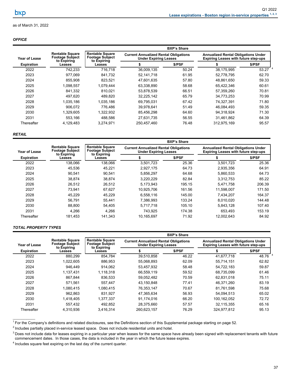<span id="page-40-0"></span>

|                   |                                                                 | <b>BXP's Share</b>                                              |                                                                              |        |                                                                                           |             |  |
|-------------------|-----------------------------------------------------------------|-----------------------------------------------------------------|------------------------------------------------------------------------------|--------|-------------------------------------------------------------------------------------------|-------------|--|
| Year of Lease     | <b>Rentable Square</b><br><b>Footage Subject</b><br>to Expiring | <b>Rentable Square</b><br><b>Footage Subject</b><br>to Expiring | <b>Current Annualized Rental Obligations</b><br><b>Under Expiring Leases</b> |        | <b>Annualized Rental Obligations Under</b><br><b>Expiring Leases with future step-ups</b> |             |  |
| <b>Expiration</b> | Leases                                                          | Leases                                                          |                                                                              | \$/PSF |                                                                                           | \$/PSF      |  |
| 2022              | 742,233                                                         | 716.718                                                         | 36,009,135                                                                   | 50.24  | 38,175,995                                                                                | $53.27^{4}$ |  |
| 2023              | 977.069                                                         | 841.732                                                         | 52.141.718                                                                   | 61.95  | 52.778.795                                                                                | 62.70       |  |
| 2024              | 855.908                                                         | 823.521                                                         | 47,601,635                                                                   | 57.80  | 48,861,650                                                                                | 59.33       |  |
| 2025              | 1.098.557                                                       | 1.079.444                                                       | 63,338,890                                                                   | 58.68  | 65.422.346                                                                                | 60.61       |  |
| 2026              | 841.332                                                         | 810.021                                                         | 53,878,539                                                                   | 66.51  | 57,359,260                                                                                | 70.81       |  |
| 2027              | 497.620                                                         | 489.820                                                         | 32,225,142                                                                   | 65.79  | 34.773.253                                                                                | 70.99       |  |
| 2028              | 1.035.186                                                       | 1.035.186                                                       | 69.795.031                                                                   | 67.42  | 74.327.391                                                                                | 71.80       |  |
| 2029              | 906.072                                                         | 776.486                                                         | 39,978,641                                                                   | 51.49  | 46.084.493                                                                                | 59.35       |  |
| 2030              | 1.329.605                                                       | 1.322.932                                                       | 85.456.298                                                                   | 64.60  | 94.318.924                                                                                | 71.30       |  |
| 2031              | 553.166                                                         | 488.586                                                         | 27,631,735                                                                   | 56.55  | 31.461.862                                                                                | 64.39       |  |
| Thereafter        | 4,129,483                                                       | 3.274.971                                                       | 250.457.460                                                                  | 76.48  | 312.975.169                                                                               | 95.57       |  |

#### *RETAIL*

|                      |                                                                 | <b>BXP's Share</b>                                              |                                                                              |        |                                                                                           |        |  |
|----------------------|-----------------------------------------------------------------|-----------------------------------------------------------------|------------------------------------------------------------------------------|--------|-------------------------------------------------------------------------------------------|--------|--|
| <b>Year of Lease</b> | <b>Rentable Square</b><br><b>Footage Subject</b><br>to Expiring | <b>Rentable Square</b><br><b>Footage Subject</b><br>to Expiring | <b>Current Annualized Rental Obligations</b><br><b>Under Expiring Leases</b> |        | <b>Annualized Rental Obligations Under</b><br><b>Expiring Leases with future step-ups</b> |        |  |
| <b>Expiration</b>    | Leases                                                          | Leases                                                          | S                                                                            | \$/PSF |                                                                                           | \$/PSF |  |
| 2022                 | 138,066                                                         | 138,066                                                         | 3,501,723                                                                    | 25.36  | 3,501,723                                                                                 | 25.36  |  |
| 2023                 | 45.536                                                          | 45.221                                                          | 2,927,175                                                                    | 64.73  | 2,935,356                                                                                 | 64.91  |  |
| 2024                 | 90.541                                                          | 90.541                                                          | 5,856,297                                                                    | 64.68  | 5,860,533                                                                                 | 64.73  |  |
| 2025                 | 38,874                                                          | 38.874                                                          | 3,220,229                                                                    | 82.84  | 3,312,753                                                                                 | 85.22  |  |
| 2026                 | 26,512                                                          | 26,512                                                          | 5,173,943                                                                    | 195.15 | 5,471,758                                                                                 | 206.39 |  |
| 2027                 | 73.941                                                          | 67.627                                                          | 10.925.706                                                                   | 161.56 | 11,598,007                                                                                | 171.50 |  |
| 2028                 | 45,229                                                          | 45,229                                                          | 6,558,116                                                                    | 145.00 | 7,434,207                                                                                 | 164.37 |  |
| 2029                 | 56.791                                                          | 55.441                                                          | 7.386.993                                                                    | 133.24 | 8.010.020                                                                                 | 144.48 |  |
| 2030                 | 88.800                                                          | 54.405                                                          | 5,717,718                                                                    | 105.10 | 5,843,128                                                                                 | 107.40 |  |
| 2031                 | 4.266                                                           | 4.266                                                           | 743.925                                                                      | 174.38 | 653.493                                                                                   | 153.19 |  |
| Thereafter           | 181,453                                                         | 141,343                                                         | 10,165,697                                                                   | 71.92  | 12,002,643                                                                                | 84.92  |  |

## *TOTAL PROPERTY TYPES*

|                      |                                                                 | <b>BXP's Share</b>                                                                                                                              |             |                                                                                           |             |           |  |
|----------------------|-----------------------------------------------------------------|-------------------------------------------------------------------------------------------------------------------------------------------------|-------------|-------------------------------------------------------------------------------------------|-------------|-----------|--|
| <b>Year of Lease</b> | <b>Rentable Square</b><br><b>Footage Subject</b><br>to Expiring | <b>Rentable Square</b><br><b>Current Annualized Rental Obligations</b><br><b>Footage Subject</b><br><b>Under Expiring Leases</b><br>to Expiring |             | <b>Annualized Rental Obligations Under</b><br><b>Expiring Leases with future step-ups</b> |             |           |  |
| <b>Expiration</b>    | Leases                                                          | Leases                                                                                                                                          |             | \$/PSF                                                                                    |             | \$/PSF    |  |
| 2022                 | 880,299                                                         | 854,784                                                                                                                                         | 39,510,858  | 46.22                                                                                     | 41,677,718  | 48.76 $4$ |  |
| 2023                 | 1.022.605                                                       | 886.953                                                                                                                                         | 55,068,893  | 62.09                                                                                     | 55.714.151  | 62.82     |  |
| 2024                 | 946.449                                                         | 914.062                                                                                                                                         | 53,457,932  | 58.48                                                                                     | 54,722,183  | 59.87     |  |
| 2025                 | 1.137.431                                                       | 1.118.318                                                                                                                                       | 66,559,119  | 59.52                                                                                     | 68.735.099  | 61.46     |  |
| 2026                 | 867.844                                                         | 836.533                                                                                                                                         | 59,052,482  | 70.59                                                                                     | 62,831,018  | 75.11     |  |
| 2027                 | 571.561                                                         | 557,447                                                                                                                                         | 43,150,848  | 77.41                                                                                     | 46.371.260  | 83.19     |  |
| 2028                 | 1.080.415                                                       | 1,080,415                                                                                                                                       | 76,353,147  | 70.67                                                                                     | 81,761,598  | 75.68     |  |
| 2029                 | 962.863                                                         | 831.927                                                                                                                                         | 47,365,634  | 56.93                                                                                     | 54.094.513  | 65.02     |  |
| 2030                 | 1.418.405                                                       | 1.377.337                                                                                                                                       | 91.174.016  | 66.20                                                                                     | 100,162,052 | 72.72     |  |
| 2031                 | 557.432                                                         | 492.852                                                                                                                                         | 28,375,660  | 57.57                                                                                     | 32.115.355  | 65.16     |  |
| Thereafter           | 4.310.936                                                       | 3.416.314                                                                                                                                       | 260,623,157 | 76.29                                                                                     | 324.977.812 | 95.13     |  |
|                      |                                                                 |                                                                                                                                                 |             |                                                                                           |             |           |  |

 $1$  For the Company's definitions and related disclosures, see the Definitions section of this Supplemental package starting on page 52.

 $^2$  Includes partially placed in-service leased space. Does not include residential units and hotel.

<sup>3</sup> Does not include data for leases expiring in a particular year when leases for the same space have already been signed with replacement tenants with future commencement dates. In those cases, the data is included in the year in which the future lease expires.

<sup>4</sup> Includes square feet expiring on the last day of the current quarter.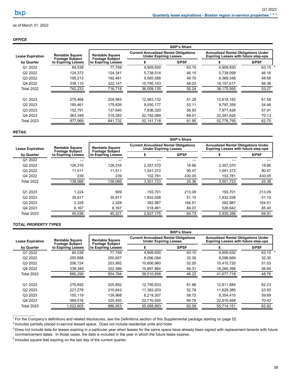### *OFFICE*

|                         |                                                                        | <b>BXP's Share</b>                               |                                                                              |        |                                                                                           |           |  |
|-------------------------|------------------------------------------------------------------------|--------------------------------------------------|------------------------------------------------------------------------------|--------|-------------------------------------------------------------------------------------------|-----------|--|
| <b>Lease Expiration</b> | <b>Rentable Square</b><br><b>Footage Subject</b><br>to Expiring Leases | <b>Rentable Square</b><br><b>Footage Subject</b> | <b>Current Annualized Rental Obligations</b><br><b>Under Expiring Leases</b> |        | <b>Annualized Rental Obligations Under</b><br><b>Expiring Leases with future step-ups</b> |           |  |
| by Quarter              |                                                                        | to Expiring Leases                               |                                                                              | \$/PSF |                                                                                           | \$/PSF    |  |
| Q1 2022                 | 84,538                                                                 | 77,749                                           | 4,909,930                                                                    | 63.15  | 4.909.930                                                                                 | 63.15 $4$ |  |
| Q2 2022                 | 124,372                                                                | 124,341                                          | 5,738,514                                                                    | 46.15  | 5,739,099                                                                                 | 46.16     |  |
| Q3 2022                 | 195,213                                                                | 192,481                                          | 9,565,588                                                                    | 49.70  | 9,369,348                                                                                 | 48.68     |  |
| Q4 2022                 | 338,110                                                                | 322,147                                          | 15,795,103                                                                   | 49.03  | 18,157,617                                                                                | 56.36     |  |
| <b>Total 2022</b>       | 742,233                                                                | 716,718                                          | 36,009,135                                                                   | 50.24  | 38,175,995                                                                                | 53.27     |  |
| Q1 2023                 | 275.468                                                                | 204,983                                          | 12,563,132                                                                   | 61.29  | 12,618,183                                                                                | 61.56     |  |
| Q <sub>2</sub> 2023     | 185.461                                                                | 179.826                                          | 9,550,177                                                                    | 53.11  | 9.797.359                                                                                 | 54.48     |  |
| Q3 2023                 | 152.791                                                                | 137,640                                          | 7,836,320                                                                    | 56.93  | 7,971,428                                                                                 | 57.91     |  |
| Q4 2023                 | 363,349                                                                | 319,283                                          | 22,192,089                                                                   | 69.51  | 22,391,826                                                                                | 70.13     |  |
| <b>Total 2023</b>       | 977.069                                                                | 841.732                                          | 52.141.718                                                                   | 61.95  | 52.778.795                                                                                | 62.70     |  |

#### *RETAIL*

|                         |                                                                        | <b>BXP's Share</b>                               |                                                                              |        |                                                                                           |        |        |
|-------------------------|------------------------------------------------------------------------|--------------------------------------------------|------------------------------------------------------------------------------|--------|-------------------------------------------------------------------------------------------|--------|--------|
| <b>Lease Expiration</b> | <b>Rentable Square</b><br><b>Footage Subject</b><br>to Expiring Leases | <b>Rentable Square</b><br><b>Footage Subject</b> | <b>Current Annualized Rental Obligations</b><br><b>Under Expiring Leases</b> |        | <b>Annualized Rental Obligations Under</b><br><b>Expiring Leases with future step-ups</b> |        |        |
| by Quarter              |                                                                        |                                                  | to Expiring Leases                                                           |        | \$/PSF                                                                                    |        | \$/PSF |
| Q1 2022                 |                                                                        |                                                  |                                                                              |        |                                                                                           |        |        |
| Q2 2022                 | 126,316                                                                | 126,316                                          | 2,357,570                                                                    | 18.66  | 2,357,570                                                                                 | 18.66  |        |
| Q3 2022                 | 11.511                                                                 | 11.511                                           | 1,041,372                                                                    | 90.47  | 1,041,372                                                                                 | 90.47  |        |
| Q4 2022                 | 239                                                                    | 239                                              | 102,781                                                                      | 430.05 | 102,781                                                                                   | 430.05 |        |
| Total 2022              | 138.066                                                                | 138,066                                          | 3,501,723                                                                    | 25.36  | 3,501,723                                                                                 | 25.36  |        |
| Q1 2023                 | 1.224                                                                  | 909                                              | 193.701                                                                      | 213.09 | 193.701                                                                                   | 213.09 |        |
| Q2 2023                 | 35,817                                                                 | 35,817                                           | 1,832,026                                                                    | 51.15  | 1,832,026                                                                                 | 51.15  |        |
| Q3 2023                 | 2,328                                                                  | 2,328                                            | 382,987                                                                      | 164.51 | 382,987                                                                                   | 164.51 |        |
| Q4 2023                 | 6,167                                                                  | 6,167                                            | 518.461                                                                      | 84.07  | 526,642                                                                                   | 85.40  |        |
| <b>Total 2023</b>       | 45,536                                                                 | 45,221                                           | 2,927,175                                                                    | 64.73  | 2,935,356                                                                                 | 64.91  |        |
|                         |                                                                        |                                                  |                                                                              |        |                                                                                           |        |        |

# *TOTAL PROPERTY TYPES*

|                         |                                                  | <b>BXP's Share</b>                               |                                                                              |        |                                                                                           |        |  |
|-------------------------|--------------------------------------------------|--------------------------------------------------|------------------------------------------------------------------------------|--------|-------------------------------------------------------------------------------------------|--------|--|
| <b>Lease Expiration</b> | <b>Rentable Square</b><br><b>Footage Subject</b> | <b>Rentable Square</b><br><b>Footage Subject</b> | <b>Current Annualized Rental Obligations</b><br><b>Under Expiring Leases</b> |        | <b>Annualized Rental Obligations Under</b><br><b>Expiring Leases with future step-ups</b> |        |  |
| by Quarter              | to Expiring Leases                               | to Expiring Leases                               |                                                                              | \$/PSF |                                                                                           | \$/PSF |  |
| Q1 2022                 | 84,538                                           | 77,749                                           | 4,909,930                                                                    | 63.15  | 4,909,930                                                                                 | 63.15  |  |
| Q2 2022                 | 250.688                                          | 250,657                                          | 8,096,084                                                                    | 32.30  | 8.096.669                                                                                 | 32.30  |  |
| Q3 2022                 | 206,724                                          | 203,992                                          | 10,606,960                                                                   | 52.00  | 10,410,720                                                                                | 51.03  |  |
| Q4 2022                 | 338,349                                          | 322,386                                          | 15,897,884                                                                   | 49.31  | 18.260.398                                                                                | 56.64  |  |
| <b>Total 2022</b>       | 880,299                                          | 854,784                                          | 39,510,858                                                                   | 46.22  | 41,677,718                                                                                | 48.76  |  |
| Q1 2023                 | 276.692                                          | 205.892                                          | 12,756,833                                                                   | 61.96  | 12,811,884                                                                                | 62.23  |  |
| Q2 2023                 | 221.278                                          | 215.643                                          | 11,382,203                                                                   | 52.78  | 11,629,385                                                                                | 53.93  |  |
| Q3 2023                 | 155,119                                          | 139,968                                          | 8,219,307                                                                    | 58.72  | 8,354,415                                                                                 | 59.69  |  |
| Q4 2023                 | 369,516                                          | 325,450                                          | 22,710,550                                                                   | 69.78  | 22,918,468                                                                                | 70.42  |  |
| <b>Total 2023</b>       | 1,022,605                                        | 886,953                                          | 55,068,893                                                                   | 62.09  | 55,714,151                                                                                | 62.82  |  |

 $1$  For the Company's definitions and related disclosures, see the Definitions section of this Supplemental package starting on page 52.

 $2$  Includes partially placed in-service leased space. Does not include residential units and hotel.

<sup>3</sup> Does not include data for leases expiring in a particular year when leases for the same space have already been signed with replacement tenants with future commencement dates. In those cases, the data is included in the year in which the future lease expires.

<sup>4</sup> Includes square feet expiring on the last day of the current quarter.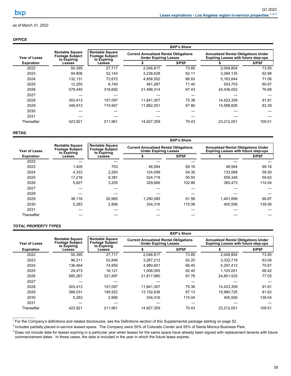### <span id="page-42-0"></span>*OFFICE*

|                   | <b>Rentable Square</b><br><b>Footage Subject</b><br>to Expiring | <b>BXP's Share</b>                                              |                                                                              |        |                                                                                           |        |  |
|-------------------|-----------------------------------------------------------------|-----------------------------------------------------------------|------------------------------------------------------------------------------|--------|-------------------------------------------------------------------------------------------|--------|--|
| Year of Lease     |                                                                 | <b>Rentable Square</b><br><b>Footage Subject</b><br>to Expiring | <b>Current Annualized Rental Obligations</b><br><b>Under Expiring Leases</b> |        | <b>Annualized Rental Obligations Under</b><br><b>Expiring Leases with future step-ups</b> |        |  |
| <b>Expiration</b> | Leases                                                          | Leases                                                          |                                                                              | \$/PSF |                                                                                           | \$/PSF |  |
| 2022              | 50,395                                                          | 27,717                                                          | 2,046,817                                                                    | 73.85  | 2,049,804                                                                                 | 73.95  |  |
| 2023              | 94.806                                                          | 52.143                                                          | 3,238,628                                                                    | 62.11  | 3,284,135                                                                                 | 62.98  |  |
| 2024              | 132,131                                                         | 72,672                                                          | 4,856,502                                                                    | 66.83  | 5,163,844                                                                                 | 71.06  |  |
| 2025              | 12.255                                                          | 6.740                                                           | 481.287                                                                      | 71.40  | 543.703                                                                                   | 80.67  |  |
| 2026              | 579.440                                                         | 318.692                                                         | 21.488.314                                                                   | 67.43  | 24.436.052                                                                                | 76.68  |  |
| 2027              |                                                                 |                                                                 |                                                                              |        |                                                                                           |        |  |
| 2028              | 303.413                                                         | 157,097                                                         | 11,841,307                                                                   | 75.38  | 14,423,359                                                                                | 91.81  |  |
| 2029              | 349,913                                                         | 174,957                                                         | 11.862.051                                                                   | 67.80  | 14,588,826                                                                                | 83.39  |  |
| 2030              |                                                                 |                                                                 |                                                                              |        |                                                                                           |        |  |
| 2031              |                                                                 |                                                                 |                                                                              |        |                                                                                           |        |  |
| Thereafter        | 423,921                                                         | 211.961                                                         | 14,927,359                                                                   | 70.43  | 23,212,051                                                                                | 109.51 |  |

### *RETAIL*

|                   |                                                                 | <b>BXP's Share</b>                                                                                                                              |           |                                                                                           |           |        |  |
|-------------------|-----------------------------------------------------------------|-------------------------------------------------------------------------------------------------------------------------------------------------|-----------|-------------------------------------------------------------------------------------------|-----------|--------|--|
| Year of Lease     | <b>Rentable Square</b><br><b>Footage Subject</b><br>to Expiring | <b>Rentable Square</b><br><b>Current Annualized Rental Obligations</b><br><b>Footage Subject</b><br><b>Under Expiring Leases</b><br>to Expiring |           | <b>Annualized Rental Obligations Under</b><br><b>Expiring Leases with future step-ups</b> |           |        |  |
| <b>Expiration</b> | Leases                                                          | Leases                                                                                                                                          |           | \$/PSF                                                                                    |           | \$/PSF |  |
| 2022              |                                                                 |                                                                                                                                                 |           |                                                                                           |           |        |  |
| 2023              | 1,405                                                           | 703                                                                                                                                             | 48,584    | 69.16                                                                                     | 48,584    | 69.16  |  |
| 2024              | 4,333                                                           | 2,283                                                                                                                                           | 124,099   | 54.35                                                                                     | 133,568   | 58.50  |  |
| 2025              | 17.218                                                          | 9,381                                                                                                                                           | 524,718   | 55.93                                                                                     | 559,348   | 59.62  |  |
| 2026              | 5,827                                                           | 3,205                                                                                                                                           | 329,666   | 102.86                                                                                    | 365,473   | 114.04 |  |
| 2027              |                                                                 |                                                                                                                                                 |           |                                                                                           |           |        |  |
| 2028              |                                                                 |                                                                                                                                                 |           |                                                                                           |           |        |  |
| 2029              | 38.118                                                          | 20.965                                                                                                                                          | 1,290,585 | 61.56                                                                                     | 1,401,899 | 66.87  |  |
| 2030              | 5,283                                                           | 2,906                                                                                                                                           | 334,316   | 115.06                                                                                    | 405,506   | 139.56 |  |
| 2031              |                                                                 |                                                                                                                                                 |           |                                                                                           |           |        |  |
| Thereafter        |                                                                 |                                                                                                                                                 |           |                                                                                           |           |        |  |

### *TOTAL PROPERTY TYPES*

|                   |                                                                 | <b>BXP's Share</b>                                              |                                                                              |        |                                                                                           |        |  |  |
|-------------------|-----------------------------------------------------------------|-----------------------------------------------------------------|------------------------------------------------------------------------------|--------|-------------------------------------------------------------------------------------------|--------|--|--|
| Year of Lease     | <b>Rentable Square</b><br><b>Footage Subject</b><br>to Expiring | <b>Rentable Square</b><br><b>Footage Subject</b><br>to Expiring | <b>Current Annualized Rental Obligations</b><br><b>Under Expiring Leases</b> |        | <b>Annualized Rental Obligations Under</b><br><b>Expiring Leases with future step-ups</b> |        |  |  |
| <b>Expiration</b> | Leases                                                          | Leases                                                          |                                                                              | \$/PSF |                                                                                           | \$/PSF |  |  |
| 2022              | 50.395                                                          | 27,717                                                          | 2,046,817                                                                    | 73.85  | 2,049,804                                                                                 | 73.95  |  |  |
| 2023              | 96.211                                                          | 52.846                                                          | 3,287,212                                                                    | 62.20  | 3,332,719                                                                                 | 63.06  |  |  |
| 2024              | 136.464                                                         | 74,955                                                          | 4,980,601                                                                    | 66.45  | 5,297,412                                                                                 | 70.67  |  |  |
| 2025              | 29.473                                                          | 16.121                                                          | 1.006.005                                                                    | 62.40  | 1.103.051                                                                                 | 68.42  |  |  |
| 2026              | 585,267                                                         | 321,897                                                         | 21,817,980                                                                   | 67.78  | 24,801,525                                                                                | 77.05  |  |  |
| 2027              |                                                                 |                                                                 |                                                                              |        |                                                                                           |        |  |  |
| 2028              | 303,413                                                         | 157.097                                                         | 11,841,307                                                                   | 75.38  | 14,423,359                                                                                | 91.81  |  |  |
| 2029              | 388.031                                                         | 195.922                                                         | 13,152,636                                                                   | 67.13  | 15.990.725                                                                                | 81.62  |  |  |
| 2030              | 5,283                                                           | 2,906                                                           | 334,316                                                                      | 115.04 | 405,506                                                                                   | 139.54 |  |  |
| 2031              |                                                                 |                                                                 |                                                                              |        |                                                                                           |        |  |  |
| Thereafter        | 423,921                                                         | 211,961                                                         | 14,927,359                                                                   | 70.43  | 23,212,051                                                                                | 109.51 |  |  |

<sup>1</sup> For the Company's definitions and related disclosures, see the Definitions section of this Supplemental package starting on page 52.

<sup>2</sup> Includes partially placed in-service leased space. The Company owns 50% of Colorado Center and 55% of Santa Monica Business Park.

<sup>3</sup> Does not include data for leases expiring in a particular year when leases for the same space have already been signed with replacement tenants with future commencement dates. In those cases, the data is included in the year in which the future lease expires.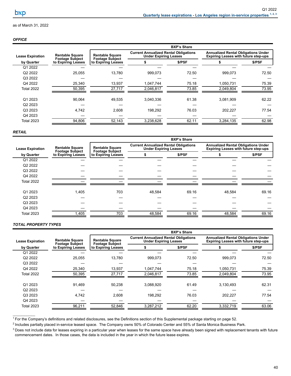## *OFFICE*

|                         |                                                  | <b>BXP's Share</b>                               |                                                                              |       |                                                                                           |       |        |
|-------------------------|--------------------------------------------------|--------------------------------------------------|------------------------------------------------------------------------------|-------|-------------------------------------------------------------------------------------------|-------|--------|
| <b>Lease Expiration</b> | <b>Rentable Square</b><br><b>Footage Subject</b> | <b>Rentable Square</b><br><b>Footage Subject</b> | <b>Current Annualized Rental Obligations</b><br><b>Under Expiring Leases</b> |       | <b>Annualized Rental Obligations Under</b><br><b>Expiring Leases with future step-ups</b> |       |        |
| by Quarter              | to Expiring Leases                               |                                                  | to Expiring Leases                                                           |       | \$/PSF                                                                                    |       | \$/PSF |
| Q1 2022                 |                                                  |                                                  |                                                                              |       |                                                                                           |       |        |
| Q2 2022                 | 25,055                                           | 13,780                                           | 999,073                                                                      | 72.50 | 999,073                                                                                   | 72.50 |        |
| Q3 2022                 |                                                  |                                                  |                                                                              |       |                                                                                           |       |        |
| Q4 2022                 | 25,340                                           | 13,937                                           | 1,047,744                                                                    | 75.18 | 1,050,731                                                                                 | 75.39 |        |
| <b>Total 2022</b>       | 50,395                                           | 27,717                                           | 2,046,817                                                                    | 73.85 | 2,049,804                                                                                 | 73.95 |        |
|                         |                                                  |                                                  |                                                                              |       |                                                                                           |       |        |
| Q1 2023                 | 90,064                                           | 49,535                                           | 3,040,336                                                                    | 61.38 | 3,081,909                                                                                 | 62.22 |        |
| Q <sub>2</sub> 2023     |                                                  |                                                  |                                                                              |       |                                                                                           |       |        |
| Q3 2023                 | 4,742                                            | 2,608                                            | 198,292                                                                      | 76.03 | 202,227                                                                                   | 77.54 |        |
| Q4 2023                 |                                                  |                                                  |                                                                              |       |                                                                                           |       |        |
| <b>Total 2023</b>       | 94,806                                           | 52,143                                           | 3,238,628                                                                    | 62.11 | 3,284,135                                                                                 | 62.98 |        |

#### *RETAIL*

|                         |                                                                        | <b>BXP's Share</b>                               |                                                                              |       |                                                                                           |       |        |  |
|-------------------------|------------------------------------------------------------------------|--------------------------------------------------|------------------------------------------------------------------------------|-------|-------------------------------------------------------------------------------------------|-------|--------|--|
| <b>Lease Expiration</b> | <b>Rentable Square</b><br><b>Footage Subject</b><br>to Expiring Leases | <b>Rentable Square</b><br><b>Footage Subject</b> | <b>Current Annualized Rental Obligations</b><br><b>Under Expiring Leases</b> |       | <b>Annualized Rental Obligations Under</b><br><b>Expiring Leases with future step-ups</b> |       |        |  |
| by Quarter              |                                                                        |                                                  | to Expiring Leases                                                           |       | \$/PSF                                                                                    |       | \$/PSF |  |
| Q1 2022                 |                                                                        |                                                  |                                                                              |       |                                                                                           |       |        |  |
| Q2 2022                 |                                                                        |                                                  |                                                                              |       |                                                                                           |       |        |  |
| Q3 2022                 |                                                                        |                                                  |                                                                              |       |                                                                                           |       |        |  |
| Q4 2022                 |                                                                        |                                                  |                                                                              |       |                                                                                           |       |        |  |
| <b>Total 2022</b>       |                                                                        |                                                  |                                                                              |       |                                                                                           |       |        |  |
|                         |                                                                        |                                                  |                                                                              |       |                                                                                           |       |        |  |
| Q1 2023                 | 1,405                                                                  | 703                                              | 48,584                                                                       | 69.16 | 48,584                                                                                    | 69.16 |        |  |
| Q2 2023                 |                                                                        |                                                  |                                                                              |       |                                                                                           |       |        |  |
| Q3 2023                 |                                                                        |                                                  |                                                                              |       |                                                                                           |       |        |  |
| Q4 2023                 |                                                                        |                                                  |                                                                              |       |                                                                                           |       |        |  |
| <b>Total 2023</b>       | 1,405                                                                  | 703                                              | 48,584                                                                       | 69.16 | 48,584                                                                                    | 69.16 |        |  |
|                         |                                                                        |                                                  |                                                                              |       |                                                                                           |       |        |  |

### *TOTAL PROPERTY TYPES*

|                         |                                                  | <b>BXP's Share</b>                               |                                                                              |        |                                                                                           |        |  |
|-------------------------|--------------------------------------------------|--------------------------------------------------|------------------------------------------------------------------------------|--------|-------------------------------------------------------------------------------------------|--------|--|
| <b>Lease Expiration</b> | <b>Rentable Square</b><br><b>Footage Subject</b> | <b>Rentable Square</b><br><b>Footage Subject</b> | <b>Current Annualized Rental Obligations</b><br><b>Under Expiring Leases</b> |        | <b>Annualized Rental Obligations Under</b><br><b>Expiring Leases with future step-ups</b> |        |  |
| by Quarter              | to Expiring Leases                               | to Expiring Leases                               |                                                                              | \$/PSF |                                                                                           | \$/PSF |  |
| Q1 2022                 |                                                  |                                                  |                                                                              |        |                                                                                           |        |  |
| Q <sub>2</sub> 2022     | 25,055                                           | 13,780                                           | 999,073                                                                      | 72.50  | 999,073                                                                                   | 72.50  |  |
| Q3 2022                 |                                                  |                                                  |                                                                              |        |                                                                                           |        |  |
| Q4 2022                 | 25,340                                           | 13,937                                           | 1,047,744                                                                    | 75.18  | 1,050,731                                                                                 | 75.39  |  |
| <b>Total 2022</b>       | 50,395                                           | 27,717                                           | 2,046,817                                                                    | 73.85  | 2,049,804                                                                                 | 73.95  |  |
|                         |                                                  |                                                  |                                                                              |        |                                                                                           |        |  |
| Q1 2023                 | 91,469                                           | 50,238                                           | 3,088,920                                                                    | 61.49  | 3,130,493                                                                                 | 62.31  |  |
| Q <sub>2</sub> 2023     |                                                  |                                                  |                                                                              |        |                                                                                           |        |  |
| Q3 2023                 | 4,742                                            | 2.608                                            | 198,292                                                                      | 76.03  | 202,227                                                                                   | 77.54  |  |
| Q4 2023                 |                                                  |                                                  |                                                                              |        |                                                                                           |        |  |
| <b>Total 2023</b>       | 96,211                                           | 52,846                                           | 3,287,212                                                                    | 62.20  | 3,332,719                                                                                 | 63.06  |  |
|                         |                                                  |                                                  |                                                                              |        |                                                                                           |        |  |

<sup>1</sup> For the Company's definitions and related disclosures, see the Definitions section of this Supplemental package starting on page 52.

<sup>2</sup> Includes partially placed in-service leased space. The Company owns 50% of Colorado Center and 55% of Santa Monica Business Park.

 $3$  Does not include data for leases expiring in a particular year when leases for the same space have already been signed with replacement tenants with future commencement dates. In those cases, the data is included in the year in which the future lease expires.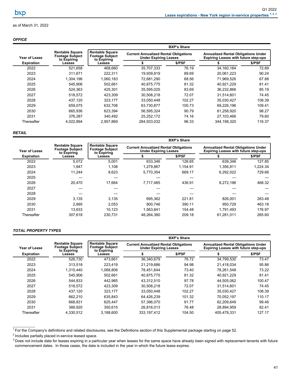### <span id="page-44-0"></span>*OFFICE*

|                   |                                                                 | <b>BXP's Share</b>                                              |             |                                                                              |             |                                                                                           |  |
|-------------------|-----------------------------------------------------------------|-----------------------------------------------------------------|-------------|------------------------------------------------------------------------------|-------------|-------------------------------------------------------------------------------------------|--|
| Year of Lease     | <b>Rentable Square</b><br><b>Footage Subject</b><br>to Expiring | <b>Rentable Square</b><br><b>Footage Subject</b><br>to Expiring |             | <b>Current Annualized Rental Obligations</b><br><b>Under Expiring Leases</b> |             | <b>Annualized Rental Obligations Under</b><br><b>Expiring Leases with future step-ups</b> |  |
| <b>Expiration</b> | Leases                                                          | Leases                                                          |             | \$/PSF                                                                       |             | \$/PSF                                                                                    |  |
| 2022              | 521.658                                                         | 468.660                                                         | 35.707.333  | 76.19                                                                        | 34.160.184  | 72.89                                                                                     |  |
| 2023              | 311.671                                                         | 222.311                                                         | 19.939.819  | 89.69                                                                        | 20.061.223  | 90.24                                                                                     |  |
| 2024              | 1.304.196                                                       | 1.060.183                                                       | 72.681.290  | 68.56                                                                        | 71.969.526  | 67.88                                                                                     |  |
| 2025              | 545.906                                                         | 502.661                                                         | 40.875.775  | 81.32                                                                        | 40.921.229  | 81.41                                                                                     |  |
| 2026              | 524.363                                                         | 425.301                                                         | 35,595,025  | 83.69                                                                        | 36,232,866  | 85.19                                                                                     |  |
| 2027              | 518.572                                                         | 423.309                                                         | 30,508,218  | 72.07                                                                        | 31.514.601  | 74.45                                                                                     |  |
| 2028              | 437,120                                                         | 323,177                                                         | 33,050,448  | 102.27                                                                       | 35,030,427  | 108.39                                                                                    |  |
| 2029              | 659.075                                                         | 632,708                                                         | 63,730,877  | 100.73                                                                       | 69,226,196  | 109.41                                                                                    |  |
| 2030              | 665,936                                                         | 623,394                                                         | 56,595,324  | 90.79                                                                        | 61,258,920  | 98.27                                                                                     |  |
| 2031              | 376.287                                                         | 340,492                                                         | 25,252,172  | 74.16                                                                        | 27,103,466  | 79.60                                                                                     |  |
| Thereafter        | 4,022,894                                                       | 2,957,869                                                       | 284,933,032 | 96.33                                                                        | 344,198,320 | 116.37                                                                                    |  |

#### *RETAIL*

|                   |                                                                 | <b>BXP's Share</b>                                              |            |                                                                              |            |                                                                                           |  |  |
|-------------------|-----------------------------------------------------------------|-----------------------------------------------------------------|------------|------------------------------------------------------------------------------|------------|-------------------------------------------------------------------------------------------|--|--|
| Year of Lease     | <b>Rentable Square</b><br><b>Footage Subject</b><br>to Expiring | <b>Rentable Square</b><br><b>Footage Subject</b><br>to Expiring |            | <b>Current Annualized Rental Obligations</b><br><b>Under Expiring Leases</b> |            | <b>Annualized Rental Obligations Under</b><br><b>Expiring Leases with future step-ups</b> |  |  |
| <b>Expiration</b> | Leases                                                          | Leases                                                          |            | \$/PSF                                                                       |            | \$/PSF                                                                                    |  |  |
| 2022              | 5.072                                                           | 5,001                                                           | 633,346    | 126.65                                                                       | 639.346    | 127.85                                                                                    |  |  |
| 2023              | 1,847                                                           | 1,108                                                           | 1,279,867  | 1,154.91                                                                     | 1,356,811  | 1.224.34                                                                                  |  |  |
| 2024              | 11.244                                                          | 8,623                                                           | 5,770,354  | 669.17                                                                       | 6,292,022  | 729.66                                                                                    |  |  |
| 2025              |                                                                 |                                                                 |            |                                                                              |            |                                                                                           |  |  |
| 2026              | 20,470                                                          | 17,664                                                          | 7,717,485  | 436.91                                                                       | 8,272,196  | 468.32                                                                                    |  |  |
| 2027              |                                                                 |                                                                 |            |                                                                              |            |                                                                                           |  |  |
| 2028              |                                                                 |                                                                 |            |                                                                              |            |                                                                                           |  |  |
| 2029              | 3.135                                                           | 3,135                                                           | 695.362    | 221.81                                                                       | 826,001    | 263.48                                                                                    |  |  |
| 2030              | 2,895                                                           | 2,053                                                           | 800,746    | 390.11                                                                       | 950,729    | 463.18                                                                                    |  |  |
| 2031              | 13.633                                                          | 10.123                                                          | 1.563.841  | 154.48                                                                       | 1.791.493  | 176.97                                                                                    |  |  |
| Thereafter        | 307.618                                                         | 230,731                                                         | 48,264,380 | 209.18                                                                       | 61,281,011 | 265.60                                                                                    |  |  |

#### *TOTAL PROPERTY TYPES*

 $\mathcal{L}_\text{max}$  and  $\mathcal{L}_\text{max}$ 

|                      |                                                                 | <b>BXP's Share</b>                                              |                                                                              |        |                                                                                           |        |  |
|----------------------|-----------------------------------------------------------------|-----------------------------------------------------------------|------------------------------------------------------------------------------|--------|-------------------------------------------------------------------------------------------|--------|--|
| <b>Year of Lease</b> | <b>Rentable Square</b><br><b>Footage Subject</b><br>to Expiring | <b>Rentable Square</b><br><b>Footage Subject</b><br>to Expiring | <b>Current Annualized Rental Obligations</b><br><b>Under Expiring Leases</b> |        | <b>Annualized Rental Obligations Under</b><br><b>Expiring Leases with future step-ups</b> |        |  |
| <b>Expiration</b>    | Leases                                                          | Leases                                                          |                                                                              | \$/PSF |                                                                                           | \$/PSF |  |
| 2022                 | 526,730                                                         | 473,661                                                         | 36,340,679                                                                   | 76.72  | 34,799,530                                                                                | 73.47  |  |
| 2023                 | 313.518                                                         | 223.419                                                         | 21,219,686                                                                   | 94.98  | 21.418.034                                                                                | 95.86  |  |
| 2024                 | 1,315,440                                                       | 1,068,806                                                       | 78,451,644                                                                   | 73.40  | 78,261,548                                                                                | 73.22  |  |
| 2025                 | 545.906                                                         | 502.661                                                         | 40.875.775                                                                   | 81.32  | 40.921.229                                                                                | 81.41  |  |
| 2026                 | 544.833                                                         | 442.965                                                         | 43,312,510                                                                   | 97.78  | 44,505,062                                                                                | 100.47 |  |
| 2027                 | 518,572                                                         | 423,309                                                         | 30,508,218                                                                   | 72.07  | 31.514.601                                                                                | 74.45  |  |
| 2028                 | 437,120                                                         | 323,177                                                         | 33.050.448                                                                   | 102.27 | 35,030,427                                                                                | 108.39 |  |
| 2029                 | 662.210                                                         | 635.843                                                         | 64.426.239                                                                   | 101.32 | 70.052.197                                                                                | 110.17 |  |
| 2030                 | 668,831                                                         | 625,447                                                         | 57,396,070                                                                   | 91.77  | 62,209,649                                                                                | 99.46  |  |
| 2031                 | 389.920                                                         | 350.615                                                         | 26.816.013                                                                   | 76.48  | 28.894.959                                                                                | 82.41  |  |
| Thereafter           | 4,330,512                                                       | 3,188,600                                                       | 333, 197, 412                                                                | 104.50 | 405.479.331                                                                               | 127.17 |  |

 $1$  For the Company's definitions and related disclosures, see the Definitions section of this Supplemental package starting on page 52.

 $2$  Includes partially placed in-service leased space.

<sup>&</sup>lt;sup>3</sup> Does not include data for leases expiring in a particular year when leases for the same space have already been signed with replacement tenants with future commencement dates. In those cases, the data is included in the year in which the future lease expires.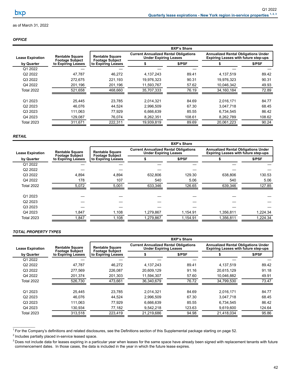### *OFFICE*

|                         |                                                  | <b>BXP's Share</b>                               |                                                                              |        |                                                                                           |        |  |
|-------------------------|--------------------------------------------------|--------------------------------------------------|------------------------------------------------------------------------------|--------|-------------------------------------------------------------------------------------------|--------|--|
| <b>Lease Expiration</b> | <b>Rentable Square</b><br><b>Footage Subject</b> | <b>Rentable Square</b><br><b>Footage Subject</b> | <b>Current Annualized Rental Obligations</b><br><b>Under Expiring Leases</b> |        | <b>Annualized Rental Obligations Under</b><br><b>Expiring Leases with future step-ups</b> |        |  |
| by Quarter              | to Expiring Leases                               | to Expiring Leases                               |                                                                              | \$/PSF |                                                                                           | \$/PSF |  |
| Q1 2022                 |                                                  |                                                  |                                                                              |        |                                                                                           |        |  |
| Q <sub>2</sub> 2022     | 47,787                                           | 46,272                                           | 4,137,243                                                                    | 89.41  | 4,137,519                                                                                 | 89.42  |  |
| Q3 2022                 | 272.675                                          | 221,193                                          | 19,976,323                                                                   | 90.31  | 19,976,323                                                                                | 90.31  |  |
| Q4 2022                 | 201,196                                          | 201,196                                          | 11,593,767                                                                   | 57.62  | 10,046,342                                                                                | 49.93  |  |
| <b>Total 2022</b>       | 521,658                                          | 468,660                                          | 35,707,333                                                                   | 76.19  | 34,160,184                                                                                | 72.89  |  |
| Q1 2023                 | 25.445                                           | 23.785                                           | 2.014.321                                                                    | 84.69  | 2.016.171                                                                                 | 84.77  |  |
| Q <sub>2</sub> 2023     | 46.076                                           | 44.524                                           | 2,996,509                                                                    | 67.30  | 3,047,718                                                                                 | 68.45  |  |
| Q3 2023                 | 111.063                                          | 77.929                                           | 6,666,639                                                                    | 85.55  | 6,734,545                                                                                 | 86.42  |  |
| Q4 2023                 | 129,087                                          | 76.074                                           | 8,262,351                                                                    | 108.61 | 8,262,789                                                                                 | 108.62 |  |
| <b>Total 2023</b>       | 311,671                                          | 222,311                                          | 19,939,819                                                                   | 89.69  | 20,061,223                                                                                | 90.24  |  |

#### *RETAIL*

|                         |                                                                        | <b>BXP's Share</b>                               |                                                                              |          |                                                                                           |          |        |  |
|-------------------------|------------------------------------------------------------------------|--------------------------------------------------|------------------------------------------------------------------------------|----------|-------------------------------------------------------------------------------------------|----------|--------|--|
| <b>Lease Expiration</b> | <b>Rentable Square</b><br><b>Footage Subject</b><br>to Expiring Leases | <b>Rentable Square</b><br><b>Footage Subject</b> | <b>Current Annualized Rental Obligations</b><br><b>Under Expiring Leases</b> |          | <b>Annualized Rental Obligations Under</b><br><b>Expiring Leases with future step-ups</b> |          |        |  |
| by Quarter              |                                                                        |                                                  | to Expiring Leases                                                           |          | \$/PSF                                                                                    |          | \$/PSF |  |
| Q1 2022                 |                                                                        |                                                  |                                                                              |          |                                                                                           |          |        |  |
| Q2 2022                 |                                                                        |                                                  |                                                                              |          |                                                                                           |          |        |  |
| Q3 2022                 | 4,894                                                                  | 4,894                                            | 632.806                                                                      | 129.30   | 638,806                                                                                   | 130.53   |        |  |
| Q4 2022                 | 178                                                                    | 107                                              | 540                                                                          | 5.06     | 540                                                                                       | 5.06     |        |  |
| <b>Total 2022</b>       | 5,072                                                                  | 5,001                                            | 633,346                                                                      | 126.65   | 639,346                                                                                   | 127.85   |        |  |
|                         |                                                                        |                                                  |                                                                              |          |                                                                                           |          |        |  |
| Q1 2023                 |                                                                        |                                                  |                                                                              |          |                                                                                           |          |        |  |
| Q2 2023                 |                                                                        |                                                  |                                                                              |          |                                                                                           |          |        |  |
| Q3 2023                 |                                                                        |                                                  |                                                                              |          |                                                                                           |          |        |  |
| Q4 2023                 | 1,847                                                                  | 1,108                                            | 1,279,867                                                                    | 1,154.91 | 1,356,811                                                                                 | 1,224.34 |        |  |
| Total 2023              | 1,847                                                                  | 1,108                                            | 1,279,867                                                                    | 1,154.91 | 1,356,811                                                                                 | 1,224.34 |        |  |

### *TOTAL PROPERTY TYPES*

|                         |                                              | <b>BXP's Share</b>                               |                                                                              |        |                                                                                           |        |  |
|-------------------------|----------------------------------------------|--------------------------------------------------|------------------------------------------------------------------------------|--------|-------------------------------------------------------------------------------------------|--------|--|
| <b>Lease Expiration</b> | <b>Rentable Square</b>                       | <b>Rentable Square</b><br><b>Footage Subject</b> | <b>Current Annualized Rental Obligations</b><br><b>Under Expiring Leases</b> |        | <b>Annualized Rental Obligations Under</b><br><b>Expiring Leases with future step-ups</b> |        |  |
| by Quarter              | <b>Footage Subject</b><br>to Expiring Leases | to Expiring Leases                               |                                                                              | \$/PSF |                                                                                           | \$/PSF |  |
| Q1 2022                 |                                              |                                                  |                                                                              |        |                                                                                           |        |  |
| Q2 2022                 | 47.787                                       | 46,272                                           | 4,137,243                                                                    | 89.41  | 4,137,519                                                                                 | 89.42  |  |
| Q3 2022                 | 277,569                                      | 226,087                                          | 20,609,129                                                                   | 91.16  | 20,615,129                                                                                | 91.18  |  |
| Q4 2022                 | 201,374                                      | 201,303                                          | 11,594,307                                                                   | 57.60  | 10,046,882                                                                                | 49.91  |  |
| <b>Total 2022</b>       | 526.730                                      | 473,661                                          | 36.340.679                                                                   | 76.72  | 34.799.530                                                                                | 73.47  |  |
| Q1 2023                 | 25.445                                       | 23,785                                           | 2,014,321                                                                    | 84.69  | 2,016,171                                                                                 | 84.77  |  |
| Q <sub>2</sub> 2023     | 46.076                                       | 44.524                                           | 2.996.509                                                                    | 67.30  | 3,047,718                                                                                 | 68.45  |  |
| Q3 2023                 | 111,063                                      | 77.929                                           | 6,666,639                                                                    | 85.55  | 6,734,545                                                                                 | 86.42  |  |
| Q4 2023                 | 130,934                                      | 77,182                                           | 9,542,218                                                                    | 123.63 | 9,619,600                                                                                 | 124.64 |  |
| <b>Total 2023</b>       | 313,518                                      | 223,419                                          | 21,219,686                                                                   | 94.98  | 21.418.034                                                                                | 95.86  |  |

<sup>&</sup>lt;sup>1</sup> For the Company's definitions and related disclosures, see the Definitions section of this Supplemental package starting on page 52.

<sup>&</sup>lt;sup>2</sup> Includes partially placed in-service leased space.

<sup>&</sup>lt;sup>3</sup> Does not include data for leases expiring in a particular year when leases for the same space have already been signed with replacement tenants with future commencement dates. In those cases, the data is included in the year in which the future lease expires.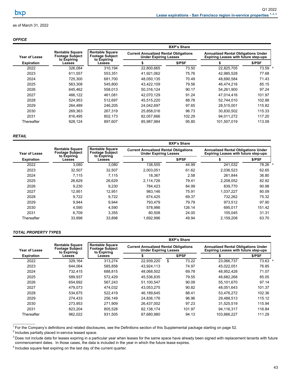### <span id="page-46-0"></span>*OFFICE*

|                      |                                                                 | <b>BXP's Share</b>                                              |            |                                                                              |             |                                                                                           |  |  |
|----------------------|-----------------------------------------------------------------|-----------------------------------------------------------------|------------|------------------------------------------------------------------------------|-------------|-------------------------------------------------------------------------------------------|--|--|
| <b>Year of Lease</b> | <b>Rentable Square</b><br><b>Footage Subject</b><br>to Expiring | <b>Rentable Square</b><br><b>Footage Subject</b><br>to Expiring |            | <b>Current Annualized Rental Obligations</b><br><b>Under Expiring Leases</b> |             | <b>Annualized Rental Obligations Under</b><br><b>Expiring Leases with future step-ups</b> |  |  |
| <b>Expiration</b>    | Leases                                                          | Leases                                                          |            | \$/PSF                                                                       |             | \$/PSF                                                                                    |  |  |
| 2022                 | 326,084                                                         | 310,194                                                         | 22,800,665 | 73.50                                                                        | 22,825,705  | 73.59 4                                                                                   |  |  |
| 2023                 | 611.557                                                         | 553.351                                                         | 41,921,062 | 75.76                                                                        | 42.985.528  | 77.68                                                                                     |  |  |
| 2024                 | 725,300                                                         | 681,700                                                         | 48,050,135 | 70.49                                                                        | 48,690,584  | 71.43                                                                                     |  |  |
| 2025                 | 563.308                                                         | 545.800                                                         | 43.422.109 | 79.56                                                                        | 46.474.216  | 85.15                                                                                     |  |  |
| 2026                 | 645,462                                                         | 558.013                                                         | 50,316,124 | 90.17                                                                        | 54,261,900  | 97.24                                                                                     |  |  |
| 2027                 | 466.122                                                         | 461.081                                                         | 42.070.129 | 91.24                                                                        | 47.014.416  | 101.97                                                                                    |  |  |
| 2028                 | 524.953                                                         | 512.697                                                         | 45,515,220 | 88.78                                                                        | 52.744.010  | 102.88                                                                                    |  |  |
| 2029                 | 264.489                                                         | 246.205                                                         | 24.042.697 | 97.65                                                                        | 28.515.001  | 115.82                                                                                    |  |  |
| 2030                 | 269.363                                                         | 267,319                                                         | 25,858,016 | 96.73                                                                        | 30,830,502  | 115.33                                                                                    |  |  |
| 2031                 | 816.495                                                         | 802.173                                                         | 82,057,666 | 102.29                                                                       | 94.011.272  | 117.20                                                                                    |  |  |
| Thereafter           | 928.124                                                         | 897.607                                                         | 85.987.984 | 95.80                                                                        | 101.507.019 | 113.09                                                                                    |  |  |
|                      |                                                                 |                                                                 |            |                                                                              |             |                                                                                           |  |  |

### *RETAIL*

|                   |                                                                 | <b>BXP's Share</b>                                              |                                                                              |        |                                                                                           |         |  |  |
|-------------------|-----------------------------------------------------------------|-----------------------------------------------------------------|------------------------------------------------------------------------------|--------|-------------------------------------------------------------------------------------------|---------|--|--|
| Year of Lease     | <b>Rentable Square</b><br><b>Footage Subject</b><br>to Expiring | <b>Rentable Square</b><br><b>Footage Subject</b><br>to Expiring | <b>Current Annualized Rental Obligations</b><br><b>Under Expiring Leases</b> |        | <b>Annualized Rental Obligations Under</b><br><b>Expiring Leases with future step-ups</b> |         |  |  |
| <b>Expiration</b> | Leases                                                          | Leases                                                          |                                                                              | \$/PSF |                                                                                           | \$/PSF  |  |  |
| 2022              | 3,080                                                           | 3,080                                                           | 138,555                                                                      | 44.99  | 241,032                                                                                   | 78.26 4 |  |  |
| 2023              | 32.507                                                          | 32.507                                                          | 2.003.051                                                                    | 61.62  | 2,036,523                                                                                 | 62.65   |  |  |
| 2024              | 7.115                                                           | 7,115                                                           | 18.367                                                                       | 2.58   | 261.844                                                                                   | 36.80   |  |  |
| 2025              | 26.629                                                          | 26.629                                                          | 2.114.726                                                                    | 79.41  | 2,208,052                                                                                 | 82.92   |  |  |
| 2026              | 9,230                                                           | 9,230                                                           | 784.423                                                                      | 84.99  | 839.770                                                                                   | 90.98   |  |  |
| 2027              | 12.951                                                          | 12.951                                                          | 983.146                                                                      | 75.91  | 1.037.227                                                                                 | 80.09   |  |  |
| 2028              | 9.722                                                           | 9,722                                                           | 674.425                                                                      | 69.37  | 732,262                                                                                   | 75.32   |  |  |
| 2029              | 9,944                                                           | 9.944                                                           | 793.479                                                                      | 79.79  | 973.512                                                                                   | 97.90   |  |  |
| 2030              | 4,590                                                           | 4,590                                                           | 578.986                                                                      | 126.14 | 695,017                                                                                   | 151.42  |  |  |
| 2031              | 6.709                                                           | 3.355                                                           | 80.508                                                                       | 24.00  | 105.045                                                                                   | 31.31   |  |  |
| Thereafter        | 33,898                                                          | 33,898                                                          | 1,692,996                                                                    | 49.94  | 2,159,208                                                                                 | 63.70   |  |  |

### *TOTAL PROPERTY TYPES*

 $\mathcal{L}_\text{max}$  and  $\mathcal{L}_\text{max}$ 

|                   |                                                                 | <b>BXP's Share</b>                                              |            |                                                                              |        |                                                                                           |         |
|-------------------|-----------------------------------------------------------------|-----------------------------------------------------------------|------------|------------------------------------------------------------------------------|--------|-------------------------------------------------------------------------------------------|---------|
| Year of Lease     | <b>Rentable Square</b><br><b>Footage Subject</b><br>to Expiring | <b>Rentable Square</b><br><b>Footage Subject</b><br>to Expiring |            | <b>Current Annualized Rental Obligations</b><br><b>Under Expiring Leases</b> |        | <b>Annualized Rental Obligations Under</b><br><b>Expiring Leases with future step-ups</b> |         |
| <b>Expiration</b> | Leases                                                          | Leases                                                          |            |                                                                              | \$/PSF |                                                                                           | \$/PSF  |
| 2022              | 329,164                                                         | 313,274                                                         | 22,939,220 | \$                                                                           | 73.22  | 23,066,737                                                                                | 73.63 4 |
| 2023              | 644.064                                                         | 585.858                                                         | 43.924.113 |                                                                              | 74.97  | 45.022.051                                                                                | 76.85   |
| 2024              | 732.415                                                         | 688,815                                                         | 48,068,502 |                                                                              | 69.78  | 48,952,428                                                                                | 71.07   |
| 2025              | 589.937                                                         | 572.429                                                         | 45,536,835 |                                                                              | 79.55  | 48.682.268                                                                                | 85.05   |
| 2026              | 654.692                                                         | 567.243                                                         | 51.100.547 |                                                                              | 90.09  | 55.101.670                                                                                | 97.14   |
| 2027              | 479.073                                                         | 474.032                                                         | 43,053,275 |                                                                              | 90.82  | 48.051.643                                                                                | 101.37  |
| 2028              | 534.675                                                         | 522,419                                                         | 46,189,645 |                                                                              | 88.41  | 53.476.272                                                                                | 102.36  |
| 2029              | 274.433                                                         | 256.149                                                         | 24.836.176 |                                                                              | 96.96  | 29.488.513                                                                                | 115.12  |
| 2030              | 273,953                                                         | 271,909                                                         | 26,437,002 |                                                                              | 97.23  | 31,525,519                                                                                | 115.94  |
| 2031              | 823.204                                                         | 805.528                                                         | 82,138,174 |                                                                              | 101.97 | 94.116.317                                                                                | 116.84  |
| Thereafter        | 962,022                                                         | 931,505                                                         | 87.680.980 |                                                                              | 94.13  | 103.666.227                                                                               | 111.29  |

<sup>&</sup>lt;sup>1</sup> For the Company's definitions and related disclosures, see the Definitions section of this Supplemental package starting on page 52.

 $2$  Includes partially placed in-service leased space.

<sup>&</sup>lt;sup>3</sup> Does not include data for leases expiring in a particular year when leases for the same space have already been signed with replacement tenants with future commencement dates. In those cases, the data is included in the year in which the future lease expires.

<sup>&</sup>lt;sup>4</sup> Includes square feet expiring on the last day of the current quarter.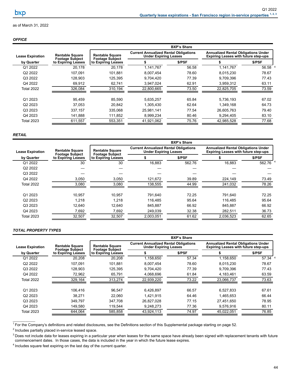### *OFFICE*

|                         |                                                  | <b>BXP's Share</b>                               |                                                                              |        |                                                                                           |         |  |
|-------------------------|--------------------------------------------------|--------------------------------------------------|------------------------------------------------------------------------------|--------|-------------------------------------------------------------------------------------------|---------|--|
| <b>Lease Expiration</b> | <b>Rentable Square</b><br><b>Footage Subject</b> | <b>Rentable Square</b><br><b>Footage Subject</b> | <b>Current Annualized Rental Obligations</b><br><b>Under Expiring Leases</b> |        | <b>Annualized Rental Obligations Under</b><br><b>Expiring Leases with future step-ups</b> |         |  |
| by Quarter              | to Expiring Leases                               | to Expiring Leases                               |                                                                              | \$/PSF |                                                                                           | \$/PSF  |  |
| Q1 2022                 | 20.178                                           | 20.178                                           | 1,141,767                                                                    | 56.58  | 1.141.767                                                                                 | 56.58 4 |  |
| Q2 2022                 | 107.091                                          | 101.881                                          | 8,007,454                                                                    | 78.60  | 8,015,230                                                                                 | 78.67   |  |
| Q3 2022                 | 128,903                                          | 125,395                                          | 9,704,420                                                                    | 77.39  | 9,709,396                                                                                 | 77.43   |  |
| Q4 2022                 | 69,912                                           | 62,741                                           | 3,947,024                                                                    | 62.91  | 3,959,312                                                                                 | 63.11   |  |
| <b>Total 2022</b>       | 326,084                                          | 310,194                                          | 22,800,665                                                                   | 73.50  | 22,825,705                                                                                | 73.59   |  |
| Q1 2023                 | 95.459                                           | 85.590                                           | 5,635,257                                                                    | 65.84  | 5,736,193                                                                                 | 67.02   |  |
| Q2 2023                 | 37.053                                           | 20.842                                           | 1.305.430                                                                    | 62.64  | 1.349.168                                                                                 | 64.73   |  |
| Q3 2023                 | 337,157                                          | 335,068                                          | 25,981,141                                                                   | 77.54  | 26,605,763                                                                                | 79.40   |  |
| Q4 2023                 | 141,888                                          | 111,852                                          | 8,999,234                                                                    | 80.46  | 9,294,405                                                                                 | 83.10   |  |
| <b>Total 2023</b>       | 611.557                                          | 553.351                                          | 41.921.062                                                                   | 75.76  | 42.985.528                                                                                | 77.68   |  |

#### *RETAIL*

|                         |                                                                        | <b>BXP's Share</b>                               |                                                                              |        |                                                                                           |        |  |  |
|-------------------------|------------------------------------------------------------------------|--------------------------------------------------|------------------------------------------------------------------------------|--------|-------------------------------------------------------------------------------------------|--------|--|--|
| <b>Lease Expiration</b> | <b>Rentable Square</b><br><b>Footage Subject</b><br>to Expiring Leases | <b>Rentable Square</b><br><b>Footage Subject</b> | <b>Current Annualized Rental Obligations</b><br><b>Under Expiring Leases</b> |        | <b>Annualized Rental Obligations Under</b><br><b>Expiring Leases with future step-ups</b> |        |  |  |
| by Quarter              |                                                                        | to Expiring Leases                               |                                                                              | \$/PSF |                                                                                           | \$/PSF |  |  |
| Q1 2022                 | 30                                                                     | 30                                               | 16,883                                                                       | 562.76 | 16.883                                                                                    | 562.76 |  |  |
| Q2 2022                 |                                                                        |                                                  |                                                                              |        |                                                                                           |        |  |  |
| Q3 2022                 |                                                                        |                                                  |                                                                              |        |                                                                                           |        |  |  |
| Q4 2022                 | 3,050                                                                  | 3,050                                            | 121,672                                                                      | 39.89  | 224,149                                                                                   | 73.49  |  |  |
| <b>Total 2022</b>       | 3,080                                                                  | 3,080                                            | 138,555                                                                      | 44.99  | 241,032                                                                                   | 78.26  |  |  |
| Q1 2023                 | 10.957                                                                 | 10.957                                           | 791.640                                                                      | 72.25  | 791.640                                                                                   | 72.25  |  |  |
| Q2 2023                 | 1.218                                                                  | 1.218                                            | 116.485                                                                      | 95.64  | 116.485                                                                                   | 95.64  |  |  |
| Q3 2023                 | 12,640                                                                 | 12,640                                           | 845,887                                                                      | 66.92  | 845.887                                                                                   | 66.92  |  |  |
| Q4 2023                 | 7,692                                                                  | 7,692                                            | 249,039                                                                      | 32.38  | 282.511                                                                                   | 36.73  |  |  |
| <b>Total 2023</b>       | 32.507                                                                 | 32.507                                           | 2.003.051                                                                    | 61.62  | 2.036.523                                                                                 | 62.65  |  |  |

# *TOTAL PROPERTY TYPES*

|                         |                                                  | <b>BXP's Share</b>                               |                                                                              |        |                                                                                           |         |  |
|-------------------------|--------------------------------------------------|--------------------------------------------------|------------------------------------------------------------------------------|--------|-------------------------------------------------------------------------------------------|---------|--|
| <b>Lease Expiration</b> | <b>Rentable Square</b><br><b>Footage Subject</b> | <b>Rentable Square</b><br><b>Footage Subject</b> | <b>Current Annualized Rental Obligations</b><br><b>Under Expiring Leases</b> |        | <b>Annualized Rental Obligations Under</b><br><b>Expiring Leases with future step-ups</b> |         |  |
| by Quarter              | to Expiring Leases                               | to Expiring Leases                               |                                                                              | \$/PSF |                                                                                           | \$/PSF  |  |
| Q1 2022                 | 20,208                                           | 20,208                                           | 1,158,650                                                                    | 57.34  | 1,158,650                                                                                 | 57.34 4 |  |
| Q2 2022                 | 107.091                                          | 101.881                                          | 8,007,454                                                                    | 78.60  | 8,015,230                                                                                 | 78.67   |  |
| Q3 2022                 | 128,903                                          | 125,395                                          | 9,704,420                                                                    | 77.39  | 9,709,396                                                                                 | 77.43   |  |
| Q4 2022                 | 72,962                                           | 65,791                                           | 4,068,696                                                                    | 61.84  | 4,183,461                                                                                 | 63.59   |  |
| <b>Total 2022</b>       | 329,164                                          | 313,274                                          | 22,939,220                                                                   | 73.22  | 23,066,737                                                                                | 73.63   |  |
| Q1 2023                 | 106.416                                          | 96,547                                           | 6,426,897                                                                    | 66.57  | 6,527,833                                                                                 | 67.61   |  |
| Q2 2023                 | 38,271                                           | 22.060                                           | 1,421,915                                                                    | 64.46  | 1,465,653                                                                                 | 66.44   |  |
| Q3 2023                 | 349,797                                          | 347,708                                          | 26,827,028                                                                   | 77.15  | 27,451,650                                                                                | 78.95   |  |
| Q4 2023                 | 149,580                                          | 119,544                                          | 9,248,273                                                                    | 77.36  | 9,576,916                                                                                 | 80.11   |  |
| <b>Total 2023</b>       | 644,064                                          | 585,858                                          | 43,924,113                                                                   | 74.97  | 45,022,051                                                                                | 76.85   |  |

<sup>1</sup> For the Company's definitions and related disclosures, see the Definitions section of this Supplemental package starting on page 52.

 $2$  Includes partially placed in-service leased space.

<sup>3</sup> Does not include data for leases expiring in a particular year when leases for the same space have already been signed with replacement tenants with future commencement dates. In those cases, the data is included in the year in which the future lease expires.

<sup>4</sup> Includes square feet expiring on the last day of the current quarter.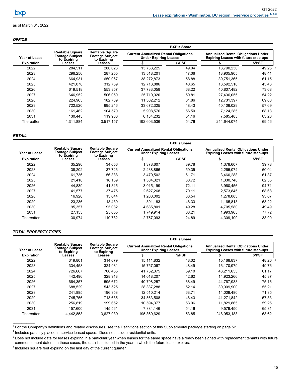### <span id="page-48-0"></span>*OFFICE*

|                      |                                                                 | <b>BXP's Share</b>                                              |                                                                              |        |                                                                                           |         |  |
|----------------------|-----------------------------------------------------------------|-----------------------------------------------------------------|------------------------------------------------------------------------------|--------|-------------------------------------------------------------------------------------------|---------|--|
| <b>Year of Lease</b> | <b>Rentable Square</b><br><b>Footage Subject</b><br>to Expiring | <b>Rentable Square</b><br><b>Footage Subject</b><br>to Expiring | <b>Current Annualized Rental Obligations</b><br><b>Under Expiring Leases</b> |        | <b>Annualized Rental Obligations Under</b><br><b>Expiring Leases with future step-ups</b> |         |  |
| <b>Expiration</b>    | Leases                                                          | Leases                                                          |                                                                              | \$/PSF |                                                                                           | \$/PSF  |  |
| 2022                 | 284.511                                                         | 280,023                                                         | 13,733,225                                                                   | 49.04  | 13,790,230                                                                                | 49.25 4 |  |
| 2023                 | 296,256                                                         | 287,255                                                         | 13,518,201                                                                   | 47.06  | 13,905,905                                                                                | 48.41   |  |
| 2024                 | 664.931                                                         | 650.067                                                         | 38.272.873                                                                   | 58.88  | 39.751.365                                                                                | 61.15   |  |
| 2025                 | 421.078                                                         | 312.759                                                         | 12.713.886                                                                   | 40.65  | 13.592.518                                                                                | 43.46   |  |
| 2026                 | 619.518                                                         | 553.857                                                         | 37.783.058                                                                   | 68.22  | 40.807.482                                                                                | 73.68   |  |
| 2027                 | 646.952                                                         | 506,050                                                         | 25.710.020                                                                   | 50.81  | 27.436.055                                                                                | 54.22   |  |
| 2028                 | 224.965                                                         | 182.709                                                         | 11,302,212                                                                   | 61.86  | 12,731,397                                                                                | 69.68   |  |
| 2029                 | 722,520                                                         | 695,246                                                         | 33,672,325                                                                   | 48.43  | 40,106,029                                                                                | 57.69   |  |
| 2030                 | 161,462                                                         | 104,570                                                         | 5,908,576                                                                    | 56.50  | 7,124,285                                                                                 | 68.13   |  |
| 2031                 | 130.445                                                         | 119.906                                                         | 6,134,232                                                                    | 51.16  | 7,585,485                                                                                 | 63.26   |  |
| Thereafter           | 4,311,884                                                       | 3,517,157                                                       | 192,603,536                                                                  | 54.76  | 244.644.074                                                                               | 69.56   |  |

### *RETAIL*

|                                                  | <b>BXP's Share</b>                               |                                                                              |        |                                                                                           |        |  |  |
|--------------------------------------------------|--------------------------------------------------|------------------------------------------------------------------------------|--------|-------------------------------------------------------------------------------------------|--------|--|--|
| <b>Rentable Square</b><br><b>Footage Subject</b> | <b>Rentable Square</b><br><b>Footage Subject</b> | <b>Current Annualized Rental Obligations</b><br><b>Under Expiring Leases</b> |        | <b>Annualized Rental Obligations Under</b><br><b>Expiring Leases with future step-ups</b> |        |  |  |
| Leases                                           | Leases                                           |                                                                              | \$/PSF |                                                                                           | \$/PSF |  |  |
| 35,290                                           | 34,656                                           | 1,378,607                                                                    | 39.78  | 1,378,607                                                                                 | 39.78  |  |  |
| 38,202                                           | 37,726                                           | 2,238,866                                                                    | 59.35  | 2.265.074                                                                                 | 60.04  |  |  |
| 61,736                                           | 56,388                                           | 3,479,502                                                                    | 61.71  | 3,460,288                                                                                 | 61.37  |  |  |
| 21.418                                           | 16.159                                           | 1.304.321                                                                    | 80.72  | 1.330.748                                                                                 | 82.35  |  |  |
| 44,839                                           | 41,815                                           | 3,015,199                                                                    | 72.11  | 3.960.456                                                                                 | 94.71  |  |  |
| 41.577                                           | 37.475                                           | 2,627,268                                                                    | 70.11  | 2,573,845                                                                                 | 68.68  |  |  |
| 16,920                                           | 13.644                                           | 1.208.002                                                                    | 88.54  | 1,278,083                                                                                 | 93.67  |  |  |
| 23,236                                           | 18.439                                           | 891,183                                                                      | 48.33  | 1,165,813                                                                                 | 63.22  |  |  |
| 95,357                                           | 95,082                                           | 4,685,801                                                                    | 49.28  | 4,705,580                                                                                 | 49.49  |  |  |
| 27.155                                           | 25.655                                           | 1.749.914                                                                    | 68.21  | 1.993.965                                                                                 | 77.72  |  |  |
| 130.974                                          | 110,782                                          | 2,757,093                                                                    | 24.89  | 4,309,109                                                                                 | 38.90  |  |  |
|                                                  | to Expiring                                      | to Expiring                                                                  |        |                                                                                           |        |  |  |

### *TOTAL PROPERTY TYPES*

|                                    |                                                                 | <b>BXP's Share</b>                                              |                                                                              |        |                                                                                           |         |  |  |
|------------------------------------|-----------------------------------------------------------------|-----------------------------------------------------------------|------------------------------------------------------------------------------|--------|-------------------------------------------------------------------------------------------|---------|--|--|
| Year of Lease<br><b>Expiration</b> | <b>Rentable Square</b><br><b>Footage Subject</b><br>to Expiring | <b>Rentable Square</b><br><b>Footage Subject</b><br>to Expiring | <b>Current Annualized Rental Obligations</b><br><b>Under Expiring Leases</b> |        | <b>Annualized Rental Obligations Under</b><br><b>Expiring Leases with future step-ups</b> |         |  |  |
|                                    | Leases                                                          | Leases                                                          |                                                                              | \$/PSF |                                                                                           | \$/PSF  |  |  |
| 2022                               | 319,801                                                         | 314,679                                                         | 15,111,832                                                                   | 48.02  | 15,168,837                                                                                | 48.20 4 |  |  |
| 2023                               | 334.458                                                         | 324.981                                                         | 15.757.067                                                                   | 48.49  | 16.170.979                                                                                | 49.76   |  |  |
| 2024                               | 726.667                                                         | 706.455                                                         | 41.752.375                                                                   | 59.10  | 43.211.653                                                                                | 61.17   |  |  |
| 2025                               | 442.496                                                         | 328.918                                                         | 14.018.207                                                                   | 42.62  | 14.923.266                                                                                | 45.37   |  |  |
| 2026                               | 664.357                                                         | 595,672                                                         | 40.798.257                                                                   | 68.49  | 44.767.938                                                                                | 75.16   |  |  |
| 2027                               | 688,529                                                         | 543,525                                                         | 28.337.288                                                                   | 52.14  | 30,009,900                                                                                | 55.21   |  |  |
| 2028                               | 241.885                                                         | 196.353                                                         | 12.510.214                                                                   | 63.71  | 14.009.480                                                                                | 71.35   |  |  |
| 2029                               | 745.756                                                         | 713.685                                                         | 34,563,508                                                                   | 48.43  | 41.271.842                                                                                | 57.83   |  |  |
| 2030                               | 256.819                                                         | 199,652                                                         | 10.594.377                                                                   | 53.06  | 11.829.865                                                                                | 59.25   |  |  |
| 2031                               | 157.600                                                         | 145.561                                                         | 7.884.146                                                                    | 54.16  | 9.579.450                                                                                 | 65.81   |  |  |
| Thereafter                         | 4.442.858                                                       | 3.627.939                                                       | 195.360.629                                                                  | 53.85  | 248.953.183                                                                               | 68.62   |  |  |

 $1$  For the Company's definitions and related disclosures, see the Definitions section of this Supplemental package starting on page 52.

 $2$  Includes partially placed in-service leased space. Does not include residential units.

<sup>&</sup>lt;sup>3</sup> Does not include data for leases expiring in a particular year when leases for the same space have already been signed with replacement tenants with future commencement dates. In those cases, the data is included in the year in which the future lease expires.

<sup>&</sup>lt;sup>4</sup> Includes square feet expiring on the last day of the current quarter.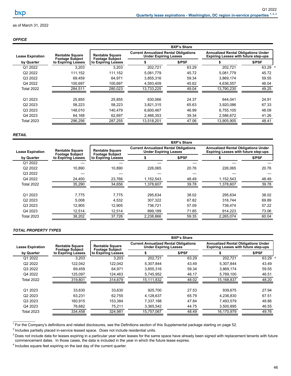### *OFFICE*

| <b>Rentable Square</b> | <b>Rentable Square</b> | <b>Current Annualized Rental Obligations</b><br><b>Under Expiring Leases</b> |        | <b>Annualized Rental Obligations Under</b><br><b>Expiring Leases with future step-ups</b> |         |  |
|------------------------|------------------------|------------------------------------------------------------------------------|--------|-------------------------------------------------------------------------------------------|---------|--|
| to Expiring Leases     | to Expiring Leases     |                                                                              | \$/PSF |                                                                                           | \$/PSF  |  |
| 3,203                  | 3,203                  | 202,721                                                                      | 63.29  | 202.721                                                                                   | 63.29 4 |  |
| 111,152                | 111,152                | 5,081,779                                                                    | 45.72  | 5,081,779                                                                                 | 45.72   |  |
| 69.459                 | 64.971                 | 3,855,316                                                                    | 59.34  | 3.869.174                                                                                 | 59.55   |  |
| 100.697                | 100.697                | 4,593,409                                                                    | 45.62  | 4,636,557                                                                                 | 46.04   |  |
| 284,511                | 280,023                | 13,733,225                                                                   | 49.04  | 13,790,230                                                                                | 49.25   |  |
| 25,855                 | 25,855                 | 630,066                                                                      | 24.37  | 644.041                                                                                   | 24.91   |  |
| 58.223                 | 58.223                 | 3.821.315                                                                    | 65.63  | 3.920.086                                                                                 | 67.33   |  |
| 148,010                | 140,479                | 6,600,467                                                                    | 46.99  | 6,755,105                                                                                 | 48.09   |  |
| 64,168                 | 62,697                 | 2,466,353                                                                    | 39.34  | 2.586.672                                                                                 | 41.26   |  |
| 296,256                | 287,255                | 13,518,201                                                                   | 47.06  | 13,905,905                                                                                | 48.41   |  |
|                        | <b>Footage Subject</b> | <b>Footage Subject</b>                                                       |        | <b>BXP's Share</b>                                                                        |         |  |

#### *RETAIL*

|                                       |                                                  | <b>BXP's Share</b>                               |                                                                              |        |                                                                                           |        |  |
|---------------------------------------|--------------------------------------------------|--------------------------------------------------|------------------------------------------------------------------------------|--------|-------------------------------------------------------------------------------------------|--------|--|
| <b>Lease Expiration</b><br>by Quarter | <b>Rentable Square</b><br><b>Footage Subject</b> | <b>Rentable Square</b><br><b>Footage Subject</b> | <b>Current Annualized Rental Obligations</b><br><b>Under Expiring Leases</b> |        | <b>Annualized Rental Obligations Under</b><br><b>Expiring Leases with future step-ups</b> |        |  |
|                                       | to Expiring Leases                               | to Expiring Leases                               |                                                                              | \$/PSF |                                                                                           | \$/PSF |  |
| Q1 2022                               |                                                  |                                                  |                                                                              |        |                                                                                           |        |  |
| Q2 2022                               | 10,890                                           | 10.890                                           | 226.065                                                                      | 20.76  | 226,065                                                                                   | 20.76  |  |
| Q3 2022                               |                                                  |                                                  |                                                                              |        |                                                                                           |        |  |
| Q4 2022                               | 24,400                                           | 23,766                                           | 1,152,543                                                                    | 48.49  | 1,152,543                                                                                 | 48.49  |  |
| Total 2022                            | 35,290                                           | 34,656                                           | 1,378,607                                                                    | 39.78  | 1,378,607                                                                                 | 39.78  |  |
|                                       |                                                  |                                                  |                                                                              |        |                                                                                           |        |  |
| Q1 2023                               | 7,775                                            | 7,775                                            | 295,634                                                                      | 38.02  | 295,634                                                                                   | 38.02  |  |
| Q2 2023                               | 5.008                                            | 4.532                                            | 307.322                                                                      | 67.82  | 316.744                                                                                   | 69.89  |  |
| Q3 2023                               | 12,905                                           | 12.905                                           | 736.721                                                                      | 57.09  | 738.474                                                                                   | 57.22  |  |
| Q4 2023                               | 12,514                                           | 12.514                                           | 899.189                                                                      | 71.85  | 914,223                                                                                   | 73.06  |  |
| Total 2023                            | 38,202                                           | 37,726                                           | 2,238,866                                                                    | 59.35  | 2,265,074                                                                                 | 60.04  |  |

### *TOTAL PROPERTY TYPES*

|                         |                                                                                      | <b>BXP's Share</b>                               |                                                                              |        |                                                                                           |         |  |
|-------------------------|--------------------------------------------------------------------------------------|--------------------------------------------------|------------------------------------------------------------------------------|--------|-------------------------------------------------------------------------------------------|---------|--|
| <b>Lease Expiration</b> | <b>Rentable Square</b><br><b>Footage Subject</b><br>to Expiring Leases<br>by Quarter | <b>Rentable Square</b><br><b>Footage Subject</b> | <b>Current Annualized Rental Obligations</b><br><b>Under Expiring Leases</b> |        | <b>Annualized Rental Obligations Under</b><br><b>Expiring Leases with future step-ups</b> |         |  |
|                         |                                                                                      | to Expiring Leases                               |                                                                              | \$/PSF |                                                                                           | \$/PSF  |  |
| Q1 2022                 | 3,203                                                                                | 3,203                                            | 202,721                                                                      | 63.29  | 202.721                                                                                   | 63.29 4 |  |
| Q2 2022                 | 122.042                                                                              | 122.042                                          | 5,307,844                                                                    | 43.49  | 5.307.844                                                                                 | 43.49   |  |
| Q3 2022                 | 69,459                                                                               | 64,971                                           | 3,855,316                                                                    | 59.34  | 3,869,174                                                                                 | 59.55   |  |
| Q4 2022                 | 125,097                                                                              | 124,463                                          | 5,745,952                                                                    | 46.17  | 5,789,100                                                                                 | 46.51   |  |
| <b>Total 2022</b>       | 319,801                                                                              | 314,679                                          | 15,111,832                                                                   | 48.02  | 15,168,837                                                                                | 48.20   |  |
| Q1 2023                 | 33,630                                                                               | 33,630                                           | 925,700                                                                      | 27.53  | 939,675                                                                                   | 27.94   |  |
| Q <sub>2</sub> 2023     | 63,231                                                                               | 62.755                                           | 4,128,637                                                                    | 65.79  | 4,236,830                                                                                 | 67.51   |  |
| Q3 2023                 | 160,915                                                                              | 153,384                                          | 7,337,188                                                                    | 47.84  | 7,493,579                                                                                 | 48.86   |  |
| Q4 2023                 | 76,682                                                                               | 75,211                                           | 3,365,542                                                                    | 44.75  | 3,500,895                                                                                 | 46.55   |  |
| <b>Total 2023</b>       | 334,458                                                                              | 324,981                                          | 15,757,067                                                                   | 48.49  | 16,170,979                                                                                | 49.76   |  |

<sup>1</sup> For the Company's definitions and related disclosures, see the Definitions section of this Supplemental package starting on page 52.

 $2$  Includes partially placed in-service leased space. Does not include residential units.

<sup>4</sup> Includes square feet expiring on the last day of the current quarter.

<sup>&</sup>lt;sup>3</sup> Does not include data for leases expiring in a particular year when leases for the same space have already been signed with replacement tenants with future commencement dates. In those cases, the data is included in the year in which the future lease expires.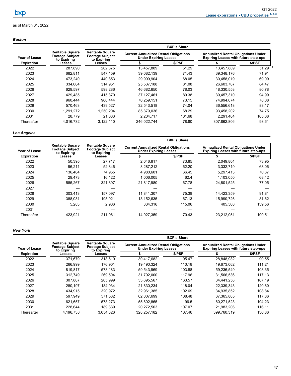# <span id="page-50-0"></span>*Boston*

|                   |                                                                 | <b>BXP's Share</b>                                              |              |                                                                              |             |                                                                                           |  |  |
|-------------------|-----------------------------------------------------------------|-----------------------------------------------------------------|--------------|------------------------------------------------------------------------------|-------------|-------------------------------------------------------------------------------------------|--|--|
| Year of Lease     | <b>Rentable Square</b><br><b>Footage Subject</b><br>to Expiring | <b>Rentable Square</b><br><b>Footage Subject</b><br>to Expiring |              | <b>Current Annualized Rental Obligations</b><br><b>Under Expiring Leases</b> |             | <b>Annualized Rental Obligations Under</b><br><b>Expiring Leases with future step-ups</b> |  |  |
| <b>Expiration</b> | Leases                                                          | Leases                                                          |              | \$/PSF                                                                       |             | \$/PSF                                                                                    |  |  |
| 2022              | 287,890                                                         | 262,375                                                         | 13,457,889   | 51.29                                                                        | 13,457,889  | $51.29^{4}$                                                                               |  |  |
| 2023              | 682.811                                                         | 547.159                                                         | 39,082,139   | 71.43                                                                        | 39,348,176  | 71.91                                                                                     |  |  |
| 2024              | 473,240                                                         | 440,853                                                         | 29,999,904   | 68.05                                                                        | 30,458,019  | 69.09                                                                                     |  |  |
| 2025              | 334.064                                                         | 314.951                                                         | 25.537.188   | 81.08                                                                        | 26.603.767  | 84.47                                                                                     |  |  |
| 2026              | 629.597                                                         | 598.286                                                         | 46,682,650   | 78.03                                                                        | 48,330,558  | 80.78                                                                                     |  |  |
| 2027              | 429.485                                                         | 415.370                                                         | 37, 127, 461 | 89.38                                                                        | 39.457.310  | 94.99                                                                                     |  |  |
| 2028              | 960.444                                                         | 960.444                                                         | 70,259,151   | 73.15                                                                        | 74.994.074  | 78.08                                                                                     |  |  |
| 2029              | 570.463                                                         | 439.527                                                         | 32,543,518   | 74.04                                                                        | 36,556,618  | 83.17                                                                                     |  |  |
| 2030              | 1,291,272                                                       | 1.250.204                                                       | 85,379,036   | 68.29                                                                        | 93,458,202  | 74.75                                                                                     |  |  |
| 2031              | 28.779                                                          | 21.683                                                          | 2.204.717    | 101.68                                                                       | 2.291.464   | 105.68                                                                                    |  |  |
| Thereafter        | 4.016.732                                                       | 3,122,110                                                       | 246.022.744  | 78.80                                                                        | 307.862.806 | 98.61                                                                                     |  |  |

## *Los Angeles*

|                   |                                                                 | <b>BXP's Share</b>                                              |                                                                              |        |                                                                                           |        |  |  |
|-------------------|-----------------------------------------------------------------|-----------------------------------------------------------------|------------------------------------------------------------------------------|--------|-------------------------------------------------------------------------------------------|--------|--|--|
| Year of Lease     | <b>Rentable Square</b><br><b>Footage Subject</b><br>to Expiring | <b>Rentable Square</b><br><b>Footage Subject</b><br>to Expiring | <b>Current Annualized Rental Obligations</b><br><b>Under Expiring Leases</b> |        | <b>Annualized Rental Obligations Under</b><br><b>Expiring Leases with future step-ups</b> |        |  |  |
| <b>Expiration</b> | Leases                                                          | Leases                                                          |                                                                              | \$/PSF |                                                                                           | \$/PSF |  |  |
| 2022              | 50,395                                                          | 27.717                                                          | 2,046,817                                                                    | 73.85  | 2,049,804                                                                                 | 73.95  |  |  |
| 2023              | 96,211                                                          | 52.846                                                          | 3,287,212                                                                    | 62.20  | 3,332,719                                                                                 | 63.06  |  |  |
| 2024              | 136.464                                                         | 74,955                                                          | 4.980.601                                                                    | 66.45  | 5,297,413                                                                                 | 70.67  |  |  |
| 2025              | 29,473                                                          | 16.122                                                          | 1.006.005                                                                    | 62.4   | 1,103,050                                                                                 | 68.42  |  |  |
| 2026              | 585,267                                                         | 321.897                                                         | 21,817,980                                                                   | 67.78  | 24,801,525                                                                                | 77.05  |  |  |
| 2027              |                                                                 |                                                                 |                                                                              |        |                                                                                           |        |  |  |
| 2028              | 303.413                                                         | 157.097                                                         | 11.841.307                                                                   | 75.38  | 14.423.359                                                                                | 91.81  |  |  |
| 2029              | 388.031                                                         | 195.921                                                         | 13,152,635                                                                   | 67.13  | 15.990.726                                                                                | 81.62  |  |  |
| 2030              | 5.283                                                           | 2.906                                                           | 334.316                                                                      | 115.06 | 405.506                                                                                   | 139.56 |  |  |
| 2031              |                                                                 |                                                                 |                                                                              |        |                                                                                           |        |  |  |
| Thereafter        | 423,921                                                         | 211.961                                                         | 14,927,359                                                                   | 70.43  | 23.212.051                                                                                | 109.51 |  |  |

### *New York*

| Year of Lease<br><b>Expiration</b> |                                                                 | <b>BXP's Share</b>                                              |                                                                              |        |                                                                                           |        |  |  |
|------------------------------------|-----------------------------------------------------------------|-----------------------------------------------------------------|------------------------------------------------------------------------------|--------|-------------------------------------------------------------------------------------------|--------|--|--|
|                                    | <b>Rentable Square</b><br><b>Footage Subject</b><br>to Expiring | <b>Rentable Square</b><br><b>Footage Subject</b><br>to Expiring | <b>Current Annualized Rental Obligations</b><br><b>Under Expiring Leases</b> |        | <b>Annualized Rental Obligations Under</b><br><b>Expiring Leases with future step-ups</b> |        |  |  |
|                                    | Leases                                                          | Leases                                                          |                                                                              | \$/PSF |                                                                                           | \$/PSF |  |  |
| 2022                               | 371,679                                                         | 318,610                                                         | 30,417,682                                                                   | 95.47  | 28,848,982                                                                                | 90.55  |  |  |
| 2023                               | 266.999                                                         | 176.901                                                         | 19.490.324                                                                   | 110.18 | 19.673.062                                                                                | 111.21 |  |  |
| 2024                               | 819.817                                                         | 573,183                                                         | 59.543.969                                                                   | 103.88 | 59,236,549                                                                                | 103.35 |  |  |
| 2025                               | 312.749                                                         | 269,504                                                         | 31.792.000                                                                   | 117.96 | 31,566,536                                                                                | 117.13 |  |  |
| 2026                               | 307.867                                                         | 205.999                                                         | 33.695.567                                                                   | 163.57 | 34.441.258                                                                                | 167.19 |  |  |
| 2027                               | 280.197                                                         | 184.934                                                         | 21.830.234                                                                   | 118.04 | 22.339.343                                                                                | 120.80 |  |  |
| 2028                               | 434.915                                                         | 320.972                                                         | 32.961.385                                                                   | 102.69 | 34,935,852                                                                                | 108.84 |  |  |
| 2029                               | 597.949                                                         | 571,582                                                         | 62,007,699                                                                   | 108.48 | 67,365,865                                                                                | 117.86 |  |  |
| 2030                               | 621.657                                                         | 578.273                                                         | 55.802.865                                                                   | 96.5   | 60.271.523                                                                                | 104.23 |  |  |
| 2031                               | 228.644                                                         | 189,339                                                         | 20,272,503                                                                   | 107.07 | 21,983,206                                                                                | 116.11 |  |  |
| Thereafter                         | 4,196,738                                                       | 3,054,826                                                       | 328,257,182                                                                  | 107.46 | 399.760.319                                                                               | 130.86 |  |  |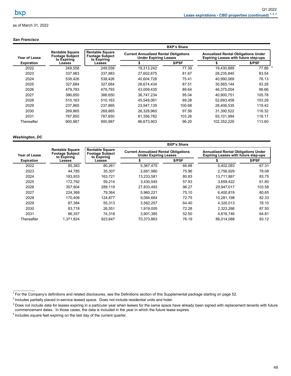#### *San Francisco*

|                   |                                                                 | <b>BXP's Share</b>                                              |                                                                              |        |                                                                                           |         |  |
|-------------------|-----------------------------------------------------------------|-----------------------------------------------------------------|------------------------------------------------------------------------------|--------|-------------------------------------------------------------------------------------------|---------|--|
| Year of Lease     | <b>Rentable Square</b><br><b>Footage Subject</b><br>to Expiring | <b>Rentable Square</b><br><b>Footage Subject</b><br>to Expiring | <b>Current Annualized Rental Obligations</b><br><b>Under Expiring Leases</b> |        | <b>Annualized Rental Obligations Under</b><br><b>Expiring Leases with future step-ups</b> |         |  |
| <b>Expiration</b> | Leases                                                          | Leases                                                          |                                                                              | \$/PSF |                                                                                           | \$/PSF  |  |
| 2022              | 249,558                                                         | 249.558                                                         | 19,313,242                                                                   | 77.39  | 19,430,889                                                                                | 77.86 4 |  |
| 2023              | 337.983                                                         | 337.983                                                         | 27,602,675                                                                   | 81.67  | 28.235.840                                                                                | 83.54   |  |
| 2024              | 538,426                                                         | 538,426                                                         | 40,604,728                                                                   | 75.41  | 40,990,069                                                                                | 76.13   |  |
| 2025              | 327.684                                                         | 327.684                                                         | 28.674.434                                                                   | 87.51  | 30.565.144                                                                                | 93.28   |  |
| 2026              | 479.793                                                         | 479.793                                                         | 43.009.435                                                                   | 89.64  | 46.375.004                                                                                | 96.66   |  |
| 2027              | 386.650                                                         | 386.650                                                         | 36.747.234                                                                   | 95.04  | 40.900.751                                                                                | 105.78  |  |
| 2028              | 510.163                                                         | 510.163                                                         | 45.549.061                                                                   | 89.28  | 52,693,458                                                                                | 103.29  |  |
| 2029              | 237.865                                                         | 237.865                                                         | 23,947,139                                                                   | 100.68 | 28.406.535                                                                                | 119.42  |  |
| 2030              | 269.865                                                         | 269.865                                                         | 26,328,960                                                                   | 97.56  | 31,390,522                                                                                | 116.32  |  |
| 2031              | 787.850                                                         | 787.850                                                         | 81,356,782                                                                   | 103.26 | 93.101.994                                                                                | 118.17  |  |
| Thereafter        | 900,987                                                         | 900.987                                                         | 86,673,903                                                                   | 96.20  | 102,352,220                                                                               | 113.60  |  |

### *Washington, DC*

|                   |                                                                 | <b>BXP's Share</b>                                              |                                                                              |        |                                                                                           |        |  |  |
|-------------------|-----------------------------------------------------------------|-----------------------------------------------------------------|------------------------------------------------------------------------------|--------|-------------------------------------------------------------------------------------------|--------|--|--|
| Year of Lease     | <b>Rentable Square</b><br><b>Footage Subject</b><br>to Expiring | <b>Rentable Square</b><br><b>Footage Subject</b><br>to Expiring | <b>Current Annualized Rental Obligations</b><br><b>Under Expiring Leases</b> |        | <b>Annualized Rental Obligations Under</b><br><b>Expiring Leases with future step-ups</b> |        |  |  |
| <b>Expiration</b> | Leases                                                          | Leases                                                          |                                                                              | \$/PSF |                                                                                           | \$/PSF |  |  |
| 2022              | 85,383                                                          | 80,261                                                          | 5,367,475                                                                    | 66.88  | 5,402,083                                                                                 | 67.31  |  |  |
| 2023              | 44.785                                                          | 35.307                                                          | 2.681.980                                                                    | 75.96  | 2.756.929                                                                                 | 78.08  |  |  |
| 2024              | 183,933                                                         | 163,721                                                         | 13,233,581                                                                   | 80.83  | 13,711,867                                                                                | 83.75  |  |  |
| 2025              | 172.792                                                         | 59.214                                                          | 3.430.545                                                                    | 57.93  | 3.659.422                                                                                 | 61.80  |  |  |
| 2026              | 357,804                                                         | 289,119                                                         | 27,833,493                                                                   | 96.27  | 29,947,017                                                                                | 103.58 |  |  |
| 2027              | 224.369                                                         | 79.364                                                          | 5.960.221                                                                    | 75.10  | 6.400.819                                                                                 | 80.65  |  |  |
| 2028              | 170.409                                                         | 124.877                                                         | 9.084.664                                                                    | 72.75  | 10,281,198                                                                                | 82.33  |  |  |
| 2029              | 87.384                                                          | 55.313                                                          | 3,562,257                                                                    | 64.40  | 4,320,013                                                                                 | 78.10  |  |  |
| 2030              | 83,718                                                          | 26.551                                                          | 1.919.005                                                                    | 72.28  | 2,323,266                                                                                 | 87.50  |  |  |
| 2031              | 86,357                                                          | 74.318                                                          | 3,901,385                                                                    | 52.50  | 4,816,746                                                                                 | 64.81  |  |  |
| Thereafter        | 1.371.824                                                       | 923.647                                                         | 70.373.863                                                                   | 76.19  | 86.014.088                                                                                | 93.12  |  |  |

 $1$  For the Company's definitions and related disclosures, see the Definitions section of this Supplemental package starting on page 52.

 $^2$  Includes partially placed in-service leased space. Does not include residential units and hotel.

<sup>&</sup>lt;sup>3</sup> Does not include data for leases expiring in a particular year when leases for the same space have already been signed with replacement tenants with future commencement dates. In those cases, the data is included in the year in which the future lease expires.

<sup>&</sup>lt;sup>4</sup> Includes square feet expiring on the last day of the current quarter.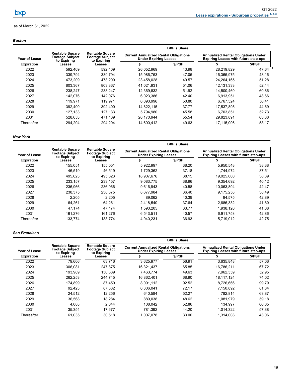<span id="page-52-0"></span>

|                   |                                                                 | <b>BXP's Share</b>                                              |            |                                                                              |            |                                                                                           |  |
|-------------------|-----------------------------------------------------------------|-----------------------------------------------------------------|------------|------------------------------------------------------------------------------|------------|-------------------------------------------------------------------------------------------|--|
| Year of Lease     | <b>Rentable Square</b><br><b>Footage Subject</b><br>to Expiring | <b>Rentable Square</b><br><b>Footage Subject</b><br>to Expiring |            | <b>Current Annualized Rental Obligations</b><br><b>Under Expiring Leases</b> |            | <b>Annualized Rental Obligations Under</b><br><b>Expiring Leases with future step-ups</b> |  |
| <b>Expiration</b> | Leases                                                          | Leases                                                          |            | \$/PSF                                                                       |            | \$/PSF                                                                                    |  |
| 2022              | 592.409                                                         | 592.409                                                         | 26,052,969 | 43.98                                                                        | 28,219,829 | 47.64 $4$                                                                                 |  |
| 2023              | 339.794                                                         | 339.794                                                         | 15,986,753 | 47.05                                                                        | 16,365,975 | 48.16                                                                                     |  |
| 2024              | 473.209                                                         | 473.209                                                         | 23,458,028 | 49.57                                                                        | 24,264,165 | 51.28                                                                                     |  |
| 2025              | 803.367                                                         | 803.367                                                         | 41,021,931 | 51.06                                                                        | 42,131,333 | 52.44                                                                                     |  |
| 2026              | 238.247                                                         | 238.247                                                         | 12,369,832 | 51.92                                                                        | 14,500,460 | 60.86                                                                                     |  |
| 2027              | 142.076                                                         | 142.076                                                         | 6.023.386  | 42.40                                                                        | 6.913.951  | 48.66                                                                                     |  |
| 2028              | 119.971                                                         | 119.971                                                         | 6.093.996  | 50.80                                                                        | 6,767,524  | 56.41                                                                                     |  |
| 2029              | 392.400                                                         | 392.400                                                         | 14.822.115 | 37.77                                                                        | 17.537.895 | 44.69                                                                                     |  |
| 2030              | 127.133                                                         | 127.133                                                         | 5.794.980  | 45.58                                                                        | 6.703.851  | 52.73                                                                                     |  |
| 2031              | 528.653                                                         | 471.169                                                         | 26,170,944 | 55.54                                                                        | 29,823,891 | 63.30                                                                                     |  |
| Thereafter        | 294.204                                                         | 294.204                                                         | 14.600.412 | 49.63                                                                        | 17,115,006 | 58.17                                                                                     |  |

### *New York*

|                   |                                                                 |                                                                 |                                                                              | <b>BXP's Share</b> |                                                                                           |        |  |  |
|-------------------|-----------------------------------------------------------------|-----------------------------------------------------------------|------------------------------------------------------------------------------|--------------------|-------------------------------------------------------------------------------------------|--------|--|--|
| Year of Lease     | <b>Rentable Square</b><br><b>Footage Subject</b><br>to Expiring | <b>Rentable Square</b><br><b>Footage Subject</b><br>to Expiring | <b>Current Annualized Rental Obligations</b><br><b>Under Expiring Leases</b> |                    | <b>Annualized Rental Obligations Under</b><br><b>Expiring Leases with future step-ups</b> |        |  |  |
| <b>Expiration</b> | Leases                                                          | Leases                                                          | S                                                                            | \$/PSF             |                                                                                           | \$/PSF |  |  |
| 2022              | 155,051                                                         | 155,051                                                         | 5,922,997                                                                    | 38.20              | 5,950,548                                                                                 | 38.38  |  |  |
| 2023              | 46.519                                                          | 46.519                                                          | 1.729.362                                                                    | 37.18              | 1.744.972                                                                                 | 37.51  |  |  |
| 2024              | 495.623                                                         | 495,623                                                         | 18,907,676                                                                   | 38.15              | 19,025,000                                                                                | 38.39  |  |  |
| 2025              | 233.157                                                         | 233,157                                                         | 9.083.775                                                                    | 38.96              | 9,354,692                                                                                 | 40.12  |  |  |
| 2026              | 236.966                                                         | 236,966                                                         | 9,616,943                                                                    | 40.58              | 10,063,804                                                                                | 42.47  |  |  |
| 2027              | 238.375                                                         | 238.375                                                         | 8.677.984                                                                    | 36.40              | 9.175.258                                                                                 | 38.49  |  |  |
| 2028              | 2,205                                                           | 2,205                                                           | 89,062                                                                       | 40.39              | 94.575                                                                                    | 42.89  |  |  |
| 2029              | 64,261                                                          | 64.261                                                          | 2.418.540                                                                    | 37.64              | 2,686,332                                                                                 | 41.80  |  |  |
| 2030              | 47,174                                                          | 47,174                                                          | 1,593,205                                                                    | 33.77              | 1,938,126                                                                                 | 41.08  |  |  |
| 2031              | 161.276                                                         | 161.276                                                         | 6.543.511                                                                    | 40.57              | 6.911.753                                                                                 | 42.86  |  |  |
| Thereafter        | 133.774                                                         | 133,774                                                         | 4,940,231                                                                    | 36.93              | 5,719,012                                                                                 | 42.75  |  |  |

## *San Francisco*

|                   |                                                                 |                                                                 |                                                                              | <b>BXP's Share</b> |                                                                                           |        |  |
|-------------------|-----------------------------------------------------------------|-----------------------------------------------------------------|------------------------------------------------------------------------------|--------------------|-------------------------------------------------------------------------------------------|--------|--|
| Year of Lease     | <b>Rentable Square</b><br><b>Footage Subject</b><br>to Expiring | <b>Rentable Square</b><br><b>Footage Subject</b><br>to Expiring | <b>Current Annualized Rental Obligations</b><br><b>Under Expiring Leases</b> |                    | <b>Annualized Rental Obligations Under</b><br><b>Expiring Leases with future step-ups</b> |        |  |
| <b>Expiration</b> | Leases                                                          | Leases                                                          |                                                                              | \$/PSF             |                                                                                           | \$/PSF |  |
| 2022              | 79.606                                                          | 63.716                                                          | 3,625,977                                                                    | 56.91              | 3,635,848                                                                                 | 57.06  |  |
| 2023              | 306.081                                                         | 247.875                                                         | 16.321.437                                                                   | 65.85              | 16.786.211                                                                                | 67.72  |  |
| 2024              | 193,989                                                         | 150,389                                                         | 7,463,774                                                                    | 49.63              | 7,962,359                                                                                 | 52.95  |  |
| 2025              | 262,253                                                         | 244.745                                                         | 16,862,401                                                                   | 68.90              | 18,117,124                                                                                | 74.02  |  |
| 2026              | 174.899                                                         | 87.450                                                          | 8,091,112                                                                    | 92.52              | 8,726,666                                                                                 | 99.79  |  |
| 2027              | 92.423                                                          | 87,382                                                          | 6.306.041                                                                    | 72.17              | 7,150,892                                                                                 | 81.84  |  |
| 2028              | 24.512                                                          | 12.256                                                          | 640.584                                                                      | 52.27              | 782.814                                                                                   | 63.87  |  |
| 2029              | 36.568                                                          | 18.284                                                          | 889,038                                                                      | 48.62              | 1,081,979                                                                                 | 59.18  |  |
| 2030              | 4.088                                                           | 2.044                                                           | 108.042                                                                      | 52.86              | 134.997                                                                                   | 66.05  |  |
| 2031              | 35,354                                                          | 17.677                                                          | 781.392                                                                      | 44.20              | 1,014,322                                                                                 | 57.38  |  |
| Thereafter        | 61.035                                                          | 30.518                                                          | 1.007.078                                                                    | 33.00              | 1.314.008                                                                                 | 43.06  |  |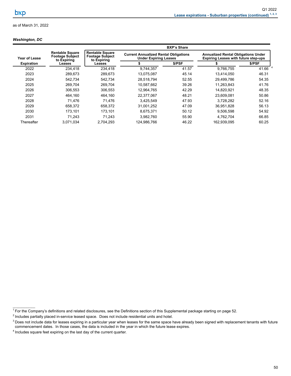### *Washington, DC*

|                   |                                                                 |                                                                 |                                                                              | <b>BXP's Share</b> |                                                                                           |           |
|-------------------|-----------------------------------------------------------------|-----------------------------------------------------------------|------------------------------------------------------------------------------|--------------------|-------------------------------------------------------------------------------------------|-----------|
| Year of Lease     | <b>Rentable Square</b><br><b>Footage Subject</b><br>to Expiring | <b>Rentable Square</b><br><b>Footage Subject</b><br>to Expiring | <b>Current Annualized Rental Obligations</b><br><b>Under Expiring Leases</b> |                    | <b>Annualized Rental Obligations Under</b><br><b>Expiring Leases with future step-ups</b> |           |
| <b>Expiration</b> | Leases                                                          | Leases                                                          |                                                                              | \$/PSF             |                                                                                           | \$/PSF    |
| 2022              | 234,418                                                         | 234.418                                                         | 9.744.357                                                                    | 41.57              | 9.766.755                                                                                 | 41.66 $4$ |
| 2023              | 289,673                                                         | 289,673                                                         | 13,075,087                                                                   | 45.14              | 13,414,050                                                                                | 46.31     |
| 2024              | 542.734                                                         | 542.734                                                         | 28,518,794                                                                   | 52.55              | 29.499.786                                                                                | 54.35     |
| 2025              | 269,704                                                         | 269.704                                                         | 10,587,662                                                                   | 39.26              | 11,263,843                                                                                | 41.76     |
| 2026              | 306.553                                                         | 306.553                                                         | 12.964.765                                                                   | 42.29              | 14.820.921                                                                                | 48.35     |
| 2027              | 464,160                                                         | 464.160                                                         | 22,377,067                                                                   | 48.21              | 23,609,081                                                                                | 50.86     |
| 2028              | 71.476                                                          | 71.476                                                          | 3.425.549                                                                    | 47.93              | 3.728.282                                                                                 | 52.16     |
| 2029              | 658,372                                                         | 658.372                                                         | 31,001,252                                                                   | 47.09              | 36,951,828                                                                                | 56.13     |
| 2030              | 173.101                                                         | 173.101                                                         | 8.675.371                                                                    | 50.12              | 9,506,598                                                                                 | 54.92     |
| 2031              | 71.243                                                          | 71.243                                                          | 3,982,760                                                                    | 55.90              | 4.762.704                                                                                 | 66.85     |
| Thereafter        | 3,071,034                                                       | 2.704.293                                                       | 124.986.766                                                                  | 46.22              | 162.939.095                                                                               | 60.25     |

 $\mathcal{L}_\text{max}$  and  $\mathcal{L}_\text{max}$ 

<sup>&</sup>lt;sup>1</sup> For the Company's definitions and related disclosures, see the Definitions section of this Supplemental package starting on page 52.

 $2$  Includes partially placed in-service leased space. Does not include residential units and hotel.

 $^3$  Does not include data for leases expiring in a particular year when leases for the same space have already been signed with replacement tenants with future commencement dates. In those cases, the data is included in the year in which the future lease expires.

 $4$  Includes square feet expiring on the last day of the current quarter.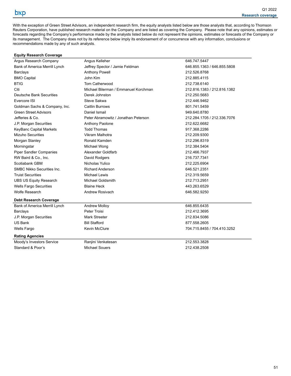<span id="page-54-0"></span>With the exception of Green Street Advisors, an independent research firm, the equity analysts listed below are those analysts that, according to Thomson Reuters Corporation, have published research material on the Company and are listed as covering the Company. Please note that any opinions, estimates or forecasts regarding the Company's performance made by the analysts listed below do not represent the opinions, estimates or forecasts of the Company or its management. The Company does not by its reference below imply its endorsement of or concurrence with any information, conclusions or recommendations made by any of such analysts.

| <b>Equity Research Coverage</b>   |                                      |                             |
|-----------------------------------|--------------------------------------|-----------------------------|
| Argus Research Company            | Angus Kelleher                       | 646.747.5447                |
| Bank of America Merrill Lynch     | Jeffrey Spector / Jamie Feldman      | 646.855.1363 / 646.855.5808 |
| <b>Barclays</b>                   | <b>Anthony Powell</b>                | 212.526.8768                |
| <b>BMO Capital</b>                | John Kim                             | 212.885.4115                |
| <b>BTIG</b>                       | <b>Tom Catherwood</b>                | 212.738.6140                |
| Citi                              | Michael Bilerman / Emmanuel Korchman | 212.816.1383 / 212.816.1382 |
| Deutsche Bank Securities          | Derek Johnston                       | 212.250.5683                |
| Evercore ISI                      | Steve Sakwa                          | 212.446.9462                |
| Goldman Sachs & Company, Inc.     | Caitlin Burrows                      | 801.741.5459                |
| <b>Green Street Advisors</b>      | Daniel Ismail                        | 949.640.8780                |
| Jefferies & Co.                   | Peter Abramowitz / Jonathan Peterson | 212.284.1705 / 212.336.7076 |
| J.P. Morgan Securities            | Anthony Paolone                      | 212.622.6682                |
| KeyBanc Capital Markets           | <b>Todd Thomas</b>                   | 917.368.2286                |
| <b>Mizuho Securities</b>          | Vikram Malhotra                      | 212.209.9300                |
| Morgan Stanley                    | Ronald Kamden                        | 212.296.8319                |
| Morningstar                       | Michael Wong                         | 312.384.5404                |
| <b>Piper Sandler Companies</b>    | Alexander Goldfarb                   | 212.466.7937                |
| RW Baird & Co., Inc.              | David Rodgers                        | 216.737.7341                |
| Scotiabank GBM                    | Nicholas Yulico                      | 212.225.6904                |
| <b>SMBC Nikko Securities Inc.</b> | <b>Richard Anderson</b>              | 646.521.2351                |
| <b>Truist Securities</b>          | Michael Lewis                        | 212.319.5659                |
| <b>UBS US Equity Research</b>     | <b>Michael Goldsmith</b>             | 212.713.2951                |
| <b>Wells Fargo Securities</b>     | <b>Blaine Heck</b>                   | 443.263.6529                |
| <b>Wolfe Research</b>             | Andrew Rosivach                      | 646.582.9250                |
| <b>Debt Research Coverage</b>     |                                      |                             |
| Bank of America Merrill Lynch     | <b>Andrew Molloy</b>                 | 646.855.6435                |
| <b>Barclays</b>                   | Peter Troisi                         | 212.412.3695                |
| J.P. Morgan Securities            | Mark Streeter                        | 212.834.5086                |
| <b>US Bank</b>                    | <b>Bill Stafford</b>                 | 877.558.2605                |
| <b>Wells Fargo</b>                | <b>Kevin McClure</b>                 | 704.715.8455 / 704.410.3252 |
| <b>Rating Agencies</b>            |                                      |                             |
| Moody's Investors Service         | Ranjini Venkatesan                   | 212.553.3828                |
| Standard & Poor's                 | <b>Michael Souers</b>                | 212.438.2508                |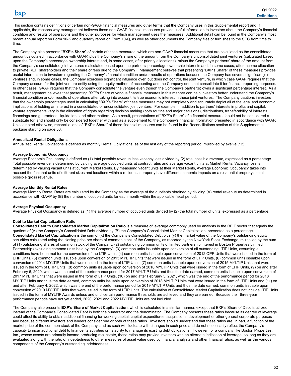<span id="page-55-0"></span>This section contains definitions of certain non-GAAP financial measures and other terms that the Company uses in this Supplemental report and, if applicable, the reasons why management believes these non-GAAP financial measures provide useful information to investors about the Company's financial condition and results of operations and the other purposes for which management uses the measures. Additional detail can be found in the Company's most recent annual report on Form 10-K and quarterly report on Form 10-Q, as well as other documents the Company files or furnishes to the SEC from time to time.

The Company also presents "**BXP's Share**" of certain of these measures, which are non-GAAP financial measures that are calculated as the consolidated amount calculated in accordance with GAAP, plus the Company's share of the amount from the Company's unconsolidated joint ventures (calculated based upon the Company's percentage ownership interest and, in some cases, after priority allocations), minus the Company's partners' share of the amount from the Company's consolidated joint ventures (calculated based upon the partners' percentage ownership interests and, in some cases, after income allocation to private REIT shareholders and their share of fees due to the Company). Management believes that presenting "BXP's Share" of these measures provides useful information to investors regarding the Company's financial condition and/or results of operations because the Company has several significant joint ventures and, in some cases, the Company exercises significant influence over, but does not control, the joint venture, in which case GAAP requires that the Company account for the joint venture entity using the equity method of accounting and the Company does not consolidate it for financial reporting purposes. In other cases, GAAP requires that the Company consolidate the venture even though the Company's partner(s) owns a significant percentage interest. As a result, management believes that presenting BXP's Share of various financial measures in this manner can help investors better understand the Company's financial condition and/or results of operations after taking into account its true economic interest in these joint ventures. The Company cautions investors that the ownership percentages used in calculating "BXP's Share" of these measures may not completely and accurately depict all of the legal and economic implications of holding an interest in a consolidated or unconsolidated joint venture. For example, in addition to partners' interests in profits and capital, venture agreements vary in the allocation of rights regarding decision making (both routine and major decisions), distributions, transferability of interests, financings and guarantees, liquidations and other matters. As a result, presentations of "BXP's Share" of a financial measure should not be considered a substitute for, and should only be considered together with and as a supplement to, the Company's financial information presented in accordance with GAAP. Unless noted otherwise, reconciliations of "BXP's Share" of these financial measures can be found in the Reconciliations section of this Supplemental package starting on page 56.

#### **Annualized Rental Obligations**

Annualized Rental Obligations is defined as monthly Rental Obligations, as of the last day of the reporting period, multiplied by twelve (12).

#### **Average Economic Occupancy**

Average Economic Occupancy is defined as (1) total possible revenue less vacancy loss divided by (2) total possible revenue, expressed as a percentage. Total possible revenue is determined by valuing average occupied units at contract rates and average vacant units at Market Rents. Vacancy loss is determined by valuing vacant units at current Market Rents. By measuring vacant units at their Market Rents, Average Economic Occupancy takes into account the fact that units of different sizes and locations within a residential property have different economic impacts on a residential property's total possible gross revenue.

#### **Average Monthly Rental Rates**

Average Monthly Rental Rates are calculated by the Company as the average of the quotients obtained by dividing (A) rental revenue as determined in accordance with GAAP by (B) the number of occupied units for each month within the applicable fiscal period.

#### **Average Physical Occupancy**

Average Physical Occupancy is defined as (1) the average number of occupied units divided by (2) the total number of units, expressed as a percentage.

#### **Debt to Market Capitalization Ratio**

**Consolidated Debt to Consolidated Market Capitalization Ratio** is a measure of leverage commonly used by analysts in the REIT sector that equals the quotient of (A) the Company's Consolidated Debt divided by (B) the Company's Consolidated Market Capitalization, presented as a percentage. **Consolidated Market Capitalization** is the sum of (x) the Company's Consolidated Debt plus (y) the market value of the Company's outstanding equity securities calculated using the closing price per share of common stock of the Company, as reported by the New York Stock Exchange, multiplied by the sum of (1) outstanding shares of common stock of the Company, (2) outstanding common units of limited partnership interest in Boston Properties Limited Partnership (excluding common units held by the Company), (3) common units issuable upon conversion of all outstanding LTIP Units, assuming all conditions have been met for the conversion of the LTIP Units, (4) common units issuable upon conversion of 2012 OPP Units that were issued in the form of LTIP Units, (5) common units issuable upon conversion of 2013 MYLTIP Units that were issued in the form of LTIP Units, (6) common units issuable upon conversion of 2014 MYLTIP Units that were issued in the form of LTIP Units, (7) common units issuable upon conversion of 2015 MYLTIP Units that were issued in the form of LTIP Units, (8) common units issuable upon conversion of 2016 MYLTIP Units that were issued in the form of LTIP Units, (9) on and after February 6, 2020, which was the end of the performance period for 2017 MYLTIP Units and thus the date earned, common units issuable upon conversion of 2017 MYLTIP Units that were issued in the form of LTIP Units, (10) on and after February 5, 2021, which was the end of the performance period for 2018 MYLTIP Units and thus the date earned, common units issuable upon conversion of 2018 MYLTIP Units that were issued in the form of LTIP Units and (11) on and after February 4, 2022, which was the end of the performance period for 2019 MYLTIP Units and thus the date earned, common units issuable upon conversion of 2019 MYLTIP Units that were issued in the form of LTIP Units. The calculation of Consolidated Market Capitalization does not include LTIP Units issued in the form of MYLTIP Awards unless and until certain performance thresholds are achieved and they are earned. Because their three-year performance periods have not yet ended, 2020, 2021 and 2022 MYLTIP Units are not included.

The Company also presents **BXP's Share of Market Capitalization**, which is calculated in a similar manner, except that BXP's Share of Debt is utilized instead of the Company's Consolidated Debt in both the numerator and the denominator. The Company presents these ratios because its degree of leverage could affect its ability to obtain additional financing for working capital, capital expenditures, acquisitions, development or other general corporate purposes and because different investors and lenders consider one or both of these ratios. Investors should understand that these ratios are, in part, a function of the market price of the common stock of the Company, and as such will fluctuate with changes in such price and do not necessarily reflect the Company's capacity to incur additional debt to finance its activities or its ability to manage its existing debt obligations. However, for a company like Boston Properties, Inc., whose assets are primarily income-producing real estate, these ratios may provide investors with an alternate indication of leverage, so long as they are evaluated along with the ratio of indebtedness to other measures of asset value used by financial analysts and other financial ratios, as well as the various components of the Company's outstanding indebtedness.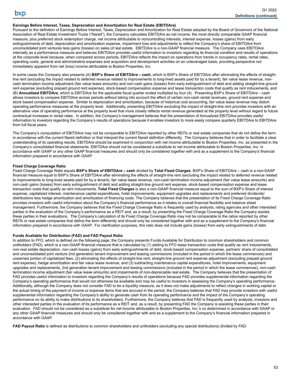#### **Earnings Before Interest, Taxes, Depreciation and Amortization for Real Estate (EBITDA***re***)**

Pursuant to the definition of Earnings Before Interest, Taxes, Depreciation and Amortization for Real Estate adopted by the Board of Governors of the National Association of Real Estate Investment Trusts ("Nareit"), the Company calculates EBITDA*re* as net income, the most directly comparable GAAP financial measure, plus preferred stock redemption charge, net income attributable to noncontrolling interests, interest expense, losses (gains) from early extinguishments of debt, depreciation and amortization expense, impairment loss and adjustments to reflect the Company's share of EBITDA*re* from unconsolidated joint ventures less gains (losses) on sales of real estate. EBITDA*re* is a non-GAAP financial measure. The Company uses EBITDA*re* internally as a performance measure and believes EBITDA*re* provides useful information to investors regarding its financial condition and results of operations at the corporate level because, when compared across periods, EBITDA*re* reflects the impact on operations from trends in occupancy rates, rental rates, operating costs, general and administrative expenses and acquisition and development activities on an unleveraged basis, providing perspective not immediately apparent from net (loss) income attributable to Boston Properties, Inc.

In some cases the Company also presents (A) **BXP's Share of EBITDA***re* **– cash**, which is BXP's Share of EBITDA*re* after eliminating the effects of straightline rent (excluding the impact related to deferred revenue related to improvements to long-lived assets paid for by a tenant), fair value lease revenue, noncash termination income adjustment (fair value lease amounts) and non-cash gains (losses) from early extinguishment of debt and adding straight-line ground rent expense (excluding prepaid ground rent expense), stock-based compensation expense and lease transaction costs that qualify as rent inducements, and (B) **Annualized EBITDA***re*, which is EBITDA*re* for the applicable fiscal quarter ended multiplied by four (4). Presenting BXP's Share of EBITDA*re* – cash allows investors to compare EBITDA*re* across periods without taking into account the effect of certain non-cash rental revenues, ground rent expense and stock based compensation expense. Similar to depreciation and amortization, because of historical cost accounting, fair value lease revenue may distort operating performance measures at the property level. Additionally, presenting EBITDA*re* excluding the impact of straight-line rent provides investors with an alternative view of operating performance at the property level that more closely reflects rental revenue generated at the property level without regard to future contractual increases in rental rates. In addition, the Company's management believes that the presentation of Annualized EBITDA*re* provides useful information to investors regarding the Company's results of operations because it enables investors to more easily compare quarterly EBITDA*re* to EBITDA*re* from full fiscal years.

The Company's computation of EBITDA*re* may not be comparable to EBITDA*re* reported by other REITs or real estate companies that do not define the term in accordance with the current Nareit definition or that interpret the current Nareit definition differently. The Company believes that in order to facilitate a clear understanding of its operating results, EBITDA*re* should be examined in conjunction with net income attributable to Boston Properties, Inc. as presented in the Company's consolidated financial statements. EBITDA*re* should not be considered a substitute to net income attributable to Boston Properties, Inc. in accordance with GAAP or any other GAAP financial measures and should only be considered together with and as a supplement to the Company's financial information prepared in accordance with GAAP.

#### **Fixed Charge Coverage Ratio**

Fixed Charge Coverage Ratio equals **BXP's Share of EBITDA***re* **– cash** divided by **Total Fixed Charges**. BXP's Share of EBITDA*re* – cash is a non-GAAP financial measure equal to BXP's Share of EBITDA*re* after eliminating the effects of straight-line rent (excluding the impact related to deferred revenue related to improvements to long-lived assets paid for by a tenant), fair value lease revenue, non-cash termination income adjustment (fair value lease amounts) and non-cash gains (losses) from early extinguishment of debt and adding straight-line ground rent expense, stock-based compensation expense and lease transaction costs that qualify as rent inducements. **Total Fixed Charges** is also a non-GAAP financial measure equal to the sum of BXP's Share of interest expense, capitalized interest, maintenance capital expenditures, hotel improvements, equipment upgrades and replacements and preferred dividends/ distributions less hedge amortization and amortization of financing costs. The Company believes that the presentation of its Fixed Charge Coverage Ratio provides investors with useful information about the Company's financial performance as it relates to overall financial flexibility and balance sheet management. Furthermore, the Company believes that the Fixed Charge Coverage Ratio is frequently used by analysts, rating agencies and other interested parties in the evaluation of the Company's performance as a REIT and, as a result, by presenting the Fixed Charge Coverage Ratio the Company assists these parties in their evaluations. The Company's calculation of its Fixed Charge Coverage Ratio may not be comparable to the ratios reported by other REITs or real estate companies that define the term differently and should only be considered together with and as a supplement to the Company's financial information prepared in accordance with GAAP. For clarification purposes, this ratio does not include gains (losses) from early extinguishments of debt.

#### **Funds Available for Distribution (FAD) and FAD Payout Ratio**

In addition to FFO, which is defined on the following page, the Company presents Funds Available for Distribution to common shareholders and common unitholders (FAD), which is a non-GAAP financial measure that is calculated by (1) adding to FFO lease transaction costs that qualify as rent inducements, non-real estate depreciation, non-cash losses (gains) from early extinguishments of debt, stock-based compensation expense, partners' share of consolidated and unconsolidated joint venture 2nd generation tenant improvement and leasing commissions (included in the period in which the lease commences) and unearned portion of capitalized fees, (2) eliminating the effects of straight-line rent, straight-line ground rent expense adjustment (excluding prepaid ground rent expense), hedge amortization and fair value lease revenue, and (3) subtracting maintenance capital expenditures, hotel improvements, equipment upgrades and replacements, 2nd generation tenant improvement and leasing commissions (included in the period in which the lease commences), non-cash termination income adjustment (fair value lease amounts) and impairments of non-depreciable real estate. The Company believes that the presentation of FAD provides useful information to investors regarding the Company's results of operations because FAD provides supplemental information regarding the Company's operating performance that would not otherwise be available and may be useful to investors in assessing the Company's operating performance. Additionally, although the Company does not consider FAD to be a liquidity measure, as it does not make adjustments to reflect changes in working capital or the actual timing of the payment of income or expense items that are accrued in the period, the Company believes that FAD may provide investors with useful supplemental information regarding the Company's ability to generate cash from its operating performance and the impact of the Company's operating performance on its ability to make distributions to its shareholders. Furthermore, the Company believes that FAD is frequently used by analysts, investors and other interested parties in the evaluation of its performance as a REIT and, as a result, by presenting FAD the Company is assisting these parties in their evaluation. FAD should not be considered as a substitute for net income attributable to Boston Properties, Inc.'s co determined in accordance with GAAP or any other GAAP financial measures and should only be considered together with and as a supplement to the Company's financial information prepared in accordance with GAAP.

**FAD Payout Ratio** is defined as distributions to common shareholders and unitholders (excluding any special distributions) divided by FAD.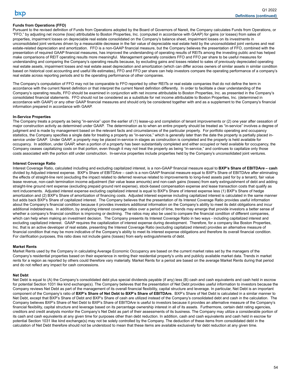### **Funds from Operations (FFO)**

Pursuant to the revised definition of Funds from Operations adopted by the Board of Governors of Nareit, the Company calculates Funds from Operations, or "FFO," by adjusting net income (loss) attributable to Boston Properties, Inc. (computed in accordance with GAAP) for gains (or losses) from sales of properties, impairment losses on depreciable real estate consolidated on the Company's balance sheet, impairment losses on its investments in unconsolidated joint ventures driven by a measurable decrease in the fair value of depreciable real estate held by the unconsolidated joint ventures and real estate-related depreciation and amortization. FFO is a non-GAAP financial measure, but the Company believes the presentation of FFO, combined with the presentation of required GAAP financial measures, has improved the understanding of operating results of REITs among the investing public and has helped make comparisons of REIT operating results more meaningful. Management generally considers FFO and FFO per share to be useful measures for understanding and comparing the Company's operating results because, by excluding gains and losses related to sales of previously depreciated operating real estate assets, impairment losses and real estate asset depreciation and amortization (which can differ across owners of similar assets in similar condition based on historical cost accounting and useful life estimates), FFO and FFO per share can help investors compare the operating performance of a company's real estate across reporting periods and to the operating performance of other companies.

The Company's computation of FFO may not be comparable to FFO reported by other REITs or real estate companies that do not define the term in accordance with the current Nareit definition or that interpret the current Nareit definition differently. In order to facilitate a clear understanding of the Company's operating results, FFO should be examined in conjunction with net income attributable to Boston Properties, Inc. as presented in the Company's consolidated financial statements. FFO should not be considered as a substitute for net income attributable to Boston Properties, Inc. (determined in accordance with GAAP) or any other GAAP financial measures and should only be considered together with and as a supplement to the Company's financial information prepared in accordance with GAAP.

#### **In-Service Properties**

The Company treats a property as being "in-service" upon the earlier of (1) lease-up and completion of tenant improvements or (2) one year after cessation of major construction activity as determined under GAAP. The determination as to when an entire property should be treated as "in-service" involves a degree of judgment and is made by management based on the relevant facts and circumstances of the particular property. For portfolio operating and occupancy statistics, the Company specifies a single date for treating a property as "in-service," which is generally later than the date the property is partially placed inservice under GAAP. Under GAAP, a property may be placed in-service in stages as construction is completed and the property is held available for occupancy. In addition, under GAAP, when a portion of a property has been substantially completed and either occupied or held available for occupancy, the Company ceases capitalizing costs on that portion, even though it may not treat the property as being "in-service," and continues to capitalize only those costs associated with the portion still under construction. In-service properties include properties held by the Company's unconsolidated joint ventures.

#### **Interest Coverage Ratio**

Interest Coverage Ratio, calculated including and excluding capitalized interest, is a non-GAAP financial measure equal to **BXP's Share of EBITDA***re* **– cash** divided by Adjusted interest expense. BXP's Share of EBITDA*re* – cash is a non-GAAP financial measure equal to BXP's Share of EBITDA*re* after eliminating the effects of straight-line rent (excluding the impact related to deferred revenue related to improvements to long-lived assets paid for by a tenant), fair value lease revenue, non-cash termination income adjustment (fair value lease amounts) and non-cash gains (losses) from early extinguishment of debt and adding straight-line ground rent expense (excluding prepaid ground rent expense), stock-based compensation expense and lease transaction costs that qualify as rent inducements. Adjusted interest expense excluding capitalized interest is equal to BXP's Share of interest expense less (1) BXP's Share of hedge amortization and (2) BXP's Share of amortization of financing costs. Adjusted interest expense including capitalized interest is calculated in the same manner but adds back BXP's Share of capitalized interest. The Company believes that the presentation of its Interest Coverage Ratio provides useful information about the Company's financial condition because it provides investors additional information on the Company's ability to meet its debt obligations and incur additional indebtedness. In addition, by analyzing interest coverage ratios over a period of time, trends may emerge that provide investors a better sense of whether a company's financial condition is improving or declining. The ratios may also be used to compare the financial condition of different companies, which can help when making an investment decision. The Company presents its Interest Coverage Ratio in two ways - including capitalized interest and excluding capitalized interest. GAAP requires the capitalization of interest expense during development. Therefore, for a company like Boston Properties, Inc. that is an active developer of real estate, presenting the Interest Coverage Ratio (excluding capitalized interest) provides an alternative measure of financial condition that may be more indicative of the Company's ability to meet its interest expense obligations and therefore its overall financial condition. For clarification purposes, this ratio does not include gains (losses) from early extinguishments of debt.

#### **Market Rents**

Market Rents used by the Company in calculating Average Economic Occupancy are based on the current market rates set by the managers of the Company's residential properties based on their experience in renting their residential property's units and publicly available market data. Trends in market rents for a region as reported by others could therefore vary materially. Market Rents for a period are based on the average Market Rents during that period and do not reflect any impact for cash concessions.

#### **Net Debt**

Net Debt is equal to (A) the Company's consolidated debt plus special dividends payable (if any) less (B) cash and cash equivalents and cash held in escrow for potential Section 1031 like kind exchange(s). The Company believes that the presentation of Net Debt provides useful information to investors because the Company reviews Net Debt as part of the management of its overall financial flexibility, capital structure and leverage. In particular, Net Debt is an important component of the Company's ratio of **BXP's Share of Net Debt to BXP's Share of EBITDA***re***.** BXP's Share of Net Debt is calculated in a similar manner to Net Debt, except that BXP's Share of Debt and BXP's Share of cash are utilized instead of the Company's consolidated debt and cash in the calculation. The Company believes BXP's Share of Net Debt to BXP's Share of EBITDA*re* is useful to investors because it provides an alternative measure of the Company's financial flexibility, capital structure and leverage based on its percentage ownership interest in all of its assets. Furthermore, certain debt rating agencies, creditors and credit analysts monitor the Company's Net Debt as part of their assessments of its business. The Company may utilize a considerable portion of its cash and cash equivalents at any given time for purposes other than debt reduction. In addition, cash and cash equivalents and cash held in escrow for potential Section 1031 like kind exchange(s) may not be solely controlled by the Company. The deduction of these items from consolidated debt in the calculation of Net Debt therefore should not be understood to mean that these items are available exclusively for debt reduction at any given time.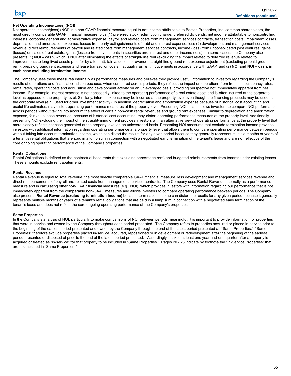### **Net Operating Income/(Loss) (NOI)**

Net operating income/(loss) (NOI) is a non-GAAP financial measure equal to net income attributable to Boston Properties, Inc. common shareholders, the most directly comparable GAAP financial measure, plus (1) preferred stock redemption charge, preferred dividends, net income attributable to noncontrolling interests, corporate general and administrative expense, payroll and related costs from management services contracts, transaction costs, impairment losses, depreciation and amortization expense, losses from early extinguishments of debt and interest expense, less (2) development and management services revenue, direct reimbursements of payroll and related costs from management services contracts, income (loss) from unconsolidated joint ventures, gains (losses) on sales of real estate, gains (losses) from investments in securities and interest and other income (loss). In some cases, the Company also presents (1) **NOI – cash**, which is NOI after eliminating the effects of straight-line rent (excluding the impact related to deferred revenue related to improvements to long-lived assets paid for by a tenant), fair value lease revenue, straight-line ground rent expense adjustment (excluding prepaid ground rent), prepaid ground rent expense and lease transaction costs that qualify as rent inducements in accordance with GAAP, and (2) **NOI and NOI – cash, in each case excluding termination income**.

The Company uses these measures internally as performance measures and believes they provide useful information to investors regarding the Company's results of operations and financial condition because, when compared across periods, they reflect the impact on operations from trends in occupancy rates, rental rates, operating costs and acquisition and development activity on an unleveraged basis, providing perspective not immediately apparent from net income. For example, interest expense is not necessarily linked to the operating performance of a real estate asset and is often incurred at the corporate level as opposed to the property level. Similarly, interest expense may be incurred at the property level even though the financing proceeds may be used at the corporate level (e.g., used for other investment activity). In addition, depreciation and amortization expense because of historical cost accounting and useful life estimates, may distort operating performance measures at the property level. Presenting NOI – cash allows investors to compare NOI performance across periods without taking into account the effect of certain non-cash rental revenues and ground rent expenses. Similar to depreciation and amortization expense, fair value lease revenues, because of historical cost accounting, may distort operating performance measures at the property level. Additionally, presenting NOI excluding the impact of the straight-lining of rent provides investors with an alternative view of operating performance at the property level that more closely reflects net cash generated at the property level on an unleveraged basis. Presenting NOI measures that exclude termination income provides investors with additional information regarding operating performance at a property level that allows them to compare operating performance between periods without taking into account termination income, which can distort the results for any given period because they generally represent multiple months or years of a tenant's rental obligations that are paid in a lump sum in connection with a negotiated early termination of the tenant's lease and are not reflective of the core ongoing operating performance of the Company's properties.

#### **Rental Obligations**

Rental Obligations is defined as the contractual base rents (but excluding percentage rent) and budgeted reimbursements from tenants under existing leases. These amounts exclude rent abatements.

#### **Rental Revenue**

Rental Revenue is equal to Total revenue, the most directly comparable GAAP financial measure, less development and management services revenue and direct reimbursements of payroll and related costs from management services contracts. The Company uses Rental Revenue internally as a performance measure and in calculating other non-GAAP financial measures (e.g., NOI), which provides investors with information regarding our performance that is not immediately apparent from the comparable non-GAAP measures and allows investors to compare operating performance between periods. The Company also presents **Rental Revenue (excluding termination income)** because termination income can distort the results for any given period because it generally represents multiple months or years of a tenant's rental obligations that are paid in a lump sum in connection with a negotiated early termination of the tenant's lease and does not reflect the core ongoing operating performance of the Company's properties.

#### **Same Properties**

In the Company's analysis of NOI, particularly to make comparisons of NOI between periods meaningful, it is important to provide information for properties that were in-service and owned by the Company throughout each period presented. The Company refers to properties acquired or placed in-service prior to the beginning of the earliest period presented and owned by the Company through the end of the latest period presented as "Same Properties." "Same Properties" therefore exclude properties placed in-service, acquired, repositioned or in development or redevelopment after the beginning of the earliest period presented or disposed of prior to the end of the latest period presented. Accordingly, it takes at least one year and one quarter after a property is acquired or treated as "in-service" for that property to be included in "Same Properties." Pages 20 - 23 indicate by footnote the "In-Service Properties" that are not included in "Same Properties."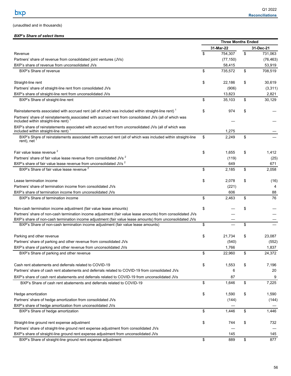## <span id="page-59-0"></span>(unaudited and in thousands)

## *BXP's Share of select items*

|                                                                                                                                               | <b>Three Months Ended</b> |     |               |  |  |  |  |
|-----------------------------------------------------------------------------------------------------------------------------------------------|---------------------------|-----|---------------|--|--|--|--|
|                                                                                                                                               | 31-Mar-22                 |     | 31-Dec-21     |  |  |  |  |
| Revenue                                                                                                                                       | \$<br>754,307             | \$  | 731,063       |  |  |  |  |
| Partners' share of revenue from consolidated joint ventures (JVs)                                                                             | (77, 150)                 |     | (76, 463)     |  |  |  |  |
| BXP's share of revenue from unconsolidated JVs                                                                                                | 58,415                    |     | 53,919        |  |  |  |  |
| BXP's Share of revenue                                                                                                                        | \$<br>735,572             | \$  | 708,519       |  |  |  |  |
| Straight-line rent                                                                                                                            | \$<br>22,186              | \$  | 30,619        |  |  |  |  |
| Partners' share of straight-line rent from consolidated JVs                                                                                   | (906)                     |     | (3,311)       |  |  |  |  |
| BXP's share of straight-line rent from unconsolidated JVs                                                                                     | 13,823                    |     | 2,821         |  |  |  |  |
| BXP's Share of straight-line rent                                                                                                             | \$<br>35,103              | \$  | 30,129        |  |  |  |  |
| Reinstatements associated with accrued rent (all of which was included within straight-line rent) <sup>1</sup>                                | \$<br>974                 | \$  |               |  |  |  |  |
| Partners' share of reinstatements associated with accrued rent from consolidated JVs (all of which was<br>included within straight-line rent) |                           |     |               |  |  |  |  |
| BXP's share of reinstatements associated with accrued rent from unconsolidated JVs (all of which was<br>included within straight-line rent)   | 1,275                     |     |               |  |  |  |  |
| BXP's Share of reinstatements associated with accrued rent (all of which was included within straight-line<br>rent), net $1$                  | \$<br>2,249               | \$  |               |  |  |  |  |
| Fair value lease revenue <sup>2</sup>                                                                                                         | \$                        | \$  |               |  |  |  |  |
| Partners' share of fair value lease revenue from consolidated JVs <sup>2</sup>                                                                | 1,655<br>(119)            |     | 1,412<br>(25) |  |  |  |  |
| BXP's share of fair value lease revenue from unconsolidated JVs <sup>2</sup>                                                                  | 649                       |     | 671           |  |  |  |  |
| BXP's Share of fair value lease revenue <sup>2</sup>                                                                                          | \$<br>2,185               | \$  | 2,058         |  |  |  |  |
|                                                                                                                                               |                           |     |               |  |  |  |  |
| Lease termination income                                                                                                                      | \$<br>2,078               | \$  | (16)          |  |  |  |  |
| Partners' share of termination income from consolidated JVs                                                                                   | (221)                     |     | 4             |  |  |  |  |
| BXP's share of termination income from unconsolidated JVs                                                                                     | 606                       |     | 88            |  |  |  |  |
| BXP's Share of termination income                                                                                                             | \$<br>2,463               | \$  | 76            |  |  |  |  |
| Non-cash termination income adjustment (fair value lease amounts)                                                                             | \$                        | \$  |               |  |  |  |  |
| Partners' share of non-cash termination income adjustment (fair value lease amounts) from consolidated JVs                                    |                           |     |               |  |  |  |  |
| BXP's share of non-cash termination income adjustment (fair value lease amounts) from unconsolidated JVs                                      |                           |     |               |  |  |  |  |
| BXP's Share of non-cash termination income adjustment (fair value lease amounts)                                                              | \$                        | \$  |               |  |  |  |  |
| Parking and other revenue                                                                                                                     | \$<br>21,734              | \$  | 23,087        |  |  |  |  |
| Partners' share of parking and other revenue from consolidated JVs                                                                            | (540)                     |     | (552)         |  |  |  |  |
| BXP's share of parking and other revenue from unconsolidated JVs                                                                              | 1,766                     |     | 1,837         |  |  |  |  |
| BXP's Share of parking and other revenue                                                                                                      | \$<br>22,960              | \$. | 24,372        |  |  |  |  |
| Cash rent abatements and deferrals related to COVID-19                                                                                        | \$<br>1,553               | \$  | 7,196         |  |  |  |  |
| Partners' share of cash rent abatements and deferrals related to COVID-19 from consolidated JVs                                               | 6                         |     | 20            |  |  |  |  |
| BXP's share of cash rent abatements and deferrals related to COVID-19 from unconsolidated JVs                                                 | 87                        |     | 9             |  |  |  |  |
| BXP's Share of cash rent abatements and deferrals related to COVID-19                                                                         | \$<br>1,646               | \$  | 7,225         |  |  |  |  |
| Hedge amortization                                                                                                                            | \$<br>1,590               | \$  | 1,590         |  |  |  |  |
| Partners' share of hedge amortization from consolidated JVs                                                                                   | (144)                     |     | (144)         |  |  |  |  |
| BXP's share of hedge amortization from unconsolidated JVs                                                                                     |                           |     |               |  |  |  |  |
| BXP's Share of hedge amortization                                                                                                             | \$<br>1,446               | \$  | 1,446         |  |  |  |  |
| Straight-line ground rent expense adjustment                                                                                                  | \$<br>744                 | \$  | 732           |  |  |  |  |
| Partners' share of straight-line ground rent expense adjustment from consolidated JVs                                                         |                           |     |               |  |  |  |  |
| BXP's share of straight-line ground rent expense adjustment from unconsolidated JVs                                                           | 145                       |     | 145           |  |  |  |  |
| BXP's Share of straight-line ground rent expense adjustment                                                                                   | \$<br>889                 | \$  | 877           |  |  |  |  |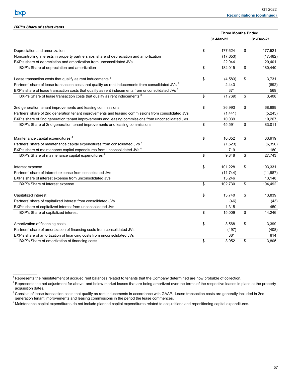$\mathcal{L}_\text{max}$  and  $\mathcal{L}_\text{max}$ 

|                                                                                                              | <b>Three Months Ended</b> |               |
|--------------------------------------------------------------------------------------------------------------|---------------------------|---------------|
|                                                                                                              | 31-Mar-22                 | 31-Dec-21     |
| Depreciation and amortization                                                                                | \$<br>177,624             | \$<br>177,521 |
| Noncontrolling interests in property partnerships' share of depreciation and amortization                    | (17, 653)                 | (17, 482)     |
| BXP's share of depreciation and amortization from unconsolidated JVs                                         | 22,044                    | 20,401        |
| BXP's Share of depreciation and amortization                                                                 | \$<br>182,015             | \$<br>180,440 |
| Lease transaction costs that qualify as rent inducements <sup>3</sup>                                        | \$<br>(4, 583)            | \$<br>3.731   |
| Partners' share of lease transaction costs that qualify as rent inducements from consolidated JVs 3          | 2,443                     | (892)         |
| BXP's share of lease transaction costs that qualify as rent inducements from unconsolidated JVs <sup>3</sup> | 371                       | 569           |
| BXP's Share of lease transaction costs that qualify as rent inducements <sup>3</sup>                         | \$<br>(1,769)             | \$<br>3,408   |
| 2nd generation tenant improvements and leasing commissions                                                   | \$<br>36,993              | \$<br>68,989  |
| Partners' share of 2nd generation tenant improvements and leasing commissions from consolidated JVs          | (1,441)                   | (5,245)       |
| BXP's share of 2nd generation tenant improvements and leasing commissions from unconsolidated JVs            | 10,039                    | 19,267        |
| BXP's Share of 2nd generation tenant improvements and leasing commissions                                    | \$<br>45,591              | \$<br>83,011  |
| Maintenance capital expenditures <sup>4</sup>                                                                | \$<br>10,652              | \$<br>33,919  |
| Partners' share of maintenance capital expenditures from consolidated JVs <sup>4</sup>                       | (1,523)                   | (6,356)       |
| BXP's share of maintenance capital expenditures from unconsolidated JVs <sup>4</sup>                         | 719                       | 180           |
| BXP's Share of maintenance capital expenditures <sup>4</sup>                                                 | \$<br>9,848               | \$<br>27,743  |
| Interest expense                                                                                             | \$<br>101,228             | \$<br>103,331 |
| Partners' share of interest expense from consolidated JVs                                                    | (11, 744)                 | (11, 987)     |
| BXP's share of interest expense from unconsolidated JVs                                                      | 13,246                    | 13,148        |
| BXP's Share of interest expense                                                                              | \$<br>102,730             | \$<br>104,492 |
| Capitalized interest                                                                                         | \$<br>13,740              | \$<br>13,839  |
| Partners' share of capitalized interest from consolidated JVs                                                | (46)                      | (43)          |
| BXP's share of capitalized interest from unconsolidated JVs                                                  | 1,315                     | 450           |
| BXP's Share of capitalized interest                                                                          | \$<br>15,009              | \$<br>14,246  |
| Amortization of financing costs                                                                              | \$<br>3,568               | \$<br>3,399   |
| Partners' share of amortization of financing costs from consolidated JVs                                     | (497)                     | (408)         |
| BXP's share of amortization of financing costs from unconsolidated JVs                                       | 881                       | 814           |
| BXP's Share of amortization of financing costs                                                               | \$<br>3.952               | \$<br>3,805   |

<sup>1</sup> Represents the reinstatement of accrued rent balances related to tenants that the Company determined are now probable of collection.

<sup>2</sup> Represents the net adjustment for above- and below-market leases that are being amortized over the terms of the respective leases in place at the property acquisition dates.

<sup>3</sup> Consists of lease transaction costs that qualify as rent inducements in accordance with GAAP. Lease transaction costs are generally included in 2nd generation tenant improvements and leasing commissions in the period the lease commences.

<sup>4</sup> Maintenance capital expenditures do not include planned capital expenditures related to acquisitions and repositioning capital expenditures.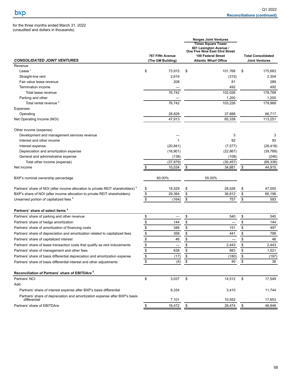for the three months ended March 31, 2022 (unaudited and dollars in thousands)

| <b>CONSOLIDATED JOINT VENTURES</b>                                                         | <b>767 Fifth Avenue</b><br>(The GM Building) |                          |                      | <b>Norges Joint Ventures</b><br><b>Times Square Tower</b><br>601 Lexington Avenue<br>One Five Nine East 53rd Street<br>100 Federal Street<br><b>Atlantic Wharf Office</b> |                      | <b>Total Consolidated</b><br><b>Joint Ventures</b> |
|--------------------------------------------------------------------------------------------|----------------------------------------------|--------------------------|----------------------|---------------------------------------------------------------------------------------------------------------------------------------------------------------------------|----------------------|----------------------------------------------------|
| Revenue                                                                                    |                                              |                          |                      |                                                                                                                                                                           |                      |                                                    |
| Lease $1$                                                                                  | \$                                           | 73,915                   | \$                   | 101,768                                                                                                                                                                   | \$                   | 175,683                                            |
| Straight-line rent                                                                         |                                              | 2,619                    |                      | (315)                                                                                                                                                                     |                      | 2,304                                              |
| Fair value lease revenue                                                                   |                                              | 208                      |                      | 81                                                                                                                                                                        |                      | 289                                                |
| Termination income                                                                         |                                              |                          |                      | 492                                                                                                                                                                       |                      | 492                                                |
| Total lease revenue                                                                        |                                              | 76,742                   |                      | 102,026                                                                                                                                                                   |                      | 178,768                                            |
| Parking and other                                                                          |                                              |                          |                      | 1,200                                                                                                                                                                     |                      | 1,200                                              |
| Total rental revenue <sup>2</sup>                                                          |                                              | 76,742                   |                      | 103,226                                                                                                                                                                   |                      | 179,968                                            |
| Expenses                                                                                   |                                              |                          |                      |                                                                                                                                                                           |                      |                                                    |
| Operating                                                                                  |                                              | 28,829                   |                      | 37,888                                                                                                                                                                    |                      | 66,717                                             |
| Net Operating Income (NOI)                                                                 |                                              | 47,913                   |                      | 65,338                                                                                                                                                                    |                      | 113,251                                            |
| Other income (expense)                                                                     |                                              |                          |                      |                                                                                                                                                                           |                      |                                                    |
| Development and management services revenue                                                |                                              |                          |                      | 3                                                                                                                                                                         |                      | 3                                                  |
| Interest and other income                                                                  |                                              | 1                        |                      | 92                                                                                                                                                                        |                      | 93                                                 |
| Interest expense                                                                           |                                              | (20, 841)                |                      | (7, 577)                                                                                                                                                                  |                      | (28, 418)                                          |
| Depreciation and amortization expense                                                      |                                              | (16, 901)                |                      | (22, 867)                                                                                                                                                                 |                      | (39,768)                                           |
| General and administrative expense                                                         |                                              | (138)                    |                      | (108)                                                                                                                                                                     |                      | (246)                                              |
| Total other income (expense)                                                               |                                              | (37, 879)                |                      | (30, 457)                                                                                                                                                                 |                      | (68, 336)                                          |
| Net income                                                                                 |                                              | 10,034                   | \$                   | 34,881                                                                                                                                                                    | \$                   | 44,915                                             |
| BXP's nominal ownership percentage                                                         | 60.00%                                       |                          |                      | 55.00%                                                                                                                                                                    |                      |                                                    |
| Partners' share of NOI (after income allocation to private REIT shareholders) <sup>3</sup> | \$                                           | 18,529                   | \$                   | 28,526                                                                                                                                                                    | \$                   | 47,055                                             |
| BXP's share of NOI (after income allocation to private REIT shareholders)                  | $\sqrt{3}$                                   | 29,384                   | $\sqrt{\frac{2}{3}}$ | 36,812                                                                                                                                                                    | \$                   | 66,196                                             |
| Unearned portion of capitalized fees <sup>4</sup>                                          | $\overline{\mathbb{S}}$                      | (164)                    | \$                   | 757                                                                                                                                                                       | \$                   | 593                                                |
| Partners' share of select items 3                                                          |                                              |                          |                      |                                                                                                                                                                           |                      |                                                    |
| Partners' share of parking and other revenue                                               | \$                                           | $\overline{\phantom{0}}$ | \$                   | 540                                                                                                                                                                       | \$                   | 540                                                |
| Partners' share of hedge amortization                                                      | $\frac{1}{2}$                                | 144                      | $\,$                 |                                                                                                                                                                           | \$                   | 144                                                |
| Partners' share of amortization of financing costs                                         | $\frac{1}{2}$                                | 346                      | $\,$                 | 151                                                                                                                                                                       | $\pmb{\mathfrak{s}}$ | 497                                                |
| Partners' share of depreciation and amortization related to capitalized fees               | $\frac{1}{2}$                                | 358                      | $\,$                 | 441                                                                                                                                                                       | $\frac{1}{2}$        | 799                                                |
| Partners' share of capitalized interest                                                    | $\frac{1}{2}$                                | 46                       | \$                   |                                                                                                                                                                           | \$                   | 46                                                 |
| Partners' share of lease transaction costs that qualify as rent inducements                | \$                                           |                          | $\,$                 | 2,443                                                                                                                                                                     | \$                   | 2,443                                              |
| Partners' share of management and other fees                                               | $\frac{3}{2}$                                | 638                      | \$                   | 883                                                                                                                                                                       | \$                   | 1,521                                              |
| Partners' share of basis differential depreciation and amortization expense                |                                              | (17)                     | \$                   | (180)                                                                                                                                                                     | \$                   | (197)                                              |
| Partners' share of basis differential interest and other adjustments                       | $\frac{3}{3}$                                | (4)                      | $\sqrt{\frac{2}{3}}$ | 40                                                                                                                                                                        | \$                   | 36                                                 |
| Reconciliation of Partners' share of EBITDAre <sup>5</sup>                                 |                                              |                          |                      |                                                                                                                                                                           |                      |                                                    |
| Partners' NCI                                                                              | \$                                           | 3,037                    | \$                   | 14,512                                                                                                                                                                    | \$                   | 17,549                                             |
| Add:                                                                                       |                                              |                          |                      |                                                                                                                                                                           |                      |                                                    |
| Partners' share of interest expense after BXP's basis differential                         |                                              | 8,334                    |                      | 3,410                                                                                                                                                                     |                      | 11,744                                             |
| Partners' share of depreciation and amortization expense after BXP's basis<br>differential |                                              | 7,101                    |                      | 10,552                                                                                                                                                                    |                      | 17,653                                             |
| Partners' share of EBITDAre                                                                | \$                                           | 18,472                   | \$                   | 28,474                                                                                                                                                                    | \$                   | 46,946                                             |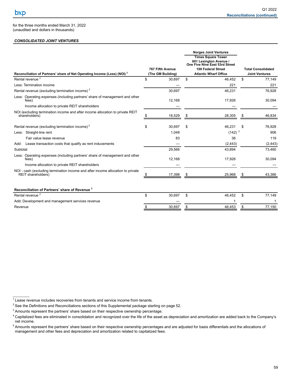$\mathcal{L}=\mathcal{L}^{\mathcal{L}}$ 

for the three months ended March 31, 2022 (unaudited and dollars in thousands)

## *CONSOLIDATED JOINT VENTURES*

| Reconciliation of Partners' share of Net Operating Income (Loss) (NOI) <sup>3</sup>                   | 767 Fifth Avenue<br>(The GM Building) | <b>Norges Joint Ventures</b><br><b>Times Square Tower</b><br>601 Lexington Avenue /<br>One Five Nine East 53rd Street<br>100 Federal Street<br><b>Atlantic Wharf Office</b> |    | <b>Total Consolidated</b><br><b>Joint Ventures</b> |
|-------------------------------------------------------------------------------------------------------|---------------------------------------|-----------------------------------------------------------------------------------------------------------------------------------------------------------------------------|----|----------------------------------------------------|
| Rental revenue <sup>2</sup>                                                                           | \$<br>30,697                          | \$<br>46,452                                                                                                                                                                | \$ | 77,149                                             |
| Less: Termination income                                                                              |                                       | 221                                                                                                                                                                         |    | 221                                                |
| Rental revenue (excluding termination income) <sup>2</sup>                                            | 30,697                                | 46,231                                                                                                                                                                      |    | 76,928                                             |
| Less: Operating expenses (including partners' share of management and other<br>fees)                  | 12,168                                | 17,926                                                                                                                                                                      |    | 30,094                                             |
| Income allocation to private REIT shareholders                                                        |                                       |                                                                                                                                                                             |    |                                                    |
| NOI (excluding termination income and after income allocation to private REIT<br>shareholders)        | 18,529                                | 28,305                                                                                                                                                                      |    | 46,834                                             |
| Rental revenue (excluding termination income) <sup>2</sup>                                            | \$<br>30,697                          | \$<br>46,231                                                                                                                                                                | S  | 76.928                                             |
| Less: Straight-line rent                                                                              | 1,048                                 | $(142)^2$                                                                                                                                                                   |    | 906                                                |
| Fair value lease revenue                                                                              | 83                                    | 36                                                                                                                                                                          |    | 119                                                |
| Lease transaction costs that qualify as rent inducements<br>Add:                                      |                                       | (2, 443)                                                                                                                                                                    |    | (2, 443)                                           |
| Subtotal                                                                                              | 29,566                                | 43,894                                                                                                                                                                      |    | 73,460                                             |
| Less: Operating expenses (including partners' share of management and other<br>fees)                  | 12,168                                | 17,926                                                                                                                                                                      |    | 30,094                                             |
| Income allocation to private REIT shareholders                                                        |                                       |                                                                                                                                                                             |    |                                                    |
| NOI - cash (excluding termination income and after income allocation to private<br>REIT shareholders) | 17,398                                | 25,968                                                                                                                                                                      |    | 43,366                                             |
| Reconciliation of Partners' share of Revenue <sup>3</sup>                                             |                                       |                                                                                                                                                                             |    |                                                    |
| Rental revenue <sup>2</sup>                                                                           | \$<br>30,697                          | \$<br>46,452                                                                                                                                                                | \$ | 77,149                                             |
| Add: Development and management services revenue                                                      |                                       |                                                                                                                                                                             |    |                                                    |
| Revenue                                                                                               | \$<br>30.697                          | \$<br>46.453                                                                                                                                                                | \$ | 77.150                                             |

 $1$  Lease revenue includes recoveries from tenants and service income from tenants.

 $2$  See the Definitions and Reconciliations sections of this Supplemental package starting on page 52.

<sup>&</sup>lt;sup>3</sup> Amounts represent the partners' share based on their respective ownership percentage.

<sup>&</sup>lt;sup>4</sup> Capitalized fees are eliminated in consolidation and recognized over the life of the asset as depreciation and amortization are added back to the Company's net income.

<sup>&</sup>lt;sup>5</sup> Amounts represent the partners' share based on their respective ownership percentages and are adjusted for basis differentials and the allocations of management and other fees and depreciation and amortization related to capitalized fees.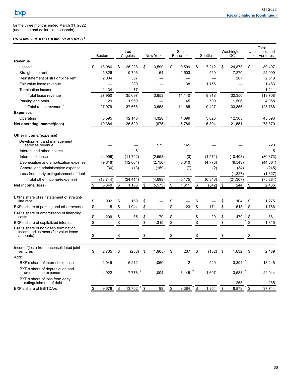for the three months ended March 31, 2022 (unaudited and dollars in thousands)

### *UNCONSOLIDATED JOINT VENTURES <sup>1</sup>*

|                                                                                        |                 | <b>Boston</b> |                 | Los<br>Angeles       |                 | New York |                                 | San<br>Francisco |                                 | Seattle  | Washington,<br>DC    |                | Total<br>Unconsolidated<br><b>Joint Ventures</b> |
|----------------------------------------------------------------------------------------|-----------------|---------------|-----------------|----------------------|-----------------|----------|---------------------------------|------------------|---------------------------------|----------|----------------------|----------------|--------------------------------------------------|
| Revenue                                                                                |                 |               |                 |                      |                 |          |                                 |                  |                                 |          |                      |                |                                                  |
| Lease $2$                                                                              | \$              | 18,986        | \$              | 25.228               | \$              | 3,599    | \$                              | 9,599            | \$                              | 7,212    | \$<br>24,873         | \$             | 89,497                                           |
| Straight-line rent                                                                     |                 | 5,826         |                 | 9,796                |                 | 54       |                                 | 1,503            |                                 | 550      | 7,270                |                | 24,999                                           |
| Reinstatement of straight-line rent                                                    |                 | 2,004         |                 | 307                  |                 |          |                                 |                  |                                 |          | 207                  |                | 2,518                                            |
| Fair value lease revenue                                                               |                 |               |                 | 289                  |                 |          |                                 | 38               |                                 | 1,156    |                      |                | 1,483                                            |
| Termination income                                                                     |                 | 1,134         |                 | 77                   |                 |          |                                 |                  |                                 |          |                      |                | 1,211                                            |
| Total lease revenue                                                                    |                 | 27.950        |                 | 35,697               |                 | 3,653    |                                 | 11.140           |                                 | 8,918    | 32.350               |                | 119,708                                          |
| Parking and other                                                                      |                 | 29            |                 | 1,969                |                 |          |                                 | 45               |                                 | 509      | 1,506                |                | 4,058                                            |
| Total rental revenue <sup>3</sup>                                                      |                 | 27,979        |                 | 37.666               |                 | 3,653    |                                 | 11.185           |                                 | 9,427    | 33.856               |                | 123,766                                          |
| <b>Expenses</b>                                                                        |                 |               |                 |                      |                 |          |                                 |                  |                                 |          |                      |                |                                                  |
| Operating                                                                              |                 | 8,595         |                 | 12,146               |                 | 4,328    |                                 | 4,399            |                                 | 3,623    | 12,305               |                | 45,396                                           |
| Net operating income/(loss)                                                            |                 | 19,384        |                 | 25,520               |                 | (675)    |                                 | 6,786            |                                 | 5,804    | 21,551               |                | 78,370                                           |
| Other income/(expense)                                                                 |                 |               |                 |                      |                 |          |                                 |                  |                                 |          |                      |                |                                                  |
| Development and management<br>services revenue                                         |                 |               |                 |                      |                 | 575      |                                 | 145              |                                 |          |                      |                | 720                                              |
| Interest and other income                                                              |                 |               |                 | 5                    |                 |          |                                 |                  |                                 |          |                      |                | 5                                                |
| Interest expense                                                                       |                 | (4,096)       |                 | (11, 742)            |                 | (2,558)  |                                 | (3)              |                                 | (1,571)  | (10, 403)            |                | (30, 373)                                        |
| Depreciation and amortization expense                                                  |                 | (9,618)       |                 | (12,664)             |                 | (2,756)  |                                 | (5, 310)         |                                 | (4, 773) | (9,543)              |                | (44, 664)                                        |
| General and administrative expense                                                     |                 | (30)          |                 | (13)                 |                 | (159)    |                                 | (7)              |                                 | (2)      | (34)                 |                | (245)                                            |
| Loss from early extinguishment of debt                                                 |                 |               |                 |                      |                 |          |                                 |                  |                                 |          | (1, 327)             |                | (1, 327)                                         |
| Total other income/(expense)                                                           |                 | (13, 744)     |                 | (24, 414)            |                 | (4,898)  |                                 | (5, 175)         |                                 | (6, 346) | (21, 307)            |                | (75, 884)                                        |
| Net income/(loss)                                                                      | \$              | 5,640         | \$              | 1,106                | \$              | (5, 573) | \$                              | 1,611            | \$                              | (542)    | \$<br>244            | \$             | 2,486                                            |
| BXP's share of reinstatement of straight-                                              |                 |               |                 |                      |                 |          |                                 |                  |                                 |          |                      |                |                                                  |
| line rent                                                                              | \$              | 1,002         | \$              | 169                  | \$              |          | \$<br>$\overline{\mathfrak{s}}$ |                  | \$<br>$\overline{\mathfrak{s}}$ |          | \$<br>104<br>5       | \$             | 1,275                                            |
| BXP's share of parking and other revenue                                               | $\overline{\$}$ | 15            | $\overline{\$}$ | 1,044                | $\overline{\$}$ |          |                                 | 23               |                                 | 171      | \$<br>513            | \$             | 1,766                                            |
| BXP's share of amortization of financing<br>costs                                      | \$              | 209           | \$              | 85                   | \$              | 79       | \$                              |                  | \$                              | 29       | \$<br>5<br>479       | \$             | 881                                              |
| BXP's share of capitalized interest                                                    | $\overline{\$}$ |               | \$              |                      | $\overline{\$}$ | 1,315    | \$                              |                  | $\overline{\$}$                 |          | \$<br>5              | \$             | 1,315                                            |
| BXP's share of non-cash termination<br>income adjustment (fair value lease<br>amounts) | \$              |               | \$              |                      | \$              |          | \$                              |                  | \$                              |          | \$                   | \$             |                                                  |
|                                                                                        |                 |               |                 |                      |                 |          |                                 |                  |                                 |          |                      |                |                                                  |
| Income/(loss) from unconsolidated joint<br>ventures                                    | \$              | 2.705         | \$              | (238)                | \$              | (1,965)  | \$                              | 237              | \$                              | (182)    | \$<br>1.632 $5$ \$   |                | 2,189                                            |
| Add:                                                                                   |                 |               |                 |                      |                 |          |                                 |                  |                                 |          |                      |                |                                                  |
| BXP's share of interest expense                                                        |                 | 2.049         |                 | 6,212                |                 | 1,060    |                                 | $\overline{2}$   |                                 | 529      | $3.394$ <sup>5</sup> |                | 13,246                                           |
| BXP's share of depreciation and<br>amortization expense                                |                 | 4,922         |                 | $7,778$ <sup>6</sup> |                 | 1.004    |                                 | $3,145$ $^7$     |                                 | 1.607    | 3,588 $5$            |                | 22,044                                           |
| BXP's share of loss from early<br>extinguishment of debt                               |                 |               |                 |                      |                 |          |                                 |                  |                                 |          | 265                  |                | 265                                              |
| BXP's share of EBITDAre                                                                | \$              | 9,676         | \$              | 6<br>13,752          | \$              | 99       | \$                              | 3,384            | \$                              | 1,954    | \$<br>8,879          | $5\frac{1}{9}$ | 37.744                                           |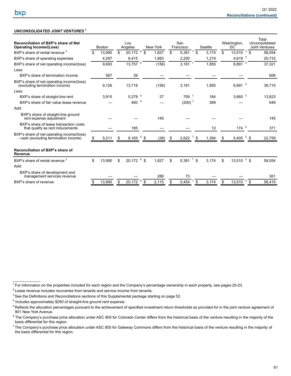## *UNCONSOLIDATED JOINT VENTURES <sup>1</sup>*

| $7\frac{1}{9}$<br>$20,172^{6}$<br>13,510 $5\overline{\$}$<br>BXP's share of rental revenue <sup>3</sup><br>\$<br>\$<br>5,381<br>\$.<br>13.990<br>1,827<br>\$<br>3.174<br>58,054<br>-5<br>4,619<br>4,297<br>6,415<br>1,983<br>2,200<br>1,219<br>20,733<br>BXP's share of operating expenses<br>$13,757^{6}$<br>$\overline{7}$<br>8,891 5<br>3,181<br>9,693<br>(156)<br>1,955<br>37,321<br>BXP's share of net operating income/(loss)<br>BXP's share of termination income<br>567<br>39<br>606<br>BXP's share of net operating income/(loss)<br>8,891 5<br>(156)<br>9,126<br>13,718<br>3,181<br>1,955<br>36,715<br>(excluding termination income)<br>Less:<br>$5,278$ $6$<br>759 7<br>$3,660$ $^{5}$<br>27<br>3,915<br>184<br>13,823<br>BXP's share of straight-line rent<br>6<br>$(200)^7$<br>460<br>649<br>389<br>BXP's share of fair value lease revenue<br>Add:<br>BXP's share of straight-line ground<br>145<br>145<br>rent expense adjustment<br>BXP's share of lease transaction costs<br>$174$ <sup>5</sup><br>185<br>12<br>371<br>that qualify as rent inducements<br>BXP's share of net operating income/(loss)<br>8,165<br>(38)<br>2,622<br>5,405<br>\$<br>5,211<br>\$<br>1,394<br>22,759<br>- cash (excluding termination income)<br>\$<br>\$.<br>Reconciliation of BXP's share of<br><b>Revenue</b><br>$20,172$ 6 \$<br>5,381 $^7$ \$<br>13,510 $5$ \$<br>BXP's share of rental revenue 3<br>\$<br>\$<br>\$<br>\$<br>1,827<br>3,174<br>13,990<br>58,054<br>Add:<br>BXP's share of development and<br>288<br>73<br>361<br>management services revenue<br>6<br>\$<br>\$<br>\$<br>5,454<br>58,415<br>BXP's share of revenue<br>13,990<br>20,172<br>2,115<br>3.174<br>\$<br>13,510 | Reconciliation of BXP's share of Net<br><b>Operating Income/(Loss)</b> | <b>Boston</b> | Los<br>Angeles | New York | San<br>Francisco | Seattle | Washington,<br>DC | Total<br>Unconsolidated<br><b>Joint Ventures</b> |
|-------------------------------------------------------------------------------------------------------------------------------------------------------------------------------------------------------------------------------------------------------------------------------------------------------------------------------------------------------------------------------------------------------------------------------------------------------------------------------------------------------------------------------------------------------------------------------------------------------------------------------------------------------------------------------------------------------------------------------------------------------------------------------------------------------------------------------------------------------------------------------------------------------------------------------------------------------------------------------------------------------------------------------------------------------------------------------------------------------------------------------------------------------------------------------------------------------------------------------------------------------------------------------------------------------------------------------------------------------------------------------------------------------------------------------------------------------------------------------------------------------------------------------------------------------------------------------------------------------------------------------------------------------------------------------------------|------------------------------------------------------------------------|---------------|----------------|----------|------------------|---------|-------------------|--------------------------------------------------|
|                                                                                                                                                                                                                                                                                                                                                                                                                                                                                                                                                                                                                                                                                                                                                                                                                                                                                                                                                                                                                                                                                                                                                                                                                                                                                                                                                                                                                                                                                                                                                                                                                                                                                           |                                                                        |               |                |          |                  |         |                   |                                                  |
|                                                                                                                                                                                                                                                                                                                                                                                                                                                                                                                                                                                                                                                                                                                                                                                                                                                                                                                                                                                                                                                                                                                                                                                                                                                                                                                                                                                                                                                                                                                                                                                                                                                                                           |                                                                        |               |                |          |                  |         |                   |                                                  |
|                                                                                                                                                                                                                                                                                                                                                                                                                                                                                                                                                                                                                                                                                                                                                                                                                                                                                                                                                                                                                                                                                                                                                                                                                                                                                                                                                                                                                                                                                                                                                                                                                                                                                           |                                                                        |               |                |          |                  |         |                   |                                                  |
|                                                                                                                                                                                                                                                                                                                                                                                                                                                                                                                                                                                                                                                                                                                                                                                                                                                                                                                                                                                                                                                                                                                                                                                                                                                                                                                                                                                                                                                                                                                                                                                                                                                                                           | Less:                                                                  |               |                |          |                  |         |                   |                                                  |
|                                                                                                                                                                                                                                                                                                                                                                                                                                                                                                                                                                                                                                                                                                                                                                                                                                                                                                                                                                                                                                                                                                                                                                                                                                                                                                                                                                                                                                                                                                                                                                                                                                                                                           |                                                                        |               |                |          |                  |         |                   |                                                  |
|                                                                                                                                                                                                                                                                                                                                                                                                                                                                                                                                                                                                                                                                                                                                                                                                                                                                                                                                                                                                                                                                                                                                                                                                                                                                                                                                                                                                                                                                                                                                                                                                                                                                                           |                                                                        |               |                |          |                  |         |                   |                                                  |
|                                                                                                                                                                                                                                                                                                                                                                                                                                                                                                                                                                                                                                                                                                                                                                                                                                                                                                                                                                                                                                                                                                                                                                                                                                                                                                                                                                                                                                                                                                                                                                                                                                                                                           |                                                                        |               |                |          |                  |         |                   |                                                  |
|                                                                                                                                                                                                                                                                                                                                                                                                                                                                                                                                                                                                                                                                                                                                                                                                                                                                                                                                                                                                                                                                                                                                                                                                                                                                                                                                                                                                                                                                                                                                                                                                                                                                                           |                                                                        |               |                |          |                  |         |                   |                                                  |
|                                                                                                                                                                                                                                                                                                                                                                                                                                                                                                                                                                                                                                                                                                                                                                                                                                                                                                                                                                                                                                                                                                                                                                                                                                                                                                                                                                                                                                                                                                                                                                                                                                                                                           |                                                                        |               |                |          |                  |         |                   |                                                  |
|                                                                                                                                                                                                                                                                                                                                                                                                                                                                                                                                                                                                                                                                                                                                                                                                                                                                                                                                                                                                                                                                                                                                                                                                                                                                                                                                                                                                                                                                                                                                                                                                                                                                                           |                                                                        |               |                |          |                  |         |                   |                                                  |
|                                                                                                                                                                                                                                                                                                                                                                                                                                                                                                                                                                                                                                                                                                                                                                                                                                                                                                                                                                                                                                                                                                                                                                                                                                                                                                                                                                                                                                                                                                                                                                                                                                                                                           |                                                                        |               |                |          |                  |         |                   |                                                  |
|                                                                                                                                                                                                                                                                                                                                                                                                                                                                                                                                                                                                                                                                                                                                                                                                                                                                                                                                                                                                                                                                                                                                                                                                                                                                                                                                                                                                                                                                                                                                                                                                                                                                                           |                                                                        |               |                |          |                  |         |                   |                                                  |
|                                                                                                                                                                                                                                                                                                                                                                                                                                                                                                                                                                                                                                                                                                                                                                                                                                                                                                                                                                                                                                                                                                                                                                                                                                                                                                                                                                                                                                                                                                                                                                                                                                                                                           |                                                                        |               |                |          |                  |         |                   |                                                  |
|                                                                                                                                                                                                                                                                                                                                                                                                                                                                                                                                                                                                                                                                                                                                                                                                                                                                                                                                                                                                                                                                                                                                                                                                                                                                                                                                                                                                                                                                                                                                                                                                                                                                                           |                                                                        |               |                |          |                  |         |                   |                                                  |
|                                                                                                                                                                                                                                                                                                                                                                                                                                                                                                                                                                                                                                                                                                                                                                                                                                                                                                                                                                                                                                                                                                                                                                                                                                                                                                                                                                                                                                                                                                                                                                                                                                                                                           |                                                                        |               |                |          |                  |         |                   |                                                  |
|                                                                                                                                                                                                                                                                                                                                                                                                                                                                                                                                                                                                                                                                                                                                                                                                                                                                                                                                                                                                                                                                                                                                                                                                                                                                                                                                                                                                                                                                                                                                                                                                                                                                                           |                                                                        |               |                |          |                  |         |                   |                                                  |
|                                                                                                                                                                                                                                                                                                                                                                                                                                                                                                                                                                                                                                                                                                                                                                                                                                                                                                                                                                                                                                                                                                                                                                                                                                                                                                                                                                                                                                                                                                                                                                                                                                                                                           |                                                                        |               |                |          |                  |         |                   |                                                  |
|                                                                                                                                                                                                                                                                                                                                                                                                                                                                                                                                                                                                                                                                                                                                                                                                                                                                                                                                                                                                                                                                                                                                                                                                                                                                                                                                                                                                                                                                                                                                                                                                                                                                                           |                                                                        |               |                |          |                  |         |                   |                                                  |

 $\mathcal{L}_\text{max}$ 

 $1$  For information on the properties included for each region and the Company's percentage ownership in each property, see pages 20-23.

 $2$  Lease revenue includes recoveries from tenants and service income from tenants.

<sup>&</sup>lt;sup>3</sup> See the Definitions and Reconciliations sections of this Supplemental package starting on page 52.

<sup>&</sup>lt;sup>4</sup> Includes approximately \$290 of straight-line ground rent expense.

<sup>&</sup>lt;sup>5</sup> Reflects the allocation percentages pursuant to the achievement of specified investment return thresholds as provided for in the joint venture agreement of 901 New York Avenue.

 $6$  The Company's purchase price allocation under ASC 805 for Colorado Center differs from the historical basis of the venture resulting in the majority of the basis differential for this region.

 $^7$ The Company's purchase price allocation under ASC 805 for Gateway Commons differs from the historical basis of the venture resulting in the majority of the basis differential for this region.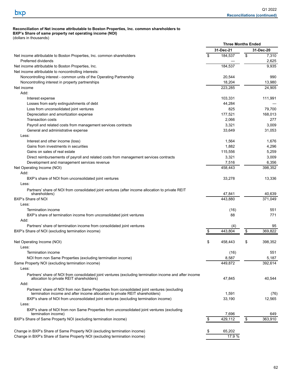# **Reconciliation of Net income attributable to Boston Properties, Inc. common shareholders to**

**BXP's Share of same property net operating income (NOI)** (dollars in thousands)

|                                                                                                        |    | <b>Three Months Ended</b> |               |
|--------------------------------------------------------------------------------------------------------|----|---------------------------|---------------|
|                                                                                                        |    | 31-Dec-21                 | 31-Dec-20     |
| Net income attributable to Boston Properties, Inc. common shareholders                                 | \$ | 184,537                   | \$<br>7,310   |
| Preferred dividends                                                                                    |    |                           | 2,625         |
| Net income attributable to Boston Properties, Inc.                                                     |    | 184,537                   | 9,935         |
| Net income attributable to noncontrolling interests:                                                   |    |                           |               |
| Noncontrolling interest - common units of the Operating Partnership                                    |    | 20,544                    | 990           |
| Noncontrolling interest in property partnerships                                                       |    | 18,204                    | 13,980        |
|                                                                                                        |    | 223,285                   |               |
| Net income                                                                                             |    |                           | 24,905        |
| Add:                                                                                                   |    |                           |               |
| Interest expense                                                                                       |    | 103,331                   | 111,991       |
| Losses from early extinguishments of debt                                                              |    | 44,284                    |               |
| Loss from unconsolidated joint ventures                                                                |    | 825                       | 79,700        |
| Depreciation and amortization expense                                                                  |    | 177,521                   | 168,013       |
| <b>Transaction costs</b>                                                                               |    | 2,066                     | 277           |
| Payroll and related costs from management services contracts                                           |    | 3,321                     | 3,009         |
| General and administrative expense                                                                     |    | 33,649                    | 31,053        |
| Less:                                                                                                  |    |                           |               |
| Interest and other income (loss)                                                                       |    | 1,564                     | 1,676         |
| Gains from investments in securities                                                                   |    | 1,882                     | 4,296         |
| Gains on sales of real estate                                                                          |    | 115,556                   | 5,259         |
| Direct reimbursements of payroll and related costs from management services contracts                  |    | 3,321                     | 3,009         |
| Development and management services revenue                                                            |    | 7,516                     | 6,356         |
|                                                                                                        |    |                           |               |
| Net Operating Income (NOI)                                                                             |    | 458,443                   | 398,352       |
| Add:                                                                                                   |    |                           |               |
| BXP's share of NOI from unconsolidated joint ventures                                                  |    | 33,278                    | 13,336        |
| Less:                                                                                                  |    |                           |               |
| Partners' share of NOI from consolidated joint ventures (after income allocation to private REIT       |    |                           |               |
| shareholders)                                                                                          |    | 47,841                    | 40,639        |
| BXP's Share of NOI                                                                                     |    | 443,880                   | 371,049       |
| Less:                                                                                                  |    |                           |               |
| Termination income                                                                                     |    | (16)                      | 551           |
| BXP's share of termination income from unconsolidated joint ventures                                   |    | 88                        | 771           |
| Add:                                                                                                   |    |                           |               |
| Partners' share of termination income from consolidated joint ventures                                 |    | (4)                       | 95            |
| BXP's Share of NOI (excluding termination income)                                                      | S  | 443,804                   | \$<br>369.822 |
|                                                                                                        |    |                           |               |
| Net Operating Income (NOI)                                                                             | \$ | 458,443                   | \$<br>398,352 |
|                                                                                                        |    |                           |               |
| Less:                                                                                                  |    |                           |               |
| Termination income                                                                                     |    | (16)                      | 551           |
| NOI from non Same Properties (excluding termination income)                                            |    | 8,587                     | 5,187         |
| Same Property NOI (excluding termination income)                                                       |    | 449,872                   | 392,614       |
| Less:                                                                                                  |    |                           |               |
| Partners' share of NOI from consolidated joint ventures (excluding termination income and after income |    |                           |               |
| allocation to private REIT shareholders)                                                               |    | 47,845                    | 40,544        |
| Add:                                                                                                   |    |                           |               |
| Partners' share of NOI from non Same Properties from consolidated joint ventures (excluding            |    |                           |               |
| termination income and after income allocation to private REIT shareholders)                           |    | 1,591                     | (76)          |
| BXP's share of NOI from unconsolidated joint ventures (excluding termination income)                   |    | 33,190                    | 12,565        |
| Less:                                                                                                  |    |                           |               |
| BXP's share of NOI from non Same Properties from unconsolidated joint ventures (excluding              |    |                           |               |
| termination income)                                                                                    |    | 7,696                     | 649           |
| BXP's Share of Same Property NOI (excluding termination income)                                        | \$ | 429,112                   | \$<br>363,910 |
|                                                                                                        |    |                           |               |
| Change in BXP's Share of Same Property NOI (excluding termination income)                              | \$ | 65,202                    |               |
| Change in BXP's Share of Same Property NOI (excluding termination income)                              |    | 17.9 %                    |               |
|                                                                                                        |    |                           |               |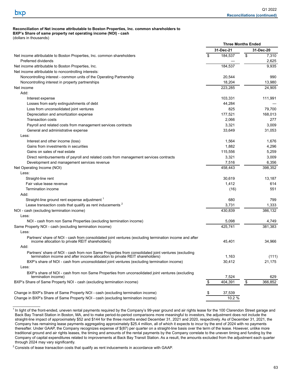$\mathcal{L}_\text{max}$ 

#### **Reconciliation of Net income attributable to Boston Properties, Inc. common shareholders to BXP's Share of same property net operating income (NOI) - cash**

(dollars in thousands)

| 31-Dec-21<br>31-Dec-20<br>\$<br>\$<br>184,537<br>Net income attributable to Boston Properties, Inc. common shareholders<br>7,310<br>2,625<br>Preferred dividends<br>Net income attributable to Boston Properties, Inc.<br>184.537<br>9,935<br>Net income attributable to noncontrolling interests:<br>20,544<br>990<br>Noncontrolling interest - common units of the Operating Partnership<br>18,204<br>13,980<br>Noncontrolling interest in property partnerships<br>223,285<br>24,905<br>Net income<br>Add:<br>103,331<br>111,991<br>Interest expense |
|---------------------------------------------------------------------------------------------------------------------------------------------------------------------------------------------------------------------------------------------------------------------------------------------------------------------------------------------------------------------------------------------------------------------------------------------------------------------------------------------------------------------------------------------------------|
|                                                                                                                                                                                                                                                                                                                                                                                                                                                                                                                                                         |
|                                                                                                                                                                                                                                                                                                                                                                                                                                                                                                                                                         |
|                                                                                                                                                                                                                                                                                                                                                                                                                                                                                                                                                         |
|                                                                                                                                                                                                                                                                                                                                                                                                                                                                                                                                                         |
|                                                                                                                                                                                                                                                                                                                                                                                                                                                                                                                                                         |
|                                                                                                                                                                                                                                                                                                                                                                                                                                                                                                                                                         |
|                                                                                                                                                                                                                                                                                                                                                                                                                                                                                                                                                         |
|                                                                                                                                                                                                                                                                                                                                                                                                                                                                                                                                                         |
|                                                                                                                                                                                                                                                                                                                                                                                                                                                                                                                                                         |
|                                                                                                                                                                                                                                                                                                                                                                                                                                                                                                                                                         |
| Losses from early extinguishments of debt<br>44,284                                                                                                                                                                                                                                                                                                                                                                                                                                                                                                     |
| Loss from unconsolidated joint ventures<br>825<br>79,700                                                                                                                                                                                                                                                                                                                                                                                                                                                                                                |
| Depreciation and amortization expense<br>177,521<br>168,013                                                                                                                                                                                                                                                                                                                                                                                                                                                                                             |
| <b>Transaction costs</b><br>2,066<br>277                                                                                                                                                                                                                                                                                                                                                                                                                                                                                                                |
| 3,009<br>3,321<br>Payroll and related costs from management services contracts                                                                                                                                                                                                                                                                                                                                                                                                                                                                          |
| 31,053<br>General and administrative expense<br>33,649                                                                                                                                                                                                                                                                                                                                                                                                                                                                                                  |
| Less:                                                                                                                                                                                                                                                                                                                                                                                                                                                                                                                                                   |
| Interest and other income (loss)<br>1,564<br>1,676                                                                                                                                                                                                                                                                                                                                                                                                                                                                                                      |
| 1,882<br>4,296<br>Gains from investments in securities                                                                                                                                                                                                                                                                                                                                                                                                                                                                                                  |
| Gains on sales of real estate<br>115,556<br>5,259                                                                                                                                                                                                                                                                                                                                                                                                                                                                                                       |
| 3,321<br>3,009<br>Direct reimbursements of payroll and related costs from management services contracts                                                                                                                                                                                                                                                                                                                                                                                                                                                 |
| 7,516<br>6,356<br>Development and management services revenue                                                                                                                                                                                                                                                                                                                                                                                                                                                                                           |
| 458,443<br>398,352<br>Net Operating Income (NOI)                                                                                                                                                                                                                                                                                                                                                                                                                                                                                                        |
| Less:                                                                                                                                                                                                                                                                                                                                                                                                                                                                                                                                                   |
| Straight-line rent<br>30,619<br>13,187                                                                                                                                                                                                                                                                                                                                                                                                                                                                                                                  |
| 1,412<br>614<br>Fair value lease revenue                                                                                                                                                                                                                                                                                                                                                                                                                                                                                                                |
| 551<br>Termination income<br>(16)                                                                                                                                                                                                                                                                                                                                                                                                                                                                                                                       |
| Add.                                                                                                                                                                                                                                                                                                                                                                                                                                                                                                                                                    |
| Straight-line ground rent expense adjustment 1<br>680<br>799                                                                                                                                                                                                                                                                                                                                                                                                                                                                                            |
| Lease transaction costs that qualify as rent inducements <sup>2</sup><br>3,731<br>1,333                                                                                                                                                                                                                                                                                                                                                                                                                                                                 |
| 430,839<br>386,132<br>NOI - cash (excluding termination income)                                                                                                                                                                                                                                                                                                                                                                                                                                                                                         |
| Less:                                                                                                                                                                                                                                                                                                                                                                                                                                                                                                                                                   |
| 5,098<br>NOI - cash from non Same Properties (excluding termination income)<br>4,749                                                                                                                                                                                                                                                                                                                                                                                                                                                                    |
| 425,741<br>381,383<br>Same Property NOI - cash (excluding termination income)                                                                                                                                                                                                                                                                                                                                                                                                                                                                           |
| Less:                                                                                                                                                                                                                                                                                                                                                                                                                                                                                                                                                   |
| Partners' share of NOI - cash from consolidated joint ventures (excluding termination income and after<br>income allocation to private REIT shareholders)<br>45,401<br>34,966                                                                                                                                                                                                                                                                                                                                                                           |
| Add:                                                                                                                                                                                                                                                                                                                                                                                                                                                                                                                                                    |
| Partners' share of NOI - cash from non Same Properties from consolidated joint ventures (excluding<br>termination income and after income allocation to private REIT shareholders)<br>1,163<br>(111)                                                                                                                                                                                                                                                                                                                                                    |
| 30,412<br>21,175<br>BXP's share of NOI - cash from unconsolidated joint ventures (excluding termination income)                                                                                                                                                                                                                                                                                                                                                                                                                                         |
| Less:                                                                                                                                                                                                                                                                                                                                                                                                                                                                                                                                                   |
| BXP's share of NOI - cash from non Same Properties from unconsolidated joint ventures (excluding                                                                                                                                                                                                                                                                                                                                                                                                                                                        |
| 7,524<br>629<br>termination income)                                                                                                                                                                                                                                                                                                                                                                                                                                                                                                                     |
| $\frac{1}{2}$<br>BXP's Share of Same Property NOI - cash (excluding termination income)<br>\$<br>404,391<br>366,852                                                                                                                                                                                                                                                                                                                                                                                                                                     |
| Change in BXP's Share of Same Property NOI - cash (excluding termination income)<br>\$<br>37,539                                                                                                                                                                                                                                                                                                                                                                                                                                                        |
| 10.2 %<br>Change in BXP's Share of Same Property NOI - cash (excluding termination income)                                                                                                                                                                                                                                                                                                                                                                                                                                                              |

<sup>&</sup>lt;sup>1</sup> In light of the front-ended, uneven rental payments required by the Company's 99-year ground and air rights lease for the 100 Clarendon Street garage and Back Bay Transit Station in Boston, MA, and to make period-to-period comparisons more meaningful to investors, the adjustment does not include the straight-line impact of approximately \$52 and \$144 for the three months ended December 31, 2021 and 2020, respectively. As of December 31, 2021, the Company has remaining lease payments aggregating approximately \$25.4 million, all of which it expects to incur by the end of 2024 with no payments thereafter. Under GAAP, the Company recognizes expense of \$(87) per quarter on a straight-line basis over the term of the lease. However, unlike more traditional ground and air rights leases, the timing and amounts of the rental payments by the Company correlate to the uneven timing and funding by the Company of capital expenditures related to improvements at Back Bay Transit Station. As a result, the amounts excluded from the adjustment each quarter through 2024 may vary significantly.

 $2$  Consists of lease transaction costs that qualify as rent inducements in accordance with GAAP.